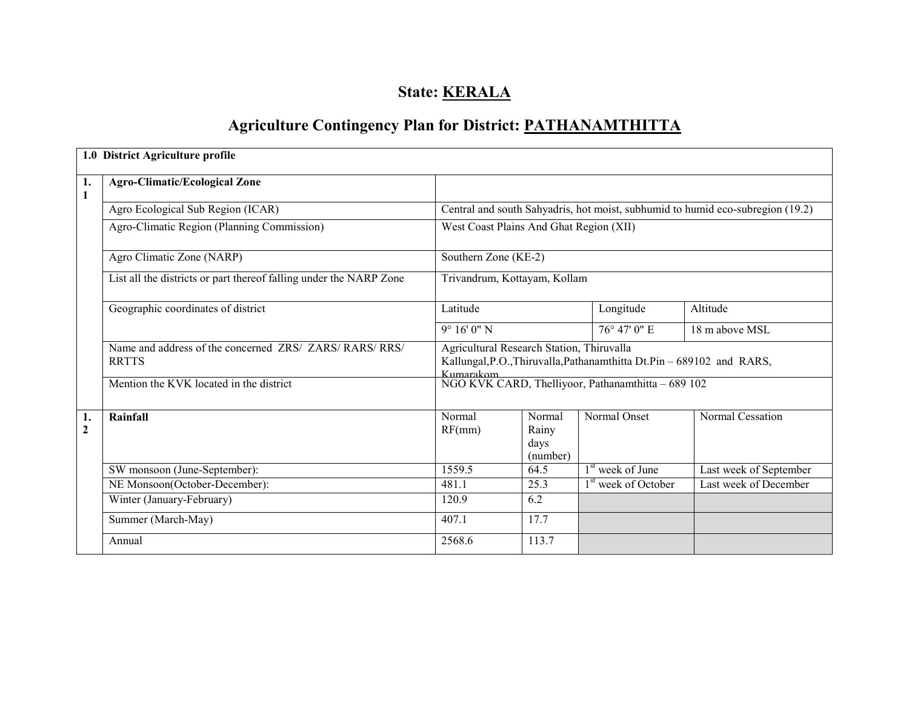# State: **KERALA**

# Agriculture Contingency Plan for District: PATHANAMTHITTA

|                    | 1.0 District Agriculture profile                                        |                                                                                |                                     |                                                                        |                        |  |  |
|--------------------|-------------------------------------------------------------------------|--------------------------------------------------------------------------------|-------------------------------------|------------------------------------------------------------------------|------------------------|--|--|
| 1.<br>$\mathbf{1}$ | <b>Agro-Climatic/Ecological Zone</b>                                    |                                                                                |                                     |                                                                        |                        |  |  |
|                    | Agro Ecological Sub Region (ICAR)                                       | Central and south Sahyadris, hot moist, subhumid to humid eco-subregion (19.2) |                                     |                                                                        |                        |  |  |
|                    | Agro-Climatic Region (Planning Commission)                              | West Coast Plains And Ghat Region (XII)                                        |                                     |                                                                        |                        |  |  |
|                    | Agro Climatic Zone (NARP)                                               | Southern Zone (KE-2)                                                           |                                     |                                                                        |                        |  |  |
|                    | List all the districts or part thereof falling under the NARP Zone      | Trivandrum, Kottayam, Kollam                                                   |                                     |                                                                        |                        |  |  |
|                    | Geographic coordinates of district                                      | Latitude                                                                       |                                     | Longitude                                                              | Altitude               |  |  |
|                    |                                                                         | $9^{\circ}$ 16' 0" N                                                           |                                     | $76^{\circ}$ 47' 0" E                                                  | 18 m above MSL         |  |  |
|                    | Name and address of the concerned ZRS/ ZARS/ RARS/ RRS/<br><b>RRTTS</b> | Agricultural Research Station, Thiruvalla<br>Kumarakom                         |                                     | Kallungal, P.O., Thiruvalla, Pathanamthitta Dt. Pin - 689102 and RARS, |                        |  |  |
|                    | Mention the KVK located in the district                                 |                                                                                |                                     | NGO KVK CARD, Thelliyoor, Pathanamthitta - 689 102                     |                        |  |  |
| 1.<br>$\mathbf{2}$ | Rainfall                                                                | Normal<br>RF(mm)                                                               | Normal<br>Rainy<br>days<br>(number) | Normal Onset                                                           | Normal Cessation       |  |  |
|                    | SW monsoon (June-September):                                            | 1559.5                                                                         | 64.5                                | $1st$ week of June                                                     | Last week of September |  |  |
|                    | NE Monsoon(October-December):                                           | 481.1                                                                          | 25.3                                | $\overline{1^{st}}$ week of October                                    | Last week of December  |  |  |
|                    | Winter (January-February)                                               | 120.9                                                                          | 6.2                                 |                                                                        |                        |  |  |
|                    | Summer (March-May)                                                      | 407.1                                                                          | 17.7                                |                                                                        |                        |  |  |
|                    | Annual                                                                  | 2568.6                                                                         | 113.7                               |                                                                        |                        |  |  |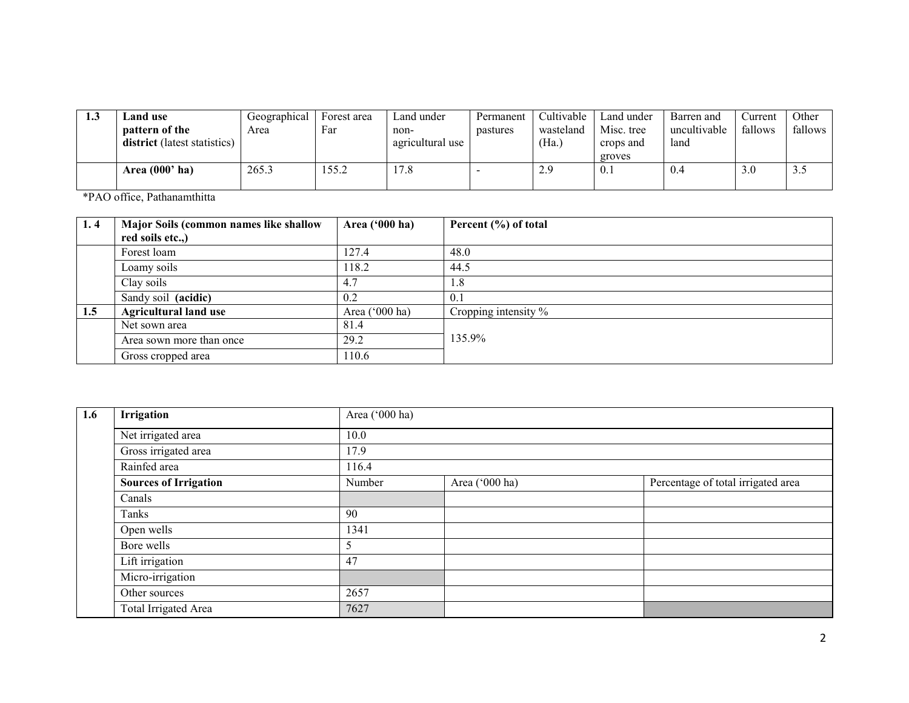| 1.3 | and use.                                       | Geographical | Forest area | Land under               | Permanent | Cultivable         | Land under              | Barren and           | Current | Other   |
|-----|------------------------------------------------|--------------|-------------|--------------------------|-----------|--------------------|-------------------------|----------------------|---------|---------|
|     | pattern of the<br>district (latest statistics) | Area         | Far         | non-<br>agricultural use | pastures  | wasteland<br>(Ha.) | Misc. tree<br>crops and | uncultivable<br>land | fallows | fallows |
|     |                                                |              |             |                          |           |                    | groves                  |                      |         |         |
|     | Area $(000'$ ha)                               | 265.3        | 55.2        | 17.8                     |           | 2.9                | 0.1                     | 0.4                  | 3.0     | J.J     |
|     |                                                |              |             |                          |           |                    |                         |                      |         |         |

\*PAO office, Pathanamthitta

| 1.4 | Major Soils (common names like shallow | Area ('000 ha) | Percent (%) of total |
|-----|----------------------------------------|----------------|----------------------|
|     | red soils etc.,)                       |                |                      |
|     | Forest loam                            | 127.4          | 48.0                 |
|     | Loamy soils                            | 118.2          | 44.5                 |
|     | Clay soils                             | 4.7            | 1.8                  |
|     | Sandy soil (acidic)                    | 0.2            | 0.1                  |
| 1.5 | <b>Agricultural land use</b>           | Area ('000 ha) | Cropping intensity % |
|     | Net sown area                          | 81.4           |                      |
|     | Area sown more than once               | 29.2           | 135.9%               |
|     | Gross cropped area                     | 110.6          |                      |

| 1.6 | Irrigation                   | Area ('000 ha) |                |                                    |  |  |  |  |  |
|-----|------------------------------|----------------|----------------|------------------------------------|--|--|--|--|--|
|     | Net irrigated area           | 10.0           |                |                                    |  |  |  |  |  |
|     | Gross irrigated area         | 17.9           |                |                                    |  |  |  |  |  |
|     | Rainfed area                 | 116.4          |                |                                    |  |  |  |  |  |
|     | <b>Sources of Irrigation</b> | Number         | Area ('000 ha) | Percentage of total irrigated area |  |  |  |  |  |
|     | Canals                       |                |                |                                    |  |  |  |  |  |
|     | Tanks                        | 90             |                |                                    |  |  |  |  |  |
|     | Open wells                   | 1341           |                |                                    |  |  |  |  |  |
|     | Bore wells                   |                |                |                                    |  |  |  |  |  |
|     | Lift irrigation              | 47             |                |                                    |  |  |  |  |  |
|     | Micro-irrigation             |                |                |                                    |  |  |  |  |  |
|     | Other sources                | 2657           |                |                                    |  |  |  |  |  |
|     | <b>Total Irrigated Area</b>  | 7627           |                |                                    |  |  |  |  |  |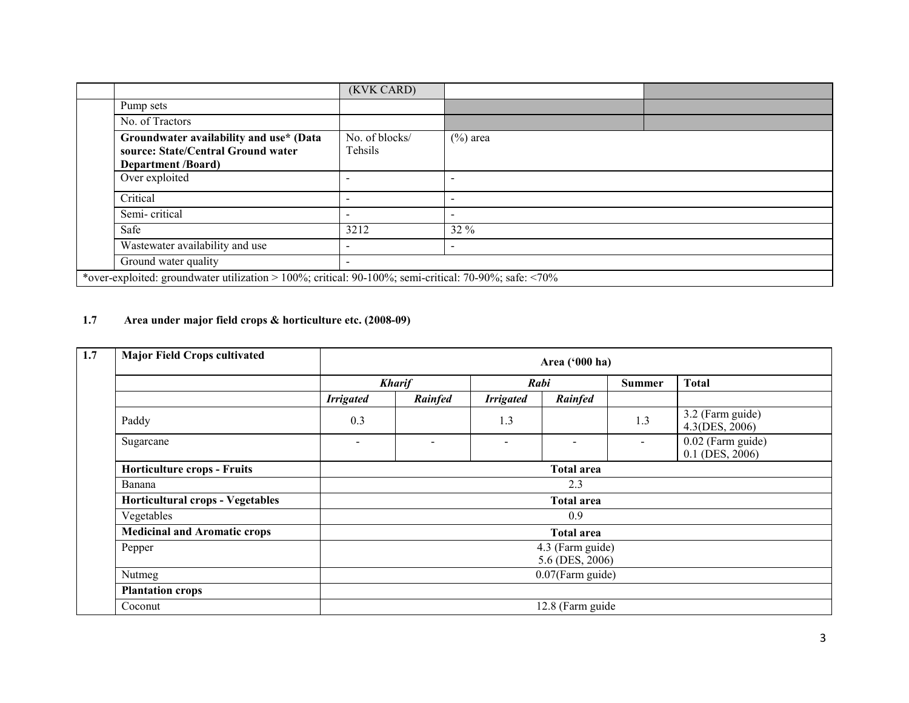|  |                                                                                                            | (KVK CARD)                |             |  |  |  |  |
|--|------------------------------------------------------------------------------------------------------------|---------------------------|-------------|--|--|--|--|
|  | Pump sets                                                                                                  |                           |             |  |  |  |  |
|  | No. of Tractors                                                                                            |                           |             |  |  |  |  |
|  | Groundwater availability and use* (Data<br>source: State/Central Ground water<br><b>Department</b> /Board) | No. of blocks/<br>Tehsils | $(\%)$ area |  |  |  |  |
|  | Over exploited                                                                                             |                           |             |  |  |  |  |
|  | Critical                                                                                                   |                           |             |  |  |  |  |
|  | Semi-critical                                                                                              |                           |             |  |  |  |  |
|  | Safe                                                                                                       | 3212                      | $32\%$      |  |  |  |  |
|  | Wastewater availability and use                                                                            | $\overline{\phantom{a}}$  |             |  |  |  |  |
|  | Ground water quality                                                                                       | $\overline{\phantom{a}}$  |             |  |  |  |  |
|  | *over-exploited: groundwater utilization > 100%; critical: 90-100%; semi-critical: 70-90%; safe: <70%      |                           |             |  |  |  |  |

#### 1.7 Area under major field crops & horticulture etc. (2008-09)

| 1.7 | <b>Major Field Crops cultivated</b> | Area ('000 ha)           |               |                          |                          |                          |                                      |  |  |
|-----|-------------------------------------|--------------------------|---------------|--------------------------|--------------------------|--------------------------|--------------------------------------|--|--|
|     |                                     |                          | <b>Kharif</b> | Rabi                     |                          | <b>Summer</b>            | <b>Total</b>                         |  |  |
|     |                                     | <b>Irrigated</b>         | Rainfed       | <b>Irrigated</b>         | Rainfed                  |                          |                                      |  |  |
|     | Paddy                               | 0.3                      |               | 1.3                      |                          | 1.3                      | 3.2 (Farm guide)<br>4.3(DES, 2006)   |  |  |
|     | Sugarcane                           | $\overline{\phantom{a}}$ |               | $\overline{\phantom{a}}$ | $\overline{\phantom{0}}$ | $\overline{\phantom{0}}$ | 0.02 (Farm guide)<br>0.1 (DES, 2006) |  |  |
|     | <b>Horticulture crops - Fruits</b>  | <b>Total area</b>        |               |                          |                          |                          |                                      |  |  |
|     | Banana                              | 2.3                      |               |                          |                          |                          |                                      |  |  |
|     | Horticultural crops - Vegetables    |                          |               |                          | <b>Total area</b>        |                          |                                      |  |  |
|     | Vegetables                          |                          |               |                          | 0.9                      |                          |                                      |  |  |
|     | <b>Medicinal and Aromatic crops</b> |                          |               |                          | <b>Total area</b>        |                          |                                      |  |  |
|     | Pepper                              |                          |               |                          | 4.3 (Farm guide)         |                          |                                      |  |  |
|     |                                     |                          |               |                          | 5.6 (DES, 2006)          |                          |                                      |  |  |
|     | Nutmeg                              | 0.07(Farm guide)         |               |                          |                          |                          |                                      |  |  |
|     | <b>Plantation crops</b>             |                          |               |                          |                          |                          |                                      |  |  |
|     | Coconut                             | 12.8 (Farm guide         |               |                          |                          |                          |                                      |  |  |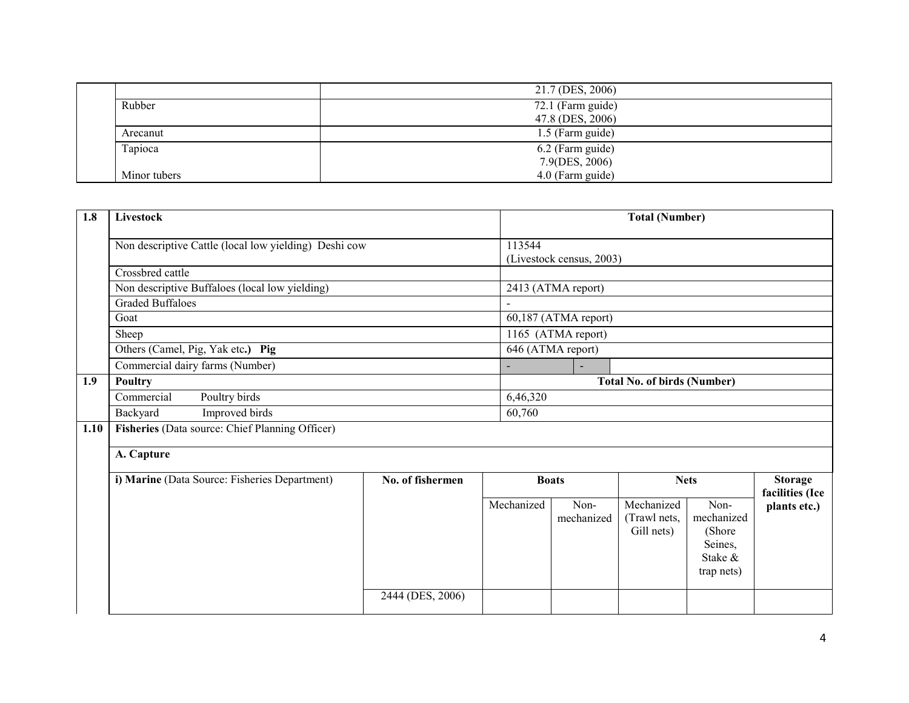|              | 21.7 (DES, 2006)  |
|--------------|-------------------|
| Rubber       | 72.1 (Farm guide) |
|              | 47.8 (DES, 2006)  |
| Arecanut     | 1.5 (Farm guide)  |
| Tapioca      | 6.2 (Farm guide)  |
|              | 7.9(DES, 2006)    |
| Minor tubers | 4.0 (Farm guide)  |
|              |                   |

| 1.8  | Livestock                                             |                  | <b>Total (Number)</b> |                                    |                                          |                                                                   |                                   |  |
|------|-------------------------------------------------------|------------------|-----------------------|------------------------------------|------------------------------------------|-------------------------------------------------------------------|-----------------------------------|--|
|      | Non descriptive Cattle (local low yielding) Deshi cow |                  | 113544                | (Livestock census, 2003)           |                                          |                                                                   |                                   |  |
|      | Crossbred cattle                                      |                  |                       |                                    |                                          |                                                                   |                                   |  |
|      | Non descriptive Buffaloes (local low yielding)        |                  |                       | 2413 (ATMA report)                 |                                          |                                                                   |                                   |  |
|      | <b>Graded Buffaloes</b>                               |                  |                       |                                    |                                          |                                                                   |                                   |  |
|      | Goat                                                  |                  |                       | 60,187 (ATMA report)               |                                          |                                                                   |                                   |  |
|      | Sheep                                                 |                  |                       | 1165 (ATMA report)                 |                                          |                                                                   |                                   |  |
|      | Others (Camel, Pig, Yak etc.) Pig                     |                  |                       | 646 (ATMA report)                  |                                          |                                                                   |                                   |  |
|      | Commercial dairy farms (Number)                       |                  |                       |                                    |                                          |                                                                   |                                   |  |
| 1.9  | Poultry                                               |                  |                       | <b>Total No. of birds (Number)</b> |                                          |                                                                   |                                   |  |
|      | Commercial<br>Poultry birds                           |                  |                       | 6,46,320                           |                                          |                                                                   |                                   |  |
|      | Improved birds<br>Backyard                            |                  | 60,760                |                                    |                                          |                                                                   |                                   |  |
| 1.10 | Fisheries (Data source: Chief Planning Officer)       |                  |                       |                                    |                                          |                                                                   |                                   |  |
|      | A. Capture                                            |                  |                       |                                    |                                          |                                                                   |                                   |  |
|      | i) Marine (Data Source: Fisheries Department)         | No. of fishermen |                       | <b>Boats</b>                       |                                          | <b>Nets</b>                                                       | <b>Storage</b><br>facilities (Ice |  |
|      |                                                       |                  | Mechanized            | Non-<br>mechanized                 | Mechanized<br>(Trawl nets,<br>Gill nets) | Non-<br>mechanized<br>(Shore)<br>Seines,<br>Stake &<br>trap nets) | plants etc.)                      |  |
|      |                                                       | 2444 (DES, 2006) |                       |                                    |                                          |                                                                   |                                   |  |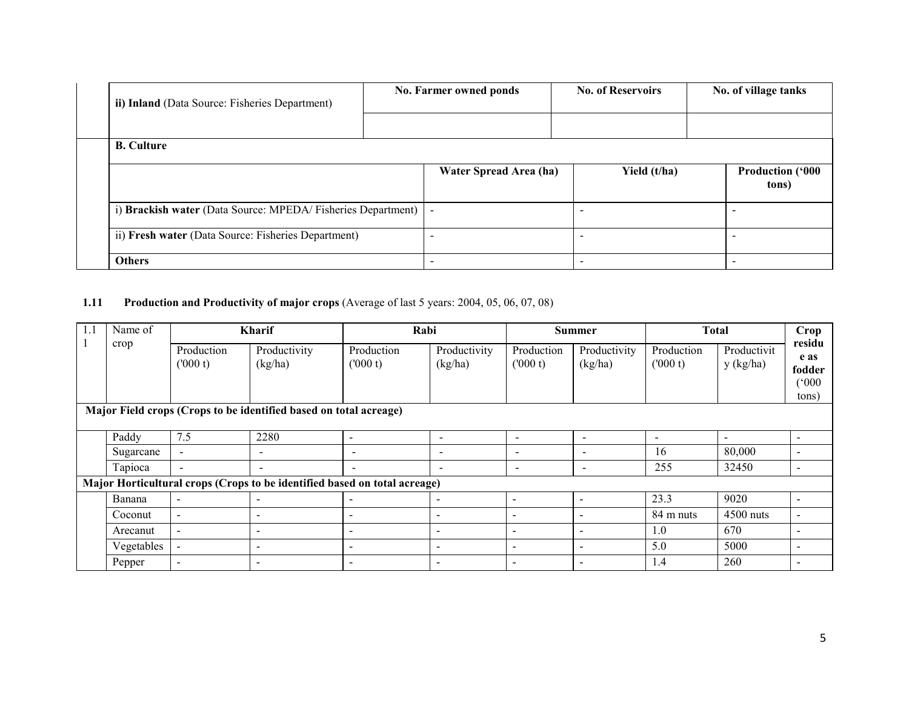| ii) Inland (Data Source: Fisheries Department)              | No. Farmer owned ponds | <b>No. of Reservoirs</b> |  | No. of village tanks             |  |
|-------------------------------------------------------------|------------------------|--------------------------|--|----------------------------------|--|
|                                                             |                        |                          |  |                                  |  |
| <b>B.</b> Culture                                           |                        |                          |  |                                  |  |
|                                                             | Water Spread Area (ha) | Yield (t/ha)             |  | <b>Production ('000</b><br>tons) |  |
| i) Brackish water (Data Source: MPEDA/Fisheries Department) |                        |                          |  |                                  |  |
| ii) Fresh water (Data Source: Fisheries Department)         |                        |                          |  |                                  |  |
| <b>Others</b>                                               |                        |                          |  |                                  |  |

### **1.11** Production and Productivity of major crops (Average of last 5 years: 2004, 05, 06, 07, 08)

| 1.1                                                               | Name of    |                          | <b>Kharif</b>                                                             | Rabi                     |                          | <b>Summer</b>            |                          | <b>Total</b>             |                          | Crop                                        |
|-------------------------------------------------------------------|------------|--------------------------|---------------------------------------------------------------------------|--------------------------|--------------------------|--------------------------|--------------------------|--------------------------|--------------------------|---------------------------------------------|
|                                                                   | crop       | Production<br>(000 t)    | Productivity<br>(kg/ha)                                                   | Production<br>(000 t)    | Productivity<br>(kg/ha)  | Production<br>(000 t)    | Productivity<br>(kg/ha)  | Production<br>(000 t)    | Productivit<br>y (kg/ha) | residu<br>e as<br>fodder<br>(°000)<br>tons) |
| Major Field crops (Crops to be identified based on total acreage) |            |                          |                                                                           |                          |                          |                          |                          |                          |                          |                                             |
|                                                                   | Paddy      | 7.5                      | 2280                                                                      | $\overline{\phantom{0}}$ | $\overline{\phantom{a}}$ | $\blacksquare$           | $\sim$                   | $\overline{\phantom{a}}$ | $\sim$                   |                                             |
|                                                                   | Sugarcane  | $\sim$                   | $\overline{\phantom{a}}$                                                  | $\overline{\phantom{0}}$ | $\overline{\phantom{0}}$ | $\overline{\phantom{a}}$ | $\overline{\phantom{a}}$ | 16                       | 80,000                   |                                             |
|                                                                   | Tapioca    | $\blacksquare$           | $\blacksquare$                                                            | $\overline{\phantom{a}}$ | $\sim$                   | $\overline{\phantom{a}}$ | $\overline{\phantom{a}}$ | 255                      | 32450                    | $\overline{\phantom{a}}$                    |
|                                                                   |            |                          | Major Horticultural crops (Crops to be identified based on total acreage) |                          |                          |                          |                          |                          |                          |                                             |
|                                                                   | Banana     | $\overline{\phantom{a}}$ |                                                                           |                          |                          | $\overline{\phantom{a}}$ | $\blacksquare$           | 23.3                     | 9020                     |                                             |
|                                                                   | Coconut    | $\sim$                   |                                                                           | $\overline{\phantom{0}}$ |                          | $\overline{\phantom{a}}$ |                          | 84 m nuts                | $4500$ nuts              |                                             |
|                                                                   | Arecanut   | $\sim$                   | $\overline{\phantom{a}}$                                                  | $\overline{\phantom{0}}$ | $\overline{\phantom{a}}$ | $\overline{\phantom{a}}$ | $\overline{\phantom{a}}$ | 1.0                      | 670                      |                                             |
|                                                                   | Vegetables | $\overline{\phantom{a}}$ | $\overline{\phantom{a}}$                                                  | $\overline{\phantom{a}}$ | $\overline{\phantom{a}}$ | $\overline{\phantom{a}}$ | $\overline{\phantom{0}}$ | 5.0                      | 5000                     |                                             |
|                                                                   | Pepper     | $\overline{\phantom{a}}$ | $\,$                                                                      | $\overline{\phantom{a}}$ | $\overline{\phantom{a}}$ | $\overline{\phantom{a}}$ | $\overline{\phantom{0}}$ | 1.4                      | 260                      | $\overline{\phantom{a}}$                    |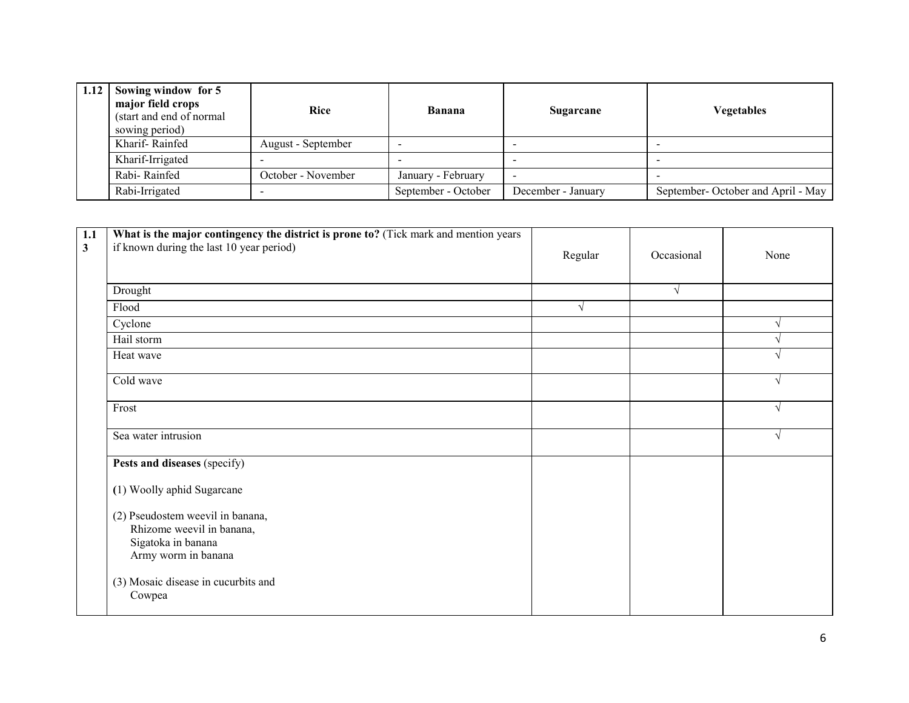| 1.12 Sowing window for $5$<br>major field crops<br>(start and end of normal)<br>sowing period) | Rice               | Banana              | Sugarcane                | Vegetables                        |
|------------------------------------------------------------------------------------------------|--------------------|---------------------|--------------------------|-----------------------------------|
| Kharif-Rainfed                                                                                 | August - September |                     |                          |                                   |
| Kharif-Irrigated                                                                               |                    |                     | $\overline{\phantom{a}}$ |                                   |
| Rabi-Rainfed                                                                                   | October - November | January - February  | $\overline{\phantom{0}}$ |                                   |
| Rabi-Irrigated                                                                                 |                    | September - October | December - January       | September-October and April - May |

| 1.1<br>$\mathbf{3}$ | What is the major contingency the district is prone to? (Tick mark and mention years<br>if known during the last 10 year period) | Regular | Occasional | None |
|---------------------|----------------------------------------------------------------------------------------------------------------------------------|---------|------------|------|
|                     | Drought                                                                                                                          |         | $\sqrt{ }$ |      |
|                     | Flood                                                                                                                            | V       |            |      |
|                     | Cyclone                                                                                                                          |         |            |      |
|                     | Hail storm                                                                                                                       |         |            |      |
|                     | Heat wave                                                                                                                        |         |            |      |
|                     | Cold wave                                                                                                                        |         |            | V    |
|                     | Frost                                                                                                                            |         |            | V    |
|                     | Sea water intrusion                                                                                                              |         |            | V    |
|                     | Pests and diseases (specify)                                                                                                     |         |            |      |
|                     | (1) Woolly aphid Sugarcane                                                                                                       |         |            |      |
|                     | (2) Pseudostem weevil in banana,<br>Rhizome weevil in banana,<br>Sigatoka in banana<br>Army worm in banana                       |         |            |      |
|                     | (3) Mosaic disease in cucurbits and<br>Cowpea                                                                                    |         |            |      |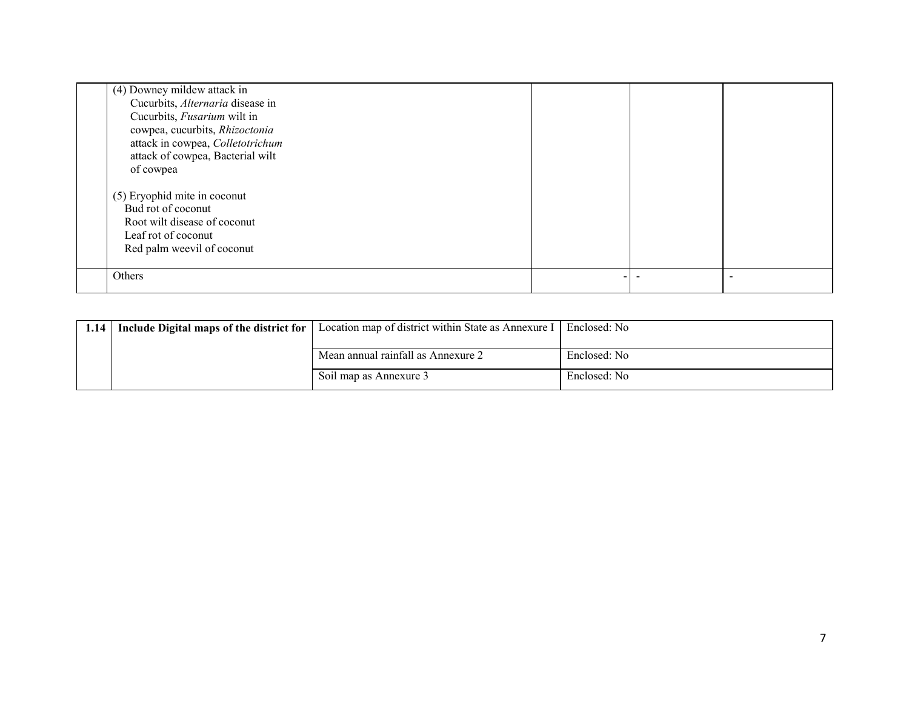| (4) Downey mildew attack in      |  |  |
|----------------------------------|--|--|
| Cucurbits, Alternaria disease in |  |  |
| Cucurbits, Fusarium wilt in      |  |  |
| cowpea, cucurbits, Rhizoctonia   |  |  |
| attack in cowpea, Colletotrichum |  |  |
| attack of cowpea, Bacterial wilt |  |  |
| of cowpea                        |  |  |
|                                  |  |  |
| (5) Eryophid mite in coconut     |  |  |
| Bud rot of coconut               |  |  |
| Root wilt disease of coconut     |  |  |
| Leaf rot of coconut              |  |  |
| Red palm weevil of coconut       |  |  |
|                                  |  |  |
| Others                           |  |  |
|                                  |  |  |

| 1.14   Include Digital maps of the district for | Location map of district within State as Annexure I   Enclosed: No |              |
|-------------------------------------------------|--------------------------------------------------------------------|--------------|
|                                                 | Mean annual rainfall as Annexure 2                                 | Enclosed: No |
|                                                 | Soil map as Annexure 3                                             | Enclosed: No |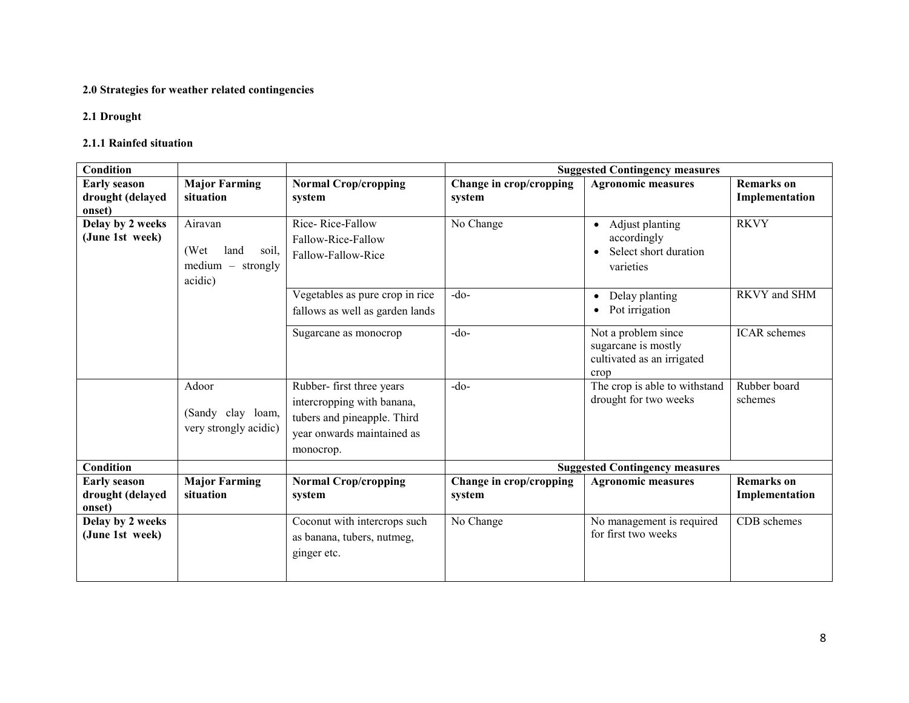#### 2.0 Strategies for weather related contingencies

# 2.1 Drought

### 2.1.1 Rainfed situation

| Condition           |                       |                                 | <b>Suggested Contingency measures</b> |                                                  |                     |
|---------------------|-----------------------|---------------------------------|---------------------------------------|--------------------------------------------------|---------------------|
| <b>Early season</b> | <b>Major Farming</b>  | <b>Normal Crop/cropping</b>     | Change in crop/cropping               | <b>Agronomic measures</b>                        | <b>Remarks</b> on   |
| drought (delayed    | situation             | system                          | system                                |                                                  | Implementation      |
| onset)              |                       |                                 |                                       |                                                  |                     |
| Delay by 2 weeks    | Airavan               | Rice-Rice-Fallow                | No Change                             | Adjust planting<br>$\bullet$                     | <b>RKVY</b>         |
| (June 1st week)     |                       | Fallow-Rice-Fallow              |                                       | accordingly                                      |                     |
|                     | (Wet<br>land<br>soil. | Fallow-Fallow-Rice              |                                       | Select short duration                            |                     |
|                     | $median - strongly$   |                                 |                                       | varieties                                        |                     |
|                     | acidic)               |                                 |                                       |                                                  |                     |
|                     |                       | Vegetables as pure crop in rice | $-do-$                                | Delay planting<br>$\bullet$                      | RKVY and SHM        |
|                     |                       | fallows as well as garden lands |                                       | Pot irrigation                                   |                     |
|                     |                       | Sugarcane as monocrop           | $-do-$                                | Not a problem since                              | <b>ICAR</b> schemes |
|                     |                       |                                 |                                       | sugarcane is mostly                              |                     |
|                     |                       |                                 |                                       | cultivated as an irrigated                       |                     |
|                     |                       |                                 |                                       | crop                                             |                     |
|                     | Adoor                 | Rubber- first three years       | $-do-$                                | The crop is able to withstand                    | Rubber board        |
|                     |                       | intercropping with banana,      |                                       | drought for two weeks                            | schemes             |
|                     | (Sandy clay loam,     | tubers and pineapple. Third     |                                       |                                                  |                     |
|                     | very strongly acidic) | year onwards maintained as      |                                       |                                                  |                     |
|                     |                       | monocrop.                       |                                       |                                                  |                     |
| <b>Condition</b>    |                       |                                 |                                       | <b>Suggested Contingency measures</b>            |                     |
| <b>Early season</b> | <b>Major Farming</b>  | <b>Normal Crop/cropping</b>     | Change in crop/cropping               | <b>Agronomic measures</b>                        | <b>Remarks</b> on   |
| drought (delayed    | situation             | system                          | system                                |                                                  | Implementation      |
| onset)              |                       |                                 |                                       |                                                  |                     |
| Delay by 2 weeks    |                       | Coconut with intercrops such    | No Change                             | No management is required<br>for first two weeks | CDB schemes         |
| (June 1st week)     |                       | as banana, tubers, nutmeg,      |                                       |                                                  |                     |
|                     |                       | ginger etc.                     |                                       |                                                  |                     |
|                     |                       |                                 |                                       |                                                  |                     |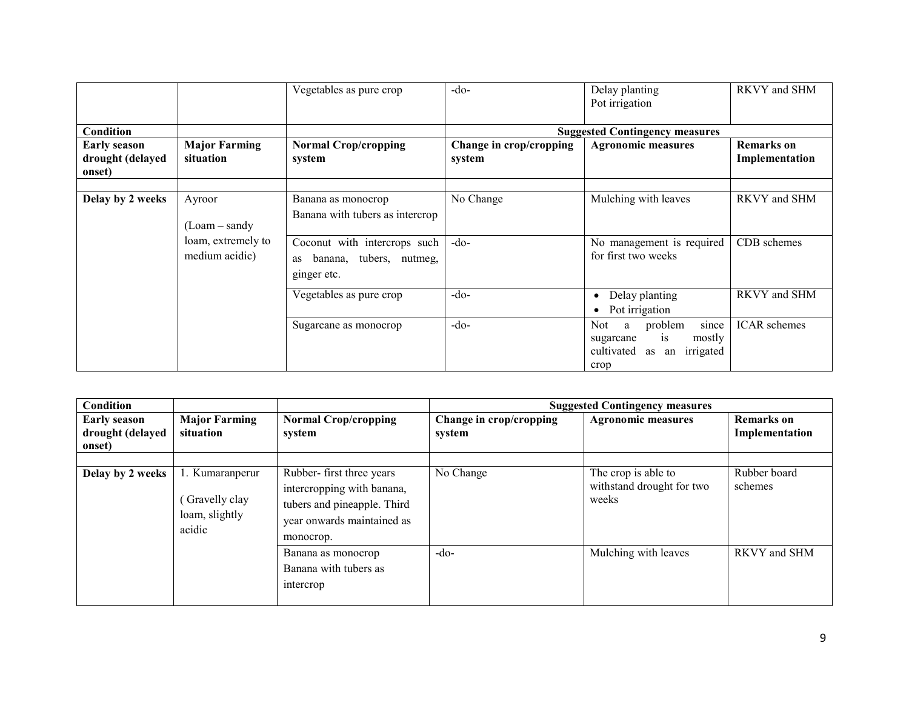|                                                   |                                      | Vegetables as pure crop                                                      | $-do-$                            | Delay planting<br>Pot irrigation                                                                | RKVY and SHM                        |
|---------------------------------------------------|--------------------------------------|------------------------------------------------------------------------------|-----------------------------------|-------------------------------------------------------------------------------------------------|-------------------------------------|
| Condition                                         |                                      |                                                                              |                                   | <b>Suggested Contingency measures</b>                                                           |                                     |
| <b>Early season</b><br>drought (delayed<br>onset) | <b>Major Farming</b><br>situation    | <b>Normal Crop/cropping</b><br>system                                        | Change in crop/cropping<br>system | <b>Agronomic measures</b>                                                                       | <b>Remarks</b> on<br>Implementation |
| Delay by 2 weeks                                  | Ayroor<br>(Loam – sandy              | Banana as monocrop<br>Banana with tubers as intercrop                        | No Change                         | Mulching with leaves                                                                            | RKVY and SHM                        |
|                                                   | loam, extremely to<br>medium acidic) | Coconut with intercrops such<br>banana, tubers, nutmeg,<br>as<br>ginger etc. | $-do$                             | No management is required<br>for first two weeks                                                | CDB schemes                         |
|                                                   |                                      | Vegetables as pure crop                                                      | $-do-$                            | Delay planting<br>$\bullet$<br>Pot irrigation<br>$\bullet$                                      | RKVY and SHM                        |
|                                                   |                                      | Sugarcane as monocrop                                                        | $-do-$                            | Not<br>problem<br>a<br>since<br>is<br>mostly<br>sugarcane<br>cultivated as an irrigated<br>crop | <b>ICAR</b> schemes                 |

| <b>Condition</b>                                  |                                                              |                                                                                                                                  |                                   | <b>Suggested Contingency measures</b>                     |                                     |
|---------------------------------------------------|--------------------------------------------------------------|----------------------------------------------------------------------------------------------------------------------------------|-----------------------------------|-----------------------------------------------------------|-------------------------------------|
| <b>Early season</b><br>drought (delayed<br>onset) | <b>Major Farming</b><br>situation                            | <b>Normal Crop/cropping</b><br>system                                                                                            | Change in crop/cropping<br>system | <b>Agronomic measures</b>                                 | <b>Remarks</b> on<br>Implementation |
| Delay by 2 weeks                                  | 1. Kumaranperur<br>Gravelly clay<br>loam, slightly<br>acidic | Rubber-first three years<br>intercropping with banana,<br>tubers and pineapple. Third<br>year onwards maintained as<br>monocrop. | No Change                         | The crop is able to<br>withstand drought for two<br>weeks | Rubber board<br>schemes             |
|                                                   |                                                              | Banana as monocrop<br>Banana with tubers as<br>intercrop                                                                         | $-do-$                            | Mulching with leaves                                      | RKVY and SHM                        |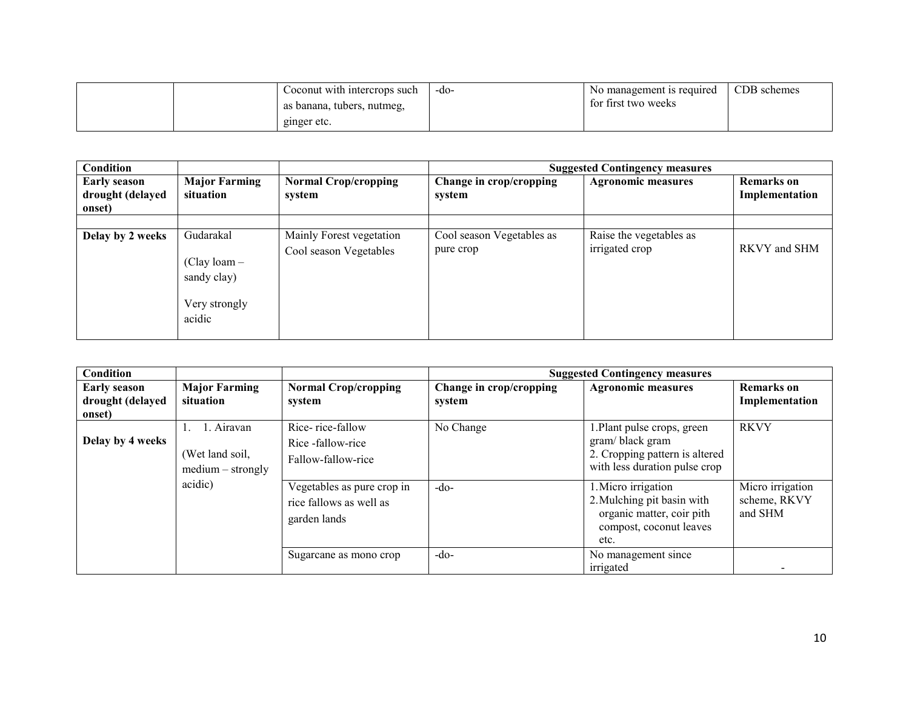|  | Coconut with intercrops such | -do- | No management is required | CDB schemes |
|--|------------------------------|------|---------------------------|-------------|
|  | as banana, tubers, nutmeg,   |      | for first two weeks       |             |
|  | ginger etc.                  |      |                           |             |

| Condition                                         |                                                                       |                                                    |                                        | <b>Suggested Contingency measures</b>     |                                     |
|---------------------------------------------------|-----------------------------------------------------------------------|----------------------------------------------------|----------------------------------------|-------------------------------------------|-------------------------------------|
| <b>Early season</b><br>drought (delayed<br>onset) | <b>Major Farming</b><br>situation                                     | <b>Normal Crop/cropping</b><br>system              | Change in crop/cropping<br>system      | <b>Agronomic measures</b>                 | <b>Remarks</b> on<br>Implementation |
|                                                   |                                                                       |                                                    |                                        |                                           |                                     |
| Delay by 2 weeks                                  | Gudarakal<br>$(Clay loan -$<br>sandy clay)<br>Very strongly<br>acidic | Mainly Forest vegetation<br>Cool season Vegetables | Cool season Vegetables as<br>pure crop | Raise the vegetables as<br>irrigated crop | RKVY and SHM                        |

| <b>Condition</b>                                  |                                                      |                                                                       |                                   | <b>Suggested Contingency measures</b>                                                                             |                                             |
|---------------------------------------------------|------------------------------------------------------|-----------------------------------------------------------------------|-----------------------------------|-------------------------------------------------------------------------------------------------------------------|---------------------------------------------|
| <b>Early season</b><br>drought (delayed<br>onset) | <b>Major Farming</b><br>situation                    | <b>Normal Crop/cropping</b><br>system                                 | Change in crop/cropping<br>system | <b>Agronomic measures</b>                                                                                         | <b>Remarks</b> on<br>Implementation         |
| Delay by 4 weeks                                  | 1. Airavan<br>(Wet land soil,<br>$medium - strongly$ | Rice-rice-fallow<br>Rice -fallow-rice<br>Fallow-fallow-rice           | No Change                         | 1. Plant pulse crops, green<br>gram/black gram<br>2. Cropping pattern is altered<br>with less duration pulse crop | <b>RKVY</b>                                 |
|                                                   | acidic)                                              | Vegetables as pure crop in<br>rice fallows as well as<br>garden lands | $-do-$                            | 1. Micro irrigation<br>2. Mulching pit basin with<br>organic matter, coir pith<br>compost, coconut leaves<br>etc. | Micro irrigation<br>scheme, RKVY<br>and SHM |
|                                                   |                                                      | Sugarcane as mono crop                                                | $-do-$                            | No management since<br>irrigated                                                                                  |                                             |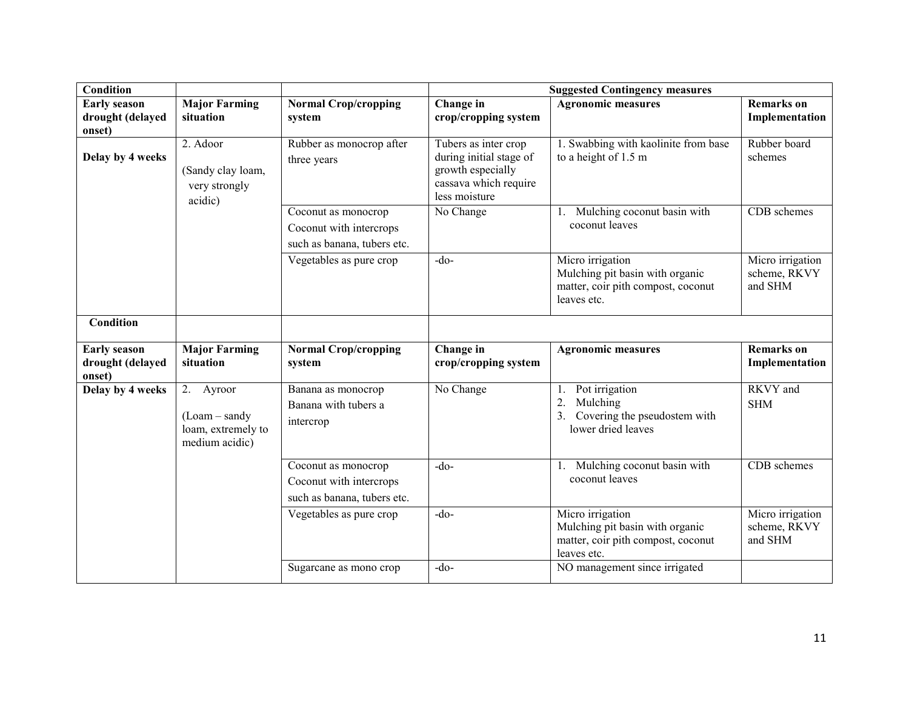| <b>Condition</b>                                  |                                                                     |                                                                               | <b>Suggested Contingency measures</b>                                                                          |                                                                                                          |                                             |  |
|---------------------------------------------------|---------------------------------------------------------------------|-------------------------------------------------------------------------------|----------------------------------------------------------------------------------------------------------------|----------------------------------------------------------------------------------------------------------|---------------------------------------------|--|
| <b>Early season</b>                               | <b>Major Farming</b>                                                | <b>Normal Crop/cropping</b>                                                   | Change in                                                                                                      | <b>Agronomic measures</b>                                                                                | <b>Remarks</b> on                           |  |
| drought (delayed<br>onset)                        | situation                                                           | system                                                                        | crop/cropping system                                                                                           |                                                                                                          | Implementation                              |  |
| Delay by 4 weeks                                  | 2. Adoor<br>(Sandy clay loam,<br>very strongly<br>acidic)           | Rubber as monocrop after<br>three years                                       | Tubers as inter crop<br>during initial stage of<br>growth especially<br>cassava which require<br>less moisture | 1. Swabbing with kaolinite from base<br>to a height of 1.5 m                                             | Rubber board<br>schemes                     |  |
|                                                   |                                                                     | Coconut as monocrop<br>Coconut with intercrops<br>such as banana, tubers etc. | No Change                                                                                                      | Mulching coconut basin with<br>1.<br>coconut leaves                                                      | <b>CDB</b> schemes                          |  |
|                                                   |                                                                     | Vegetables as pure crop                                                       | $-do$                                                                                                          | Micro irrigation<br>Mulching pit basin with organic<br>matter, coir pith compost, coconut<br>leaves etc. | Micro irrigation<br>scheme, RKVY<br>and SHM |  |
| Condition                                         |                                                                     |                                                                               |                                                                                                                |                                                                                                          |                                             |  |
| <b>Early season</b><br>drought (delayed<br>onset) | <b>Major Farming</b><br>situation                                   | <b>Normal Crop/cropping</b><br>system                                         | Change in<br>crop/cropping system                                                                              | <b>Agronomic measures</b>                                                                                | <b>Remarks</b> on<br>Implementation         |  |
| Delay by 4 weeks                                  | 2. Ayroor<br>$(Loam-sandy)$<br>loam, extremely to<br>medium acidic) | Banana as monocrop<br>Banana with tubers a<br>intercrop                       | No Change                                                                                                      | Pot irrigation<br>$1_{\cdot}$<br>Mulching<br>2.<br>Covering the pseudostem with<br>lower dried leaves    | RKVY and<br><b>SHM</b>                      |  |
|                                                   |                                                                     | Coconut as monocrop<br>Coconut with intercrops<br>such as banana, tubers etc. | $-do$                                                                                                          | 1. Mulching coconut basin with<br>coconut leaves                                                         | CDB schemes                                 |  |
|                                                   |                                                                     | Vegetables as pure crop                                                       | $-do-$                                                                                                         | Micro irrigation<br>Mulching pit basin with organic<br>matter, coir pith compost, coconut<br>leaves etc. | Micro irrigation<br>scheme, RKVY<br>and SHM |  |
|                                                   |                                                                     | Sugarcane as mono crop                                                        | $-do$                                                                                                          | NO management since irrigated                                                                            |                                             |  |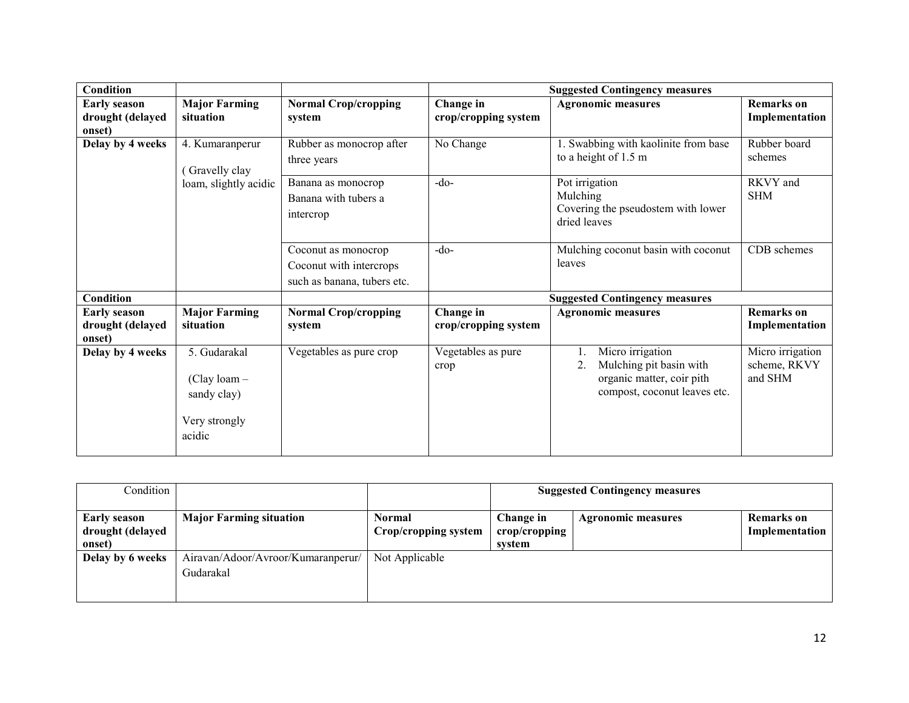| Condition                                         |                                                                          |                                                                               |                                   | <b>Suggested Contingency measures</b>                                                                          |                                             |
|---------------------------------------------------|--------------------------------------------------------------------------|-------------------------------------------------------------------------------|-----------------------------------|----------------------------------------------------------------------------------------------------------------|---------------------------------------------|
| <b>Early season</b><br>drought (delayed<br>onset) | <b>Major Farming</b><br>situation                                        | <b>Normal Crop/cropping</b><br>system                                         | Change in<br>crop/cropping system | <b>Agronomic measures</b>                                                                                      | <b>Remarks</b> on<br>Implementation         |
| Delay by 4 weeks                                  | 4. Kumaranperur<br>Gravelly clay                                         | Rubber as monocrop after<br>three years                                       | No Change                         | 1. Swabbing with kaolinite from base<br>to a height of 1.5 m                                                   | Rubber board<br>schemes                     |
|                                                   | loam, slightly acidic                                                    | Banana as monocrop<br>Banana with tubers a<br>intercrop                       | $-do-$                            | Pot irrigation<br>Mulching<br>Covering the pseudostem with lower<br>dried leaves                               | RKVY and<br><b>SHM</b>                      |
|                                                   |                                                                          | Coconut as monocrop<br>Coconut with intercrops<br>such as banana, tubers etc. | $-do$                             | Mulching coconut basin with coconut<br>leaves                                                                  | CDB schemes                                 |
| <b>Condition</b>                                  |                                                                          |                                                                               |                                   | <b>Suggested Contingency measures</b>                                                                          |                                             |
| <b>Early season</b><br>drought (delayed<br>onset) | <b>Major Farming</b><br>situation                                        | <b>Normal Crop/cropping</b><br>system                                         | Change in<br>crop/cropping system | <b>Agronomic measures</b>                                                                                      | <b>Remarks</b> on<br>Implementation         |
| Delay by 4 weeks                                  | 5. Gudarakal<br>$(Clay loan -$<br>sandy clay)<br>Very strongly<br>acidic | Vegetables as pure crop                                                       | Vegetables as pure<br>crop        | Micro irrigation<br>Mulching pit basin with<br>2.<br>organic matter, coir pith<br>compost, coconut leaves etc. | Micro irrigation<br>scheme, RKVY<br>and SHM |

| Condition           |                                    |                      |               | <b>Suggested Contingency measures</b> |                |
|---------------------|------------------------------------|----------------------|---------------|---------------------------------------|----------------|
| <b>Early season</b> | <b>Major Farming situation</b>     | Normal               | Change in     | <b>Agronomic measures</b>             | Remarks on     |
| drought (delayed    |                                    | Crop/cropping system | crop/cropping |                                       | Implementation |
| onset)              |                                    |                      | system        |                                       |                |
| Delay by 6 weeks    | Airavan/Adoor/Avroor/Kumaranperur/ | Not Applicable       |               |                                       |                |
|                     | Gudarakal                          |                      |               |                                       |                |
|                     |                                    |                      |               |                                       |                |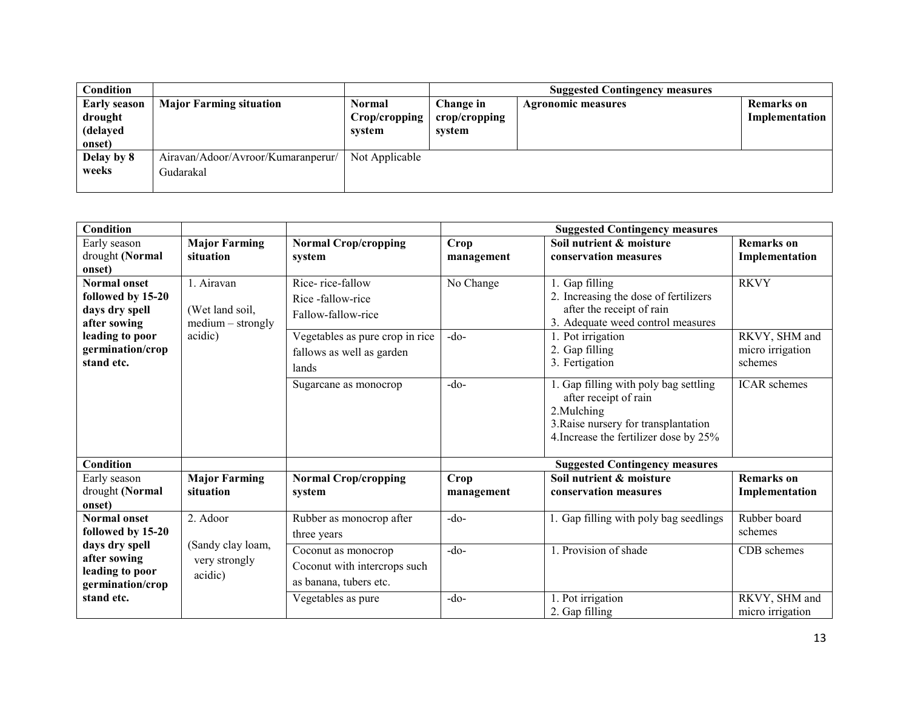| <b>Condition</b>                                     |                                                 |                                          |                                      | <b>Suggested Contingency measures</b> |                              |
|------------------------------------------------------|-------------------------------------------------|------------------------------------------|--------------------------------------|---------------------------------------|------------------------------|
| <b>Early season</b><br>drought<br>(delayed<br>onset) | <b>Major Farming situation</b>                  | <b>Normal</b><br>Crop/cropping<br>system | Change in<br>crop/cropping<br>svstem | <b>Agronomic measures</b>             | Remarks on<br>Implementation |
| Delay by 8<br>weeks                                  | Airavan/Adoor/Avroor/Kumaranperur/<br>Gudarakal | Not Applicable                           |                                      |                                       |                              |

| Condition                           |                      |                                 |            | <b>Suggested Contingency measures</b>                                                                                                                           |                                   |
|-------------------------------------|----------------------|---------------------------------|------------|-----------------------------------------------------------------------------------------------------------------------------------------------------------------|-----------------------------------|
| Early season                        | <b>Major Farming</b> | <b>Normal Crop/cropping</b>     | Crop       | Soil nutrient & moisture                                                                                                                                        | <b>Remarks</b> on                 |
| drought (Normal                     | situation            | system                          | management | conservation measures                                                                                                                                           | Implementation                    |
| onset)                              |                      |                                 |            |                                                                                                                                                                 |                                   |
| <b>Normal onset</b>                 | 1. Airavan           | Rice-rice-fallow                | No Change  | 1. Gap filling                                                                                                                                                  | <b>RKVY</b>                       |
| followed by 15-20                   |                      | Rice-fallow-rice                |            | 2. Increasing the dose of fertilizers                                                                                                                           |                                   |
| days dry spell                      | (Wet land soil,      | Fallow-fallow-rice              |            | after the receipt of rain                                                                                                                                       |                                   |
| after sowing                        | $medium - strongly$  |                                 |            | 3. Adequate weed control measures                                                                                                                               |                                   |
| leading to poor<br>germination/crop | acidic)              | Vegetables as pure crop in rice | $-do-$     | 1. Pot irrigation<br>2. Gap filling                                                                                                                             | RKVY, SHM and<br>micro irrigation |
| stand etc.                          |                      | fallows as well as garden       |            | 3. Fertigation                                                                                                                                                  | schemes                           |
|                                     |                      | lands                           |            |                                                                                                                                                                 |                                   |
|                                     |                      | Sugarcane as monocrop           | $-do-$     | 1. Gap filling with poly bag settling<br>after receipt of rain<br>2. Mulching<br>3. Raise nursery for transplantation<br>4. Increase the fertilizer dose by 25% | <b>ICAR</b> schemes               |
| Condition                           |                      |                                 |            | <b>Suggested Contingency measures</b>                                                                                                                           |                                   |
| Early season                        | <b>Major Farming</b> | <b>Normal Crop/cropping</b>     | Crop       | Soil nutrient & moisture                                                                                                                                        | <b>Remarks</b> on                 |
| drought (Normal                     | situation            | system                          | management | conservation measures                                                                                                                                           | Implementation                    |
| onset)                              |                      |                                 |            |                                                                                                                                                                 |                                   |
| <b>Normal onset</b>                 | 2. Adoor             | Rubber as monocrop after        | $-do-$     | 1. Gap filling with poly bag seedlings                                                                                                                          | Rubber board                      |
| followed by 15-20                   |                      | three years                     |            |                                                                                                                                                                 | schemes                           |
| days dry spell                      | (Sandy clay loam,    | Coconut as monocrop             | $-do-$     | 1. Provision of shade                                                                                                                                           | CDB schemes                       |
| after sowing<br>leading to poor     | very strongly        | Coconut with intercrops such    |            |                                                                                                                                                                 |                                   |
| germination/crop                    | acidic)              | as banana, tubers etc.          |            |                                                                                                                                                                 |                                   |
| stand etc.                          |                      | Vegetables as pure              | $-do-$     | 1. Pot irrigation                                                                                                                                               | RKVY, SHM and                     |
|                                     |                      |                                 |            | 2. Gap filling                                                                                                                                                  | micro irrigation                  |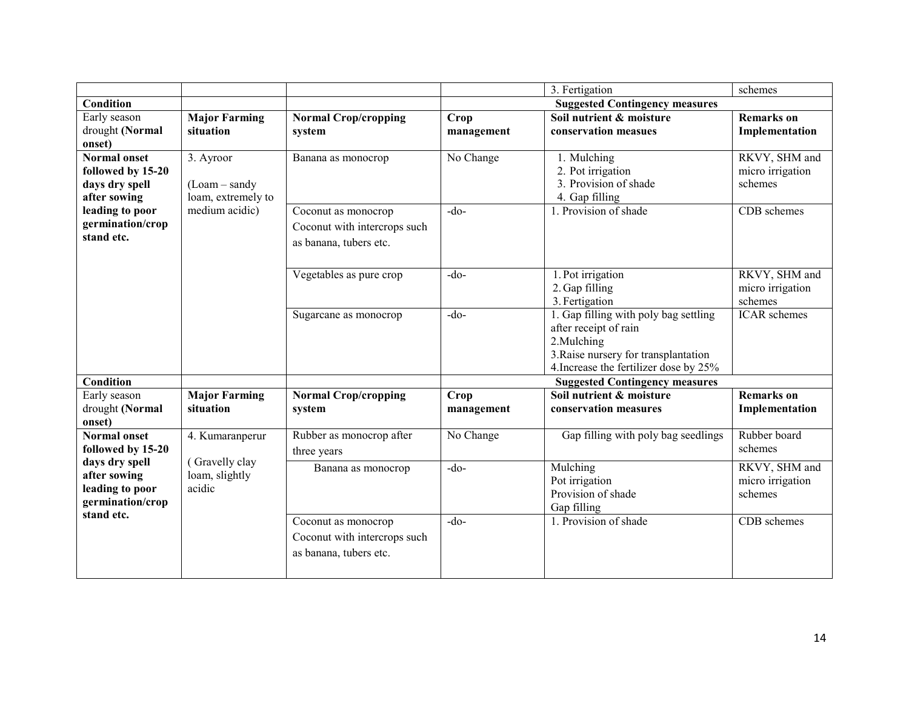|                     |                      |                              | 3. Fertigation<br>schemes |                                        |                     |  |
|---------------------|----------------------|------------------------------|---------------------------|----------------------------------------|---------------------|--|
| <b>Condition</b>    |                      |                              |                           | <b>Suggested Contingency measures</b>  |                     |  |
| Early season        | <b>Major Farming</b> | <b>Normal Crop/cropping</b>  | Crop                      | Soil nutrient & moisture               | <b>Remarks</b> on   |  |
| drought (Normal     | situation            | system                       | management                | conservation measues                   | Implementation      |  |
| onset)              |                      |                              |                           |                                        |                     |  |
| <b>Normal onset</b> | 3. Ayroor            | Banana as monocrop           | No Change                 | 1. Mulching                            | RKVY, SHM and       |  |
| followed by 15-20   |                      |                              |                           | 2. Pot irrigation                      | micro irrigation    |  |
| days dry spell      | $(Loam - sandy)$     |                              |                           | 3. Provision of shade                  | schemes             |  |
| after sowing        | loam, extremely to   |                              |                           | 4. Gap filling                         |                     |  |
| leading to poor     | medium acidic)       | Coconut as monocrop          | $-do$                     | 1. Provision of shade                  | CDB schemes         |  |
| germination/crop    |                      | Coconut with intercrops such |                           |                                        |                     |  |
| stand etc.          |                      | as banana, tubers etc.       |                           |                                        |                     |  |
|                     |                      |                              |                           |                                        |                     |  |
|                     |                      | Vegetables as pure crop      | $-do$                     | 1. Pot irrigation                      | RKVY, SHM and       |  |
|                     |                      |                              |                           | 2. Gap filling                         | micro irrigation    |  |
|                     |                      |                              |                           | 3. Fertigation                         | schemes             |  |
|                     |                      | Sugarcane as monocrop        | $-do-$                    | 1. Gap filling with poly bag settling  | <b>ICAR</b> schemes |  |
|                     |                      |                              |                           | after receipt of rain                  |                     |  |
|                     |                      |                              |                           | 2. Mulching                            |                     |  |
|                     |                      |                              |                           | 3. Raise nursery for transplantation   |                     |  |
|                     |                      |                              |                           | 4. Increase the fertilizer dose by 25% |                     |  |
| Condition           |                      |                              |                           | <b>Suggested Contingency measures</b>  |                     |  |
| Early season        | <b>Major Farming</b> | <b>Normal Crop/cropping</b>  | Crop                      | Soil nutrient & moisture               | <b>Remarks</b> on   |  |
| drought (Normal     | situation            | system                       | management                | conservation measures                  | Implementation      |  |
| onset)              |                      |                              |                           |                                        |                     |  |
| <b>Normal onset</b> | 4. Kumaranperur      | Rubber as monocrop after     | No Change                 | Gap filling with poly bag seedlings    | Rubber board        |  |
| followed by 15-20   |                      | three years                  |                           |                                        | schemes             |  |
| days dry spell      | (Gravelly clay       | Banana as monocrop           | $-do$                     | Mulching                               | RKVY, SHM and       |  |
| after sowing        | loam, slightly       |                              |                           | Pot irrigation                         | micro irrigation    |  |
| leading to poor     | acidic               |                              |                           | Provision of shade                     | schemes             |  |
| germination/crop    |                      |                              |                           | Gap filling                            |                     |  |
| stand etc.          |                      | Coconut as monocrop          | $-do$                     | 1. Provision of shade                  | CDB schemes         |  |
|                     |                      | Coconut with intercrops such |                           |                                        |                     |  |
|                     |                      | as banana, tubers etc.       |                           |                                        |                     |  |
|                     |                      |                              |                           |                                        |                     |  |
|                     |                      |                              |                           |                                        |                     |  |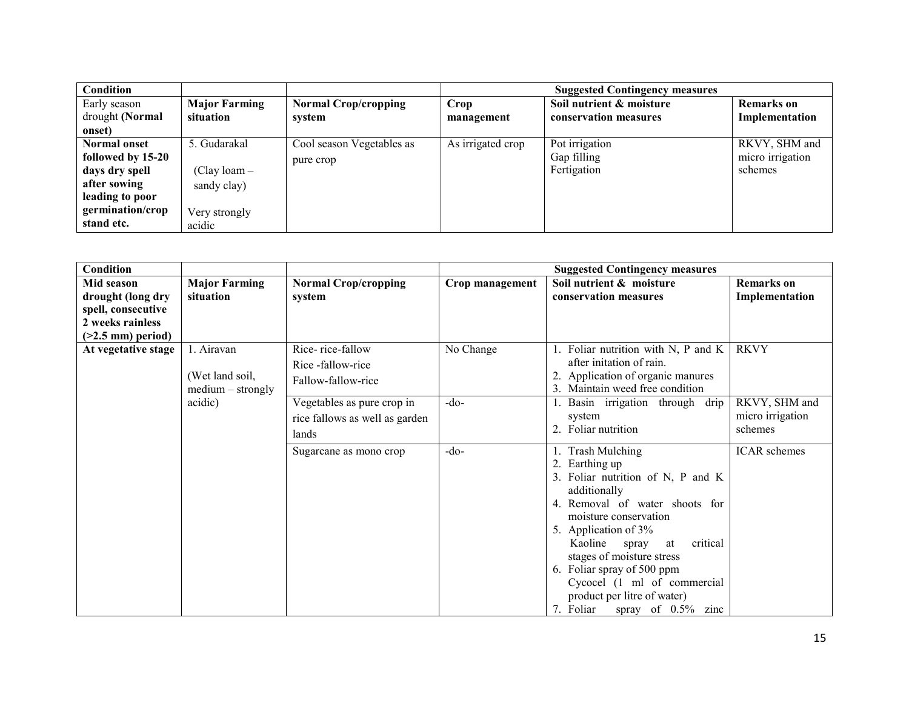| Condition           |                      |                             | <b>Suggested Contingency measures</b> |                          |                   |  |
|---------------------|----------------------|-----------------------------|---------------------------------------|--------------------------|-------------------|--|
| Early season        | <b>Major Farming</b> | <b>Normal Crop/cropping</b> | Crop                                  | Soil nutrient & moisture | <b>Remarks</b> on |  |
| drought (Normal     | situation            | system                      | management                            | conservation measures    | Implementation    |  |
| onset)              |                      |                             |                                       |                          |                   |  |
| <b>Normal onset</b> | 5. Gudarakal         | Cool season Vegetables as   | As irrigated crop                     | Pot irrigation           | RKVY, SHM and     |  |
| followed by 15-20   |                      | pure crop                   |                                       | Gap filling              | micro irrigation  |  |
| days dry spell      | $(Clay loan -$       |                             |                                       | Fertigation              | schemes           |  |
| after sowing        | sandy clay)          |                             |                                       |                          |                   |  |
| leading to poor     |                      |                             |                                       |                          |                   |  |
| germination/crop    | Very strongly        |                             |                                       |                          |                   |  |
| stand etc.          | acidic               |                             |                                       |                          |                   |  |

| Condition                                                                                         |                                                      |                                                                       | <b>Suggested Contingency measures</b> |                                                                                                                                                                                                                                                                                                                                                                            |                                              |  |
|---------------------------------------------------------------------------------------------------|------------------------------------------------------|-----------------------------------------------------------------------|---------------------------------------|----------------------------------------------------------------------------------------------------------------------------------------------------------------------------------------------------------------------------------------------------------------------------------------------------------------------------------------------------------------------------|----------------------------------------------|--|
| Mid season<br>drought (long dry<br>spell, consecutive<br>2 weeks rainless<br>$($ >2.5 mm) period) | <b>Major Farming</b><br>situation                    | <b>Normal Crop/cropping</b><br>system                                 | Crop management                       | Soil nutrient & moisture<br>conservation measures                                                                                                                                                                                                                                                                                                                          | <b>Remarks</b> on<br>Implementation          |  |
| At vegetative stage                                                                               | 1. Airavan<br>(Wet land soil,<br>$medium - strongly$ | Rice-rice-fallow<br>Rice -fallow-rice<br>Fallow-fallow-rice           | No Change                             | Foliar nutrition with N, P and K<br>after initation of rain.<br>Application of organic manures<br>Maintain weed free condition                                                                                                                                                                                                                                             | <b>RKVY</b>                                  |  |
| acidic)                                                                                           |                                                      | Vegetables as pure crop in<br>rice fallows as well as garden<br>lands | $-do-$                                | Basin irrigation through<br>drip<br>system<br>2. Foliar nutrition                                                                                                                                                                                                                                                                                                          | RKVY, SHM and<br>micro irrigation<br>schemes |  |
|                                                                                                   |                                                      | Sugarcane as mono crop                                                | $-do-$                                | Trash Mulching<br>Earthing up<br>3. Foliar nutrition of N, P and K<br>additionally<br>4. Removal of water shoots for<br>moisture conservation<br>5. Application of 3%<br>critical<br>Kaoline<br>spray<br>at<br>stages of moisture stress<br>6. Foliar spray of 500 ppm<br>Cycocel (1 ml of commercial<br>product per litre of water)<br>7. Foliar<br>spray of $0.5\%$ zinc | <b>ICAR</b> schemes                          |  |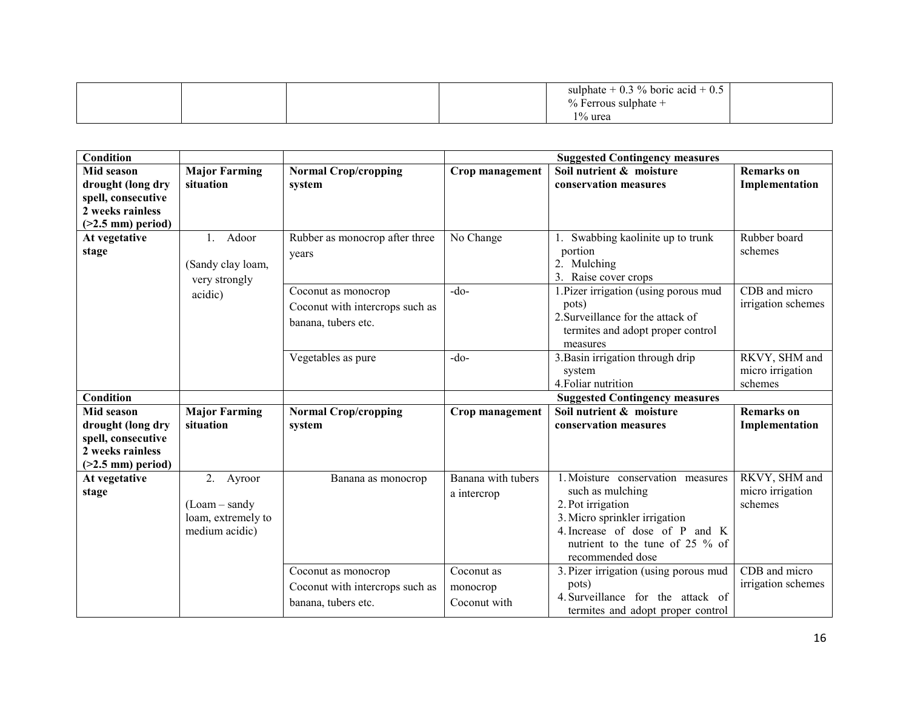|  |  |  |  | $- + 0$<br>$\%$ boric acid + 0.5<br>sulphate<br>U.3<br>Ferrous sulphate $+$<br>1% urea |  |
|--|--|--|--|----------------------------------------------------------------------------------------|--|
|--|--|--|--|----------------------------------------------------------------------------------------|--|

| <b>Condition</b>                                                                                 |                                                                          |                                                                               |                                        | <b>Suggested Contingency measures</b>                                                                                                                                                                |                                              |
|--------------------------------------------------------------------------------------------------|--------------------------------------------------------------------------|-------------------------------------------------------------------------------|----------------------------------------|------------------------------------------------------------------------------------------------------------------------------------------------------------------------------------------------------|----------------------------------------------|
| Mid season<br>drought (long dry<br>spell, consecutive<br>2 weeks rainless<br>$(>2.5$ mm) period) | <b>Major Farming</b><br>situation                                        | <b>Normal Crop/cropping</b><br>system                                         | Crop management                        | Soil nutrient & moisture<br>conservation measures                                                                                                                                                    | <b>Remarks</b> on<br>Implementation          |
| At vegetative<br>stage                                                                           | Adoor<br>1.<br>(Sandy clay loam,<br>very strongly                        | Rubber as monocrop after three<br>years                                       | No Change                              | 1. Swabbing kaolinite up to trunk<br>portion<br>2. Mulching<br>3. Raise cover crops                                                                                                                  | Rubber board<br>schemes                      |
| acidic)                                                                                          |                                                                          | Coconut as monocrop<br>Coconut with intercrops such as<br>banana, tubers etc. | $-do-$                                 | 1. Pizer irrigation (using porous mud<br>pots)<br>2. Surveillance for the attack of<br>termites and adopt proper control<br>measures                                                                 | CDB and micro<br>irrigation schemes          |
|                                                                                                  |                                                                          | Vegetables as pure                                                            | $-do-$                                 | 3. Basin irrigation through drip<br>system<br>4. Foliar nutrition                                                                                                                                    | RKVY, SHM and<br>micro irrigation<br>schemes |
| <b>Condition</b>                                                                                 |                                                                          |                                                                               |                                        | <b>Suggested Contingency measures</b>                                                                                                                                                                |                                              |
| Mid season<br>drought (long dry<br>spell, consecutive<br>2 weeks rainless<br>$(>2.5$ mm) period) | <b>Major Farming</b><br>situation                                        | <b>Normal Crop/cropping</b><br>system                                         | Crop management                        | Soil nutrient & moisture<br>conservation measures                                                                                                                                                    | <b>Remarks</b> on<br>Implementation          |
| At vegetative<br>stage                                                                           | 2.<br>Ayroor<br>$(Loam - sandy)$<br>loam, extremely to<br>medium acidic) | Banana as monocrop                                                            | Banana with tubers<br>a intercrop      | 1. Moisture conservation measures<br>such as mulching<br>2. Pot irrigation<br>3. Micro sprinkler irrigation<br>4. Increase of dose of P and K<br>nutrient to the tune of 25 % of<br>recommended dose | RKVY, SHM and<br>micro irrigation<br>schemes |
|                                                                                                  |                                                                          | Coconut as monocrop<br>Coconut with intercrops such as<br>banana, tubers etc. | Coconut as<br>monocrop<br>Coconut with | 3. Pizer irrigation (using porous mud<br>pots)<br>4. Surveillance for the attack of<br>termites and adopt proper control                                                                             | CDB and micro<br>irrigation schemes          |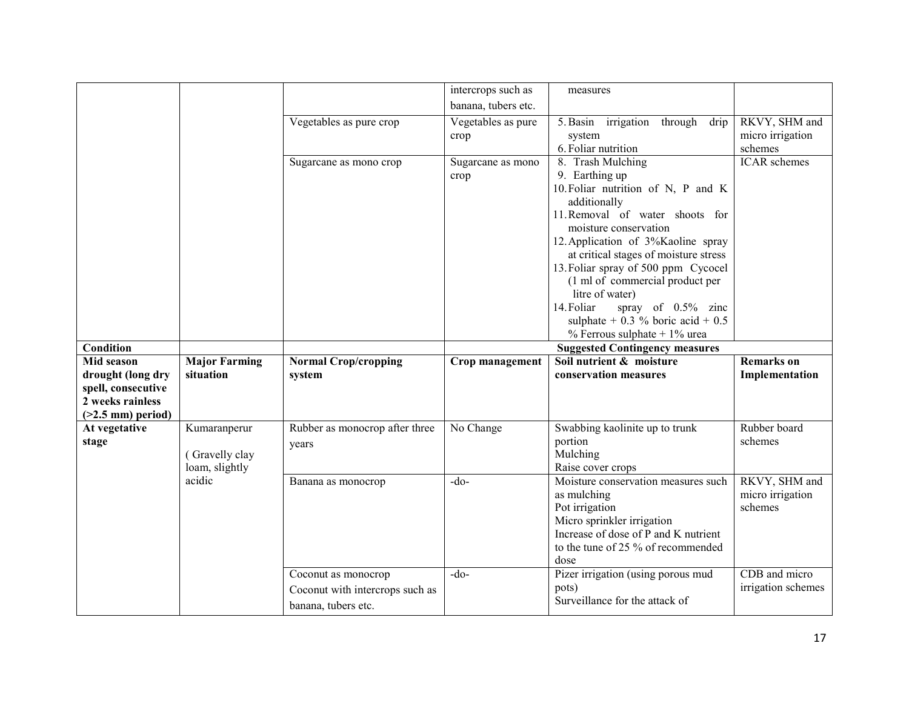|                     |                      |                                                        | intercrops such as  | measures                                                               |                     |
|---------------------|----------------------|--------------------------------------------------------|---------------------|------------------------------------------------------------------------|---------------------|
|                     |                      |                                                        | banana, tubers etc. |                                                                        |                     |
|                     |                      | Vegetables as pure crop                                | Vegetables as pure  | 5. Basin irrigation through<br>drip                                    | RKVY, SHM and       |
|                     |                      |                                                        | crop                | system                                                                 | micro irrigation    |
|                     |                      |                                                        |                     | 6. Foliar nutrition                                                    | schemes             |
|                     |                      | Sugarcane as mono crop                                 | Sugarcane as mono   | 8. Trash Mulching                                                      | <b>ICAR</b> schemes |
|                     |                      |                                                        | crop                | 9. Earthing up                                                         |                     |
|                     |                      |                                                        |                     | 10. Foliar nutrition of N, P and K                                     |                     |
|                     |                      |                                                        |                     | additionally                                                           |                     |
|                     |                      |                                                        |                     | 11. Removal of water shoots for                                        |                     |
|                     |                      |                                                        |                     | moisture conservation                                                  |                     |
|                     |                      |                                                        |                     | 12. Application of 3%Kaoline spray                                     |                     |
|                     |                      |                                                        |                     | at critical stages of moisture stress                                  |                     |
|                     |                      |                                                        |                     | 13. Foliar spray of 500 ppm Cycocel<br>(1 ml of commercial product per |                     |
|                     |                      |                                                        |                     | litre of water)                                                        |                     |
|                     |                      |                                                        |                     | spray of 0.5% zinc<br>14. Foliar                                       |                     |
|                     |                      |                                                        |                     | sulphate $+$ 0.3 % boric acid $+$ 0.5                                  |                     |
|                     |                      |                                                        |                     | % Ferrous sulphate $+1\%$ urea                                         |                     |
|                     |                      |                                                        |                     |                                                                        |                     |
| <b>Condition</b>    |                      |                                                        |                     |                                                                        |                     |
| Mid season          | <b>Major Farming</b> |                                                        |                     | <b>Suggested Contingency measures</b><br>Soil nutrient & moisture      | <b>Remarks</b> on   |
| drought (long dry   | situation            | <b>Normal Crop/cropping</b><br>system                  | Crop management     | conservation measures                                                  | Implementation      |
| spell, consecutive  |                      |                                                        |                     |                                                                        |                     |
| 2 weeks rainless    |                      |                                                        |                     |                                                                        |                     |
| $(>2.5$ mm) period) |                      |                                                        |                     |                                                                        |                     |
| At vegetative       | Kumaranperur         | Rubber as monocrop after three                         | No Change           | Swabbing kaolinite up to trunk                                         | Rubber board        |
| stage               |                      | years                                                  |                     | portion                                                                | schemes             |
|                     | (Gravelly clay       |                                                        |                     | Mulching                                                               |                     |
|                     | loam, slightly       |                                                        |                     | Raise cover crops                                                      |                     |
|                     | acidic               | Banana as monocrop                                     | $-do-$              | Moisture conservation measures such                                    | RKVY, SHM and       |
|                     |                      |                                                        |                     | as mulching                                                            | micro irrigation    |
|                     |                      |                                                        |                     | Pot irrigation                                                         | schemes             |
|                     |                      |                                                        |                     | Micro sprinkler irrigation                                             |                     |
|                     |                      |                                                        |                     | Increase of dose of P and K nutrient                                   |                     |
|                     |                      |                                                        |                     | to the tune of 25 % of recommended                                     |                     |
|                     |                      |                                                        | $-do$               | dose                                                                   | CDB and micro       |
|                     |                      | Coconut as monocrop                                    |                     | Pizer irrigation (using porous mud<br>pots)                            | irrigation schemes  |
|                     |                      | Coconut with intercrops such as<br>banana, tubers etc. |                     | Surveillance for the attack of                                         |                     |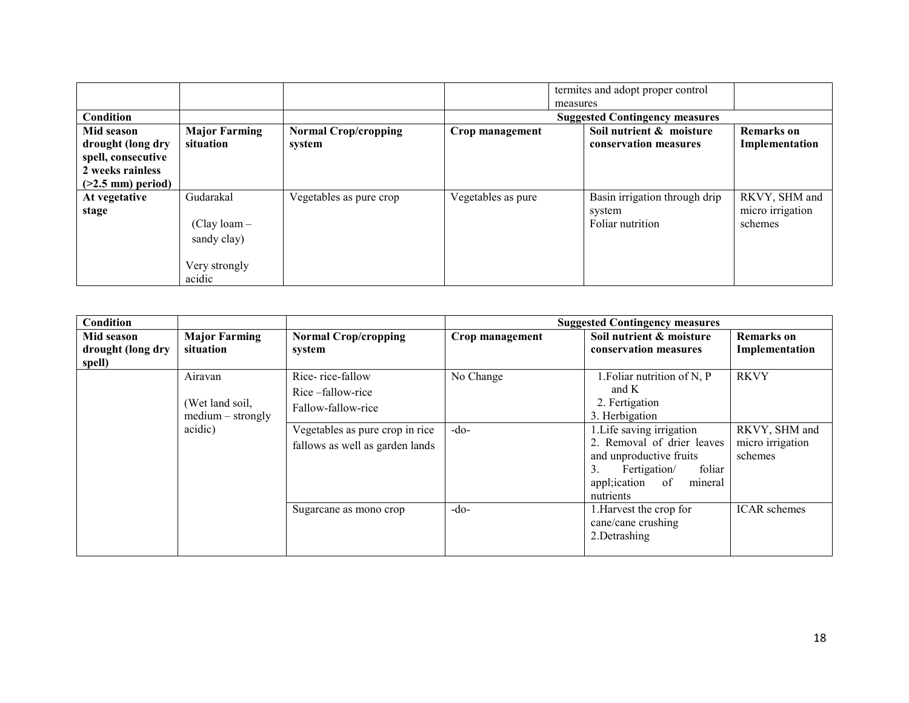|                     |                      |                             |                    |          | termites and adopt proper control     |                  |
|---------------------|----------------------|-----------------------------|--------------------|----------|---------------------------------------|------------------|
|                     |                      |                             |                    | measures |                                       |                  |
| Condition           |                      |                             |                    |          | <b>Suggested Contingency measures</b> |                  |
| Mid season          | <b>Major Farming</b> | <b>Normal Crop/cropping</b> | Crop management    |          | Soil nutrient & moisture              | Remarks on       |
| drought (long dry   | situation            | system                      |                    |          | conservation measures                 | Implementation   |
| spell, consecutive  |                      |                             |                    |          |                                       |                  |
| 2 weeks rainless    |                      |                             |                    |          |                                       |                  |
| $(>2.5$ mm) period) |                      |                             |                    |          |                                       |                  |
| At vegetative       | Gudarakal            | Vegetables as pure crop     | Vegetables as pure |          | Basin irrigation through drip         | RKVY, SHM and    |
| stage               |                      |                             |                    |          | system                                | micro irrigation |
|                     | $(Clay loan -$       |                             |                    |          | Foliar nutrition                      | schemes          |
|                     | sandy clay)          |                             |                    |          |                                       |                  |
|                     |                      |                             |                    |          |                                       |                  |
|                     | Very strongly        |                             |                    |          |                                       |                  |
|                     | acidic               |                             |                    |          |                                       |                  |

| Condition         |                      |                                 |                 | <b>Suggested Contingency measures</b> |                     |
|-------------------|----------------------|---------------------------------|-----------------|---------------------------------------|---------------------|
| Mid season        | <b>Major Farming</b> | <b>Normal Crop/cropping</b>     | Crop management | Soil nutrient & moisture              | <b>Remarks</b> on   |
| drought (long dry | situation            | system                          |                 | conservation measures                 | Implementation      |
| spell)            |                      |                                 |                 |                                       |                     |
|                   | Airavan              | Rice-rice-fallow                | No Change       | 1. Foliar nutrition of N, P           | <b>RKVY</b>         |
|                   |                      | Rice-fallow-rice                |                 | and K                                 |                     |
|                   | (Wet land soil,      | Fallow-fallow-rice              |                 | 2. Fertigation                        |                     |
|                   | $medium - strongly$  |                                 |                 | 3. Herbigation                        |                     |
|                   | acidic)              | Vegetables as pure crop in rice | $-do-$          | 1. Life saving irrigation             | RKVY, SHM and       |
|                   |                      | fallows as well as garden lands |                 | 2. Removal of drier leaves            | micro irrigation    |
|                   |                      |                                 |                 | and unproductive fruits               | schemes             |
|                   |                      |                                 |                 | foliar<br>3.<br>Fertigation/          |                     |
|                   |                      |                                 |                 | appl; ication<br>mineral<br>of        |                     |
|                   |                      |                                 |                 | nutrients                             |                     |
|                   |                      | Sugarcane as mono crop          | $-do-$          | 1. Harvest the crop for               | <b>ICAR</b> schemes |
|                   |                      |                                 |                 | cane/cane crushing                    |                     |
|                   |                      |                                 |                 | 2.Detrashing                          |                     |
|                   |                      |                                 |                 |                                       |                     |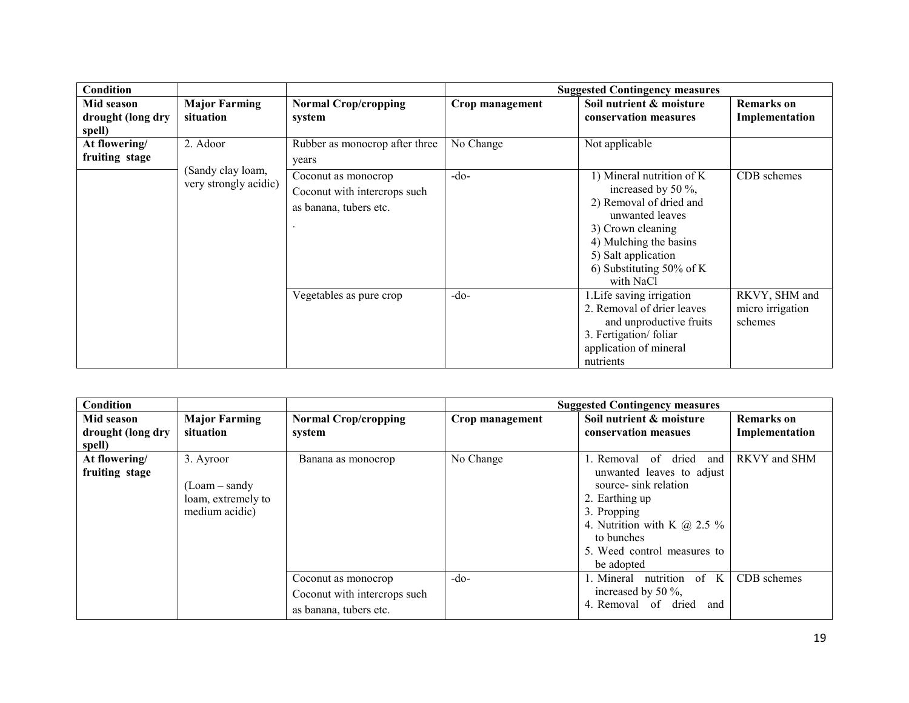| Condition         |                                            |                                                                               |                 | <b>Suggested Contingency measures</b>                                                                                                                                                                               |                                              |
|-------------------|--------------------------------------------|-------------------------------------------------------------------------------|-----------------|---------------------------------------------------------------------------------------------------------------------------------------------------------------------------------------------------------------------|----------------------------------------------|
| Mid season        | <b>Major Farming</b>                       | <b>Normal Crop/cropping</b>                                                   | Crop management | Soil nutrient & moisture                                                                                                                                                                                            | <b>Remarks</b> on                            |
| drought (long dry | situation                                  | system                                                                        |                 | conservation measures                                                                                                                                                                                               | Implementation                               |
| spell)            |                                            |                                                                               |                 |                                                                                                                                                                                                                     |                                              |
| At flowering/     | 2. Adoor                                   | Rubber as monocrop after three                                                | No Change       | Not applicable                                                                                                                                                                                                      |                                              |
| fruiting stage    |                                            | years                                                                         |                 |                                                                                                                                                                                                                     |                                              |
|                   | (Sandy clay loam,<br>very strongly acidic) | Coconut as monocrop<br>Coconut with intercrops such<br>as banana, tubers etc. | $-do-$          | 1) Mineral nutrition of K<br>increased by 50 $\%$ ,<br>2) Removal of dried and<br>unwanted leaves<br>3) Crown cleaning<br>4) Mulching the basins<br>5) Salt application<br>6) Substituting $50\%$ of K<br>with NaCl | CDB schemes                                  |
|                   |                                            | Vegetables as pure crop                                                       | $-do-$          | 1. Life saving irrigation<br>2. Removal of drier leaves<br>and unproductive fruits<br>3. Fertigation/foliar<br>application of mineral<br>nutrients                                                                  | RKVY, SHM and<br>micro irrigation<br>schemes |

| <b>Condition</b>                          |                                                                    |                                                                               |                 | <b>Suggested Contingency measures</b>                                                                                                                                                                                 |                                     |
|-------------------------------------------|--------------------------------------------------------------------|-------------------------------------------------------------------------------|-----------------|-----------------------------------------------------------------------------------------------------------------------------------------------------------------------------------------------------------------------|-------------------------------------|
| Mid season<br>drought (long dry<br>spell) | <b>Major Farming</b><br>situation                                  | <b>Normal Crop/cropping</b><br>system                                         | Crop management | Soil nutrient & moisture<br>conservation measues                                                                                                                                                                      | <b>Remarks</b> on<br>Implementation |
| At flowering/<br>fruiting stage           | 3. Ayroor<br>(Loam – sandy<br>loam, extremely to<br>medium acidic) | Banana as monocrop                                                            | No Change       | of<br>dried<br>Removal<br>and<br>unwanted leaves to adjust<br>source- sink relation<br>2. Earthing up<br>3. Propping<br>4. Nutrition with K $\omega$ 2.5 %<br>to bunches<br>5. Weed control measures to<br>be adopted | RKVY and SHM                        |
|                                           |                                                                    | Coconut as monocrop<br>Coconut with intercrops such<br>as banana, tubers etc. | $-do-$          | nutrition of K<br>. Mineral<br>increased by 50 $\%$ ,<br>4. Removal of dried<br>and                                                                                                                                   | CDB schemes                         |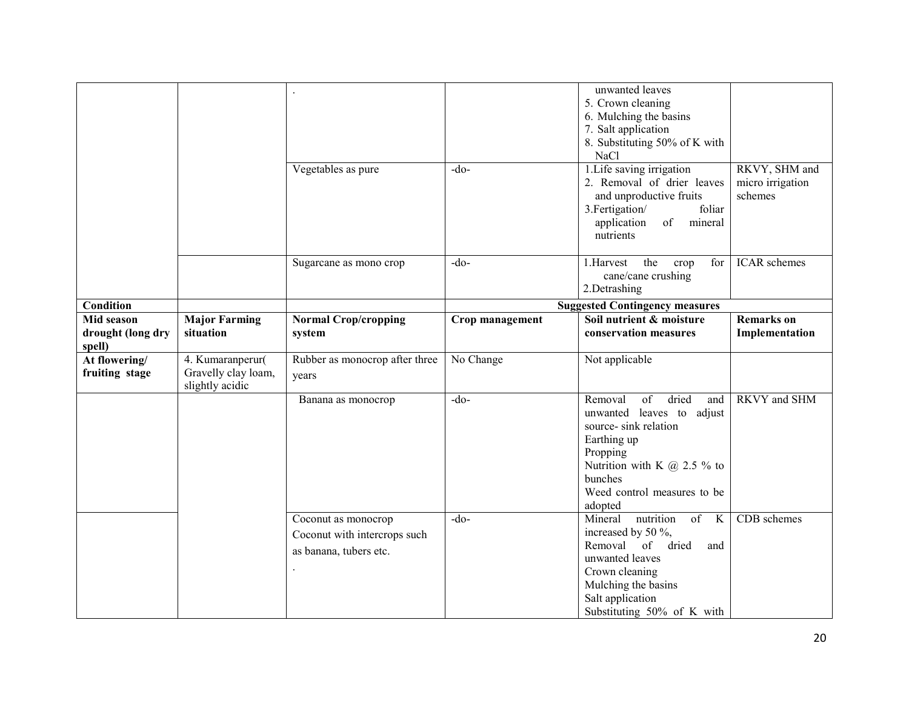|                                           |                                                            | Vegetables as pure                                                            | $-do$           | unwanted leaves<br>5. Crown cleaning<br>6. Mulching the basins<br>7. Salt application<br>8. Substituting 50% of K with<br>NaCl<br>1. Life saving irrigation<br>2. Removal of drier leaves<br>and unproductive fruits<br>3. Fertigation/<br>foliar<br>of<br>application<br>mineral<br>nutrients | RKVY, SHM and<br>micro irrigation<br>schemes |
|-------------------------------------------|------------------------------------------------------------|-------------------------------------------------------------------------------|-----------------|------------------------------------------------------------------------------------------------------------------------------------------------------------------------------------------------------------------------------------------------------------------------------------------------|----------------------------------------------|
|                                           |                                                            | Sugarcane as mono crop                                                        | $-do$           | the<br>1.Harvest<br>crop<br>for<br>cane/cane crushing<br>2.Detrashing                                                                                                                                                                                                                          | <b>ICAR</b> schemes                          |
| <b>Condition</b>                          |                                                            |                                                                               |                 | <b>Suggested Contingency measures</b>                                                                                                                                                                                                                                                          |                                              |
| Mid season<br>drought (long dry<br>spell) | <b>Major Farming</b><br>situation                          | <b>Normal Crop/cropping</b><br>system                                         | Crop management | Soil nutrient & moisture<br>conservation measures                                                                                                                                                                                                                                              | <b>Remarks</b> on<br>Implementation          |
| At flowering/<br>fruiting stage           | 4. Kumaranperur(<br>Gravelly clay loam,<br>slightly acidic | Rubber as monocrop after three<br>years                                       | No Change       | Not applicable                                                                                                                                                                                                                                                                                 |                                              |
|                                           |                                                            | Banana as monocrop                                                            | $-do$           | $\overline{\text{of}}$<br>dried<br>Removal<br>and<br>unwanted leaves to adjust<br>source- sink relation<br>Earthing up<br>Propping<br>Nutrition with K $@$ 2.5 % to<br>bunches<br>Weed control measures to be<br>adopted                                                                       | <b>RKVY</b> and SHM                          |
|                                           |                                                            | Coconut as monocrop<br>Coconut with intercrops such<br>as banana, tubers etc. | $-do-$          | Mineral<br>of<br>nutrition<br>$\bf K$<br>increased by 50 %,<br>Removal of<br>dried<br>and<br>unwanted leaves<br>Crown cleaning<br>Mulching the basins<br>Salt application<br>Substituting 50% of K with                                                                                        | CDB schemes                                  |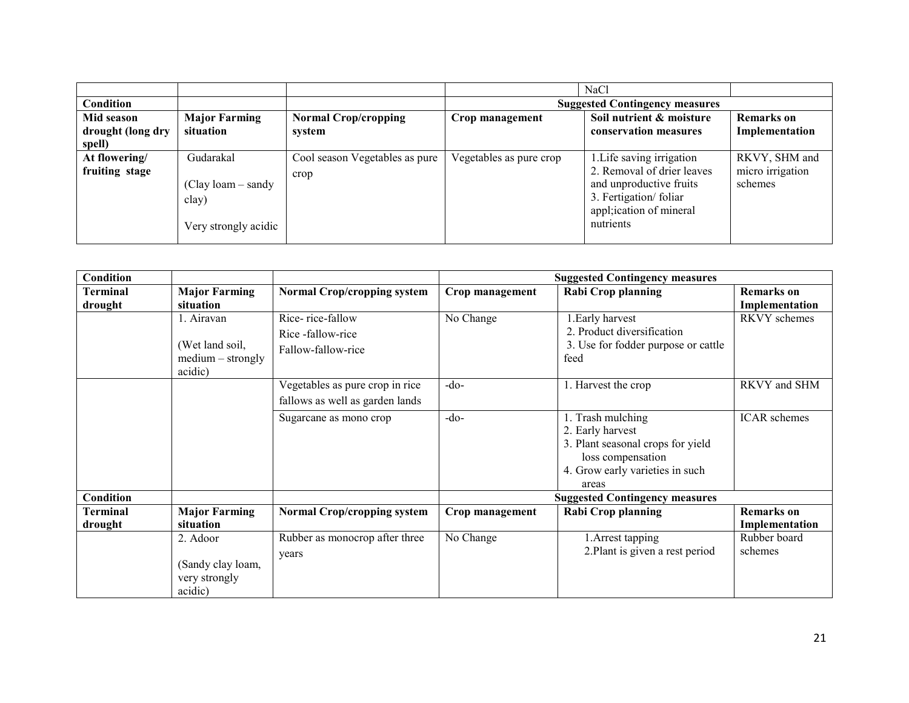|                   |                      |                                |                         | <b>NaCl</b>                           |                   |
|-------------------|----------------------|--------------------------------|-------------------------|---------------------------------------|-------------------|
| Condition         |                      |                                |                         | <b>Suggested Contingency measures</b> |                   |
| Mid season        | <b>Major Farming</b> | <b>Normal Crop/cropping</b>    | Crop management         | Soil nutrient & moisture              | <b>Remarks</b> on |
| drought (long dry | situation            | system                         |                         | conservation measures                 | Implementation    |
| spell)            |                      |                                |                         |                                       |                   |
| At flowering/     | Gudarakal            | Cool season Vegetables as pure | Vegetables as pure crop | 1. Life saving irrigation             | RKVY, SHM and     |
| fruiting stage    |                      | crop                           |                         | 2. Removal of drier leaves            | micro irrigation  |
|                   | $(Clay loan - sandy$ |                                |                         | and unproductive fruits               | schemes           |
|                   | clay)                |                                |                         | 3. Fertigation/foliar                 |                   |
|                   |                      |                                |                         | appl; ication of mineral              |                   |
|                   | Very strongly acidic |                                |                         | nutrients                             |                   |
|                   |                      |                                |                         |                                       |                   |

| Condition           |                                                                 |                                                                    |                 | <b>Suggested Contingency measures</b>                                                                                                       |                                     |
|---------------------|-----------------------------------------------------------------|--------------------------------------------------------------------|-----------------|---------------------------------------------------------------------------------------------------------------------------------------------|-------------------------------------|
| Terminal<br>drought | <b>Major Farming</b><br>situation                               | <b>Normal Crop/cropping system</b>                                 | Crop management | <b>Rabi Crop planning</b>                                                                                                                   | Remarks on<br>Implementation        |
|                     | 1. Airavan<br>(Wet land soil,<br>$medium - strongly$<br>acidic) | Rice-rice-fallow<br>Rice-fallow-rice<br>Fallow-fallow-rice         | No Change       | 1. Early harvest<br>2. Product diversification<br>3. Use for fodder purpose or cattle<br>feed                                               | RKVY schemes                        |
|                     |                                                                 | Vegetables as pure crop in rice<br>fallows as well as garden lands | $-do$           | 1. Harvest the crop                                                                                                                         | RKVY and SHM                        |
|                     |                                                                 | Sugarcane as mono crop                                             | $-do$           | 1. Trash mulching<br>2. Early harvest<br>3. Plant seasonal crops for yield<br>loss compensation<br>4. Grow early varieties in such<br>areas | <b>ICAR</b> schemes                 |
| <b>Condition</b>    |                                                                 |                                                                    |                 | <b>Suggested Contingency measures</b>                                                                                                       |                                     |
| Terminal<br>drought | <b>Major Farming</b><br>situation                               | <b>Normal Crop/cropping system</b>                                 | Crop management | <b>Rabi Crop planning</b>                                                                                                                   | <b>Remarks</b> on<br>Implementation |
|                     | 2. Adoor<br>(Sandy clay loam,<br>very strongly<br>acidic)       | Rubber as monocrop after three<br>years                            | No Change       | 1. Arrest tapping<br>2. Plant is given a rest period                                                                                        | Rubber board<br>schemes             |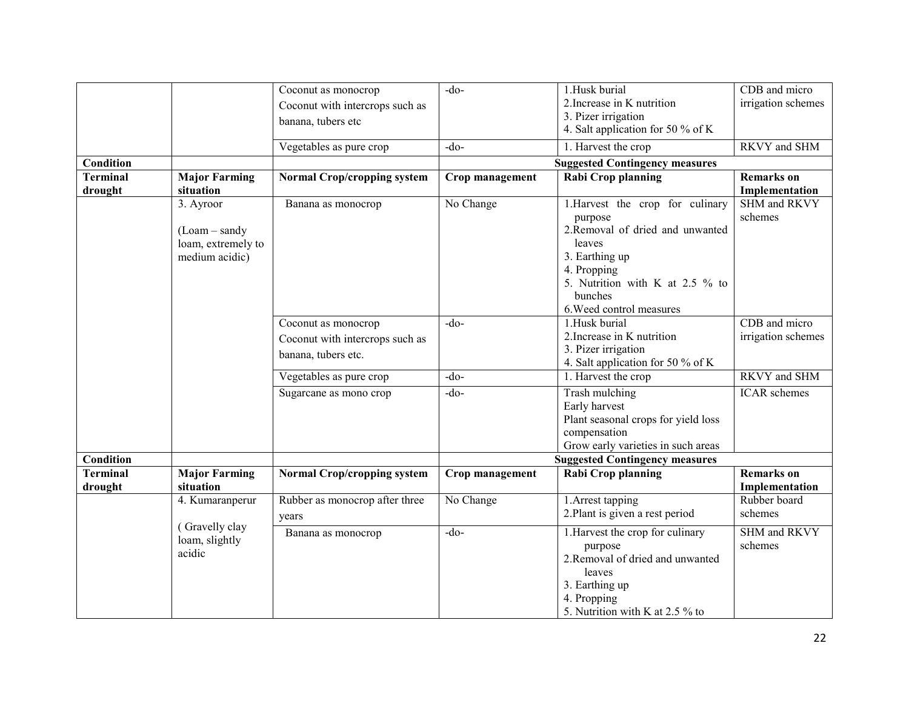|                  |                      |                                    | $-do$           | 1.Husk burial                                  | CDB and micro       |
|------------------|----------------------|------------------------------------|-----------------|------------------------------------------------|---------------------|
|                  |                      | Coconut as monocrop                |                 |                                                |                     |
|                  |                      | Coconut with intercrops such as    |                 | 2. Increase in K nutrition                     | irrigation schemes  |
|                  |                      | banana, tubers etc                 |                 | 3. Pizer irrigation                            |                     |
|                  |                      |                                    |                 | 4. Salt application for 50 % of K              |                     |
|                  |                      | Vegetables as pure crop            | $-do-$          | 1. Harvest the crop                            | RKVY and SHM        |
| <b>Condition</b> |                      |                                    |                 | <b>Suggested Contingency measures</b>          |                     |
| <b>Terminal</b>  | <b>Major Farming</b> | <b>Normal Crop/cropping system</b> | Crop management | Rabi Crop planning                             | <b>Remarks</b> on   |
| drought          | situation            |                                    |                 |                                                | Implementation      |
|                  | 3. Ayroor            | Banana as monocrop                 | No Change       | 1. Harvest the crop for culinary               | SHM and RKVY        |
|                  |                      |                                    |                 | purpose                                        | schemes             |
|                  | $(Loam-sandy)$       |                                    |                 | 2.Removal of dried and unwanted                |                     |
|                  | loam, extremely to   |                                    |                 | leaves                                         |                     |
|                  | medium acidic)       |                                    |                 | 3. Earthing up                                 |                     |
|                  |                      |                                    |                 |                                                |                     |
|                  |                      |                                    |                 | 4. Propping<br>5. Nutrition with K at 2.5 % to |                     |
|                  |                      |                                    |                 |                                                |                     |
|                  |                      |                                    |                 | bunches                                        |                     |
|                  |                      |                                    |                 | 6. Weed control measures                       |                     |
|                  |                      | Coconut as monocrop                | $-do-$          | 1.Husk burial                                  | CDB and micro       |
|                  |                      | Coconut with intercrops such as    |                 | 2. Increase in K nutrition                     | irrigation schemes  |
|                  |                      | banana, tubers etc.                |                 | 3. Pizer irrigation                            |                     |
|                  |                      |                                    |                 | 4. Salt application for 50 % of K              |                     |
|                  |                      | Vegetables as pure crop            | $-do-$          | 1. Harvest the crop                            | RKVY and SHM        |
|                  |                      | Sugarcane as mono crop             | $-do$           | Trash mulching                                 | <b>ICAR</b> schemes |
|                  |                      |                                    |                 | Early harvest                                  |                     |
|                  |                      |                                    |                 | Plant seasonal crops for yield loss            |                     |
|                  |                      |                                    |                 | compensation                                   |                     |
|                  |                      |                                    |                 | Grow early varieties in such areas             |                     |
| <b>Condition</b> |                      |                                    |                 | <b>Suggested Contingency measures</b>          |                     |
| <b>Terminal</b>  | <b>Major Farming</b> | <b>Normal Crop/cropping system</b> | Crop management | Rabi Crop planning                             | <b>Remarks</b> on   |
| drought          | situation            |                                    |                 |                                                | Implementation      |
|                  | 4. Kumaranperur      | Rubber as monocrop after three     | No Change       | 1. Arrest tapping                              | Rubber board        |
|                  |                      | years                              |                 | 2. Plant is given a rest period                | schemes             |
|                  | (Gravelly clay       |                                    |                 |                                                |                     |
|                  | loam, slightly       | Banana as monocrop                 | $-do$           | 1. Harvest the crop for culinary               | SHM and RKVY        |
|                  | acidic               |                                    |                 | purpose                                        | schemes             |
|                  |                      |                                    |                 | 2. Removal of dried and unwanted               |                     |
|                  |                      |                                    |                 | leaves                                         |                     |
|                  |                      |                                    |                 | 3. Earthing up                                 |                     |
|                  |                      |                                    |                 | 4. Propping                                    |                     |
|                  |                      |                                    |                 | 5. Nutrition with K at $2.5\%$ to              |                     |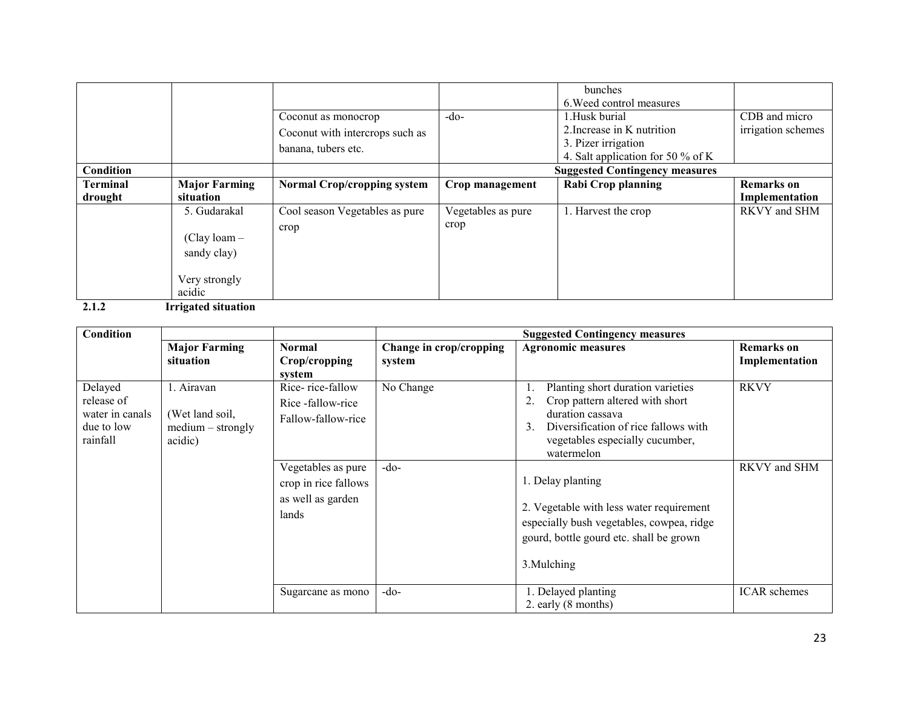|                 |                      |                                    |                    | bunches                               |                    |
|-----------------|----------------------|------------------------------------|--------------------|---------------------------------------|--------------------|
|                 |                      |                                    |                    | 6. Weed control measures              |                    |
|                 |                      | Coconut as monocrop                | $-do-$             | 1.Husk burial                         | CDB and micro      |
|                 |                      | Coconut with intercrops such as    |                    | 2. Increase in K nutrition            | irrigation schemes |
|                 |                      | banana, tubers etc.                |                    | 3. Pizer irrigation                   |                    |
|                 |                      |                                    |                    | 4. Salt application for 50 % of K     |                    |
| Condition       |                      |                                    |                    | <b>Suggested Contingency measures</b> |                    |
| <b>Terminal</b> | <b>Major Farming</b> | <b>Normal Crop/cropping system</b> | Crop management    | <b>Rabi Crop planning</b>             | <b>Remarks</b> on  |
| drought         | situation            |                                    |                    |                                       | Implementation     |
|                 | 5. Gudarakal         | Cool season Vegetables as pure     | Vegetables as pure | 1. Harvest the crop                   | RKVY and SHM       |
|                 |                      | crop                               | crop               |                                       |                    |
|                 | $(Clay loan -$       |                                    |                    |                                       |                    |
|                 | sandy clay)          |                                    |                    |                                       |                    |
|                 |                      |                                    |                    |                                       |                    |
|                 | Very strongly        |                                    |                    |                                       |                    |
|                 | acidic               |                                    |                    |                                       |                    |
|                 |                      |                                    |                    |                                       |                    |

2.1.2 Irrigated situation

| Condition       |                      |                      |                         | <b>Suggested Contingency measures</b>     |                     |
|-----------------|----------------------|----------------------|-------------------------|-------------------------------------------|---------------------|
|                 | <b>Major Farming</b> | <b>Normal</b>        | Change in crop/cropping | <b>Agronomic measures</b>                 | Remarks on          |
|                 | situation            | Crop/cropping        | system                  |                                           | Implementation      |
|                 |                      | system               |                         |                                           |                     |
| Delayed         | 1. Airavan           | Rice-rice-fallow     | No Change               | Planting short duration varieties         | <b>RKVY</b>         |
| release of      |                      | Rice-fallow-rice     |                         | Crop pattern altered with short           |                     |
| water in canals | (Wet land soil,      | Fallow-fallow-rice   |                         | duration cassava                          |                     |
| due to low      | $medium - strongly$  |                      |                         | Diversification of rice fallows with<br>3 |                     |
| rainfall        | acidic)              |                      |                         | vegetables especially cucumber,           |                     |
|                 |                      |                      |                         | watermelon                                |                     |
|                 |                      | Vegetables as pure   | $-do-$                  |                                           | RKVY and SHM        |
|                 |                      | crop in rice fallows |                         | 1. Delay planting                         |                     |
|                 |                      | as well as garden    |                         |                                           |                     |
|                 |                      | lands                |                         | 2. Vegetable with less water requirement  |                     |
|                 |                      |                      |                         | especially bush vegetables, cowpea, ridge |                     |
|                 |                      |                      |                         | gourd, bottle gourd etc. shall be grown   |                     |
|                 |                      |                      |                         |                                           |                     |
|                 |                      |                      |                         | 3. Mulching                               |                     |
|                 |                      |                      |                         |                                           |                     |
|                 |                      | Sugarcane as mono    | $-do-$                  | 1. Delayed planting                       | <b>ICAR</b> schemes |
|                 |                      |                      |                         | 2. early (8 months)                       |                     |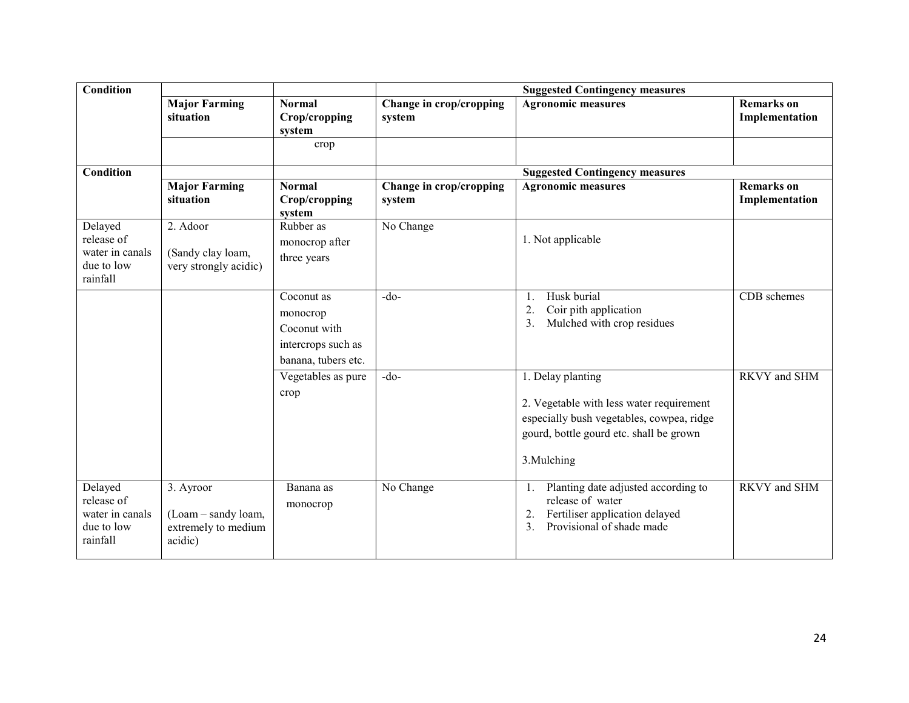| <b>Condition</b>       |                                   |                                |                                   | <b>Suggested Contingency measures</b>                 |                                     |
|------------------------|-----------------------------------|--------------------------------|-----------------------------------|-------------------------------------------------------|-------------------------------------|
|                        | <b>Major Farming</b><br>situation | <b>Normal</b>                  | Change in crop/cropping           | <b>Agronomic measures</b>                             | <b>Remarks</b> on                   |
|                        |                                   | Crop/cropping<br>system        | system                            |                                                       | Implementation                      |
|                        |                                   | crop                           |                                   |                                                       |                                     |
|                        |                                   |                                |                                   |                                                       |                                     |
| <b>Condition</b>       |                                   |                                |                                   | <b>Suggested Contingency measures</b>                 |                                     |
|                        | <b>Major Farming</b><br>situation | <b>Normal</b><br>Crop/cropping | Change in crop/cropping<br>system | <b>Agronomic measures</b>                             | <b>Remarks</b> on<br>Implementation |
|                        |                                   | system                         |                                   |                                                       |                                     |
| Delayed                | 2. Adoor                          | Rubber as                      | No Change                         |                                                       |                                     |
| release of             |                                   | monocrop after                 |                                   | 1. Not applicable                                     |                                     |
| water in canals        | (Sandy clay loam,                 | three years                    |                                   |                                                       |                                     |
| due to low<br>rainfall | very strongly acidic)             |                                |                                   |                                                       |                                     |
|                        |                                   | Coconut as                     | $-do-$                            | Husk burial                                           | CDB schemes                         |
|                        |                                   |                                |                                   | Coir pith application<br>2.                           |                                     |
|                        |                                   | monocrop<br>Coconut with       |                                   | Mulched with crop residues<br>3.                      |                                     |
|                        |                                   |                                |                                   |                                                       |                                     |
|                        |                                   | intercrops such as             |                                   |                                                       |                                     |
|                        |                                   | banana, tubers etc.            |                                   |                                                       |                                     |
|                        |                                   | Vegetables as pure             | $-do-$                            | 1. Delay planting                                     | RKVY and SHM                        |
|                        |                                   | crop                           |                                   | 2. Vegetable with less water requirement              |                                     |
|                        |                                   |                                |                                   | especially bush vegetables, cowpea, ridge             |                                     |
|                        |                                   |                                |                                   | gourd, bottle gourd etc. shall be grown               |                                     |
|                        |                                   |                                |                                   |                                                       |                                     |
|                        |                                   |                                |                                   | 3.Mulching                                            |                                     |
| Delayed                | 3. Ayroor                         | Banana as                      | No Change                         | Planting date adjusted according to<br>$\mathbf{1}$ . | <b>RKVY</b> and SHM                 |
| release of             |                                   | monocrop                       |                                   | release of water                                      |                                     |
| water in canals        | (Loam – sandy loam,               |                                |                                   | Fertiliser application delayed<br>2.                  |                                     |
| due to low             | extremely to medium               |                                |                                   | $\mathfrak{Z}$ .<br>Provisional of shade made         |                                     |
| rainfall               | acidic)                           |                                |                                   |                                                       |                                     |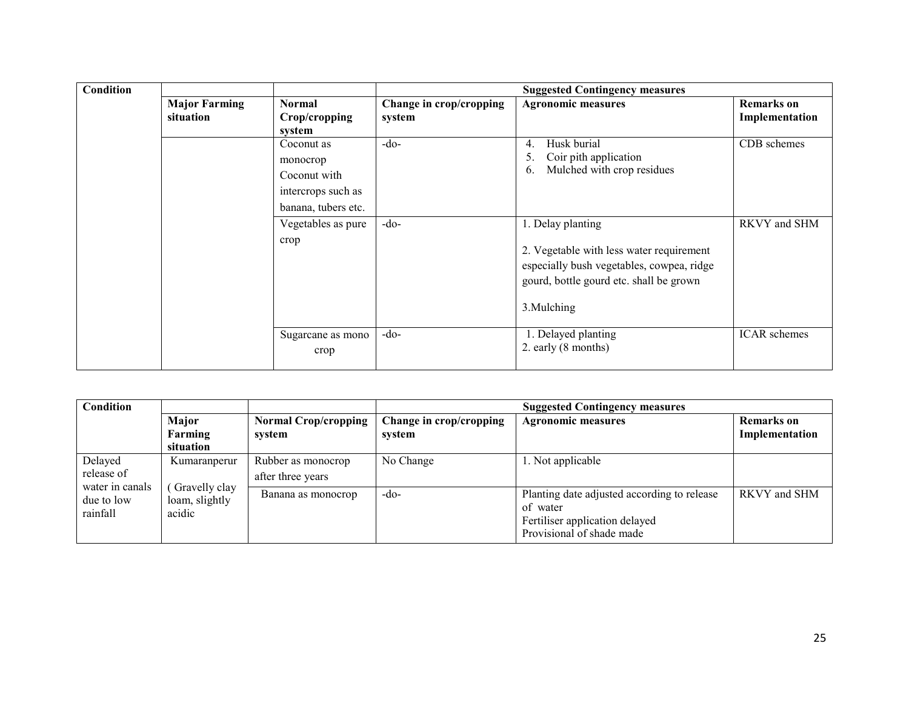| <b>Condition</b> |                                   |                                |                                                  | <b>Suggested Contingency measures</b>                                                                                                           |                                     |
|------------------|-----------------------------------|--------------------------------|--------------------------------------------------|-------------------------------------------------------------------------------------------------------------------------------------------------|-------------------------------------|
|                  | <b>Major Farming</b><br>situation | <b>Normal</b><br>Crop/cropping | Change in crop/cropping<br>system                | <b>Agronomic measures</b>                                                                                                                       | <b>Remarks</b> on<br>Implementation |
|                  |                                   | system                         |                                                  |                                                                                                                                                 |                                     |
|                  | Coconut as                        | $-do-$                         | Husk burial<br>4.<br>Coir pith application<br>5. | CDB schemes                                                                                                                                     |                                     |
|                  |                                   | monocrop                       |                                                  | Mulched with crop residues<br>$\mathfrak{b}$ .                                                                                                  |                                     |
|                  | Coconut with                      |                                |                                                  |                                                                                                                                                 |                                     |
|                  |                                   | intercrops such as             |                                                  |                                                                                                                                                 |                                     |
|                  |                                   | banana, tubers etc.            |                                                  |                                                                                                                                                 |                                     |
|                  |                                   | Vegetables as pure             | $-do-$                                           | 1. Delay planting                                                                                                                               | RKVY and SHM                        |
|                  |                                   | crop                           |                                                  | 2. Vegetable with less water requirement<br>especially bush vegetables, cowpea, ridge<br>gourd, bottle gourd etc. shall be grown<br>3. Mulching |                                     |
|                  |                                   | Sugarcane as mono<br>crop      | $-do-$                                           | 1. Delayed planting<br>2. early (8 months)                                                                                                      | <b>ICAR</b> schemes                 |

| Condition                     |                                 |                             | <b>Suggested Contingency measures</b> |                                             |                   |  |
|-------------------------------|---------------------------------|-----------------------------|---------------------------------------|---------------------------------------------|-------------------|--|
|                               | Major                           | <b>Normal Crop/cropping</b> | Change in crop/cropping               | <b>Agronomic measures</b>                   | <b>Remarks</b> on |  |
|                               | Farming                         | system                      | system                                |                                             | Implementation    |  |
|                               | situation                       |                             |                                       |                                             |                   |  |
| Delayed                       | Kumaranperur                    | Rubber as monocrop          | No Change                             | 1. Not applicable                           |                   |  |
| release of<br>water in canals |                                 | after three years           |                                       |                                             |                   |  |
| due to low                    | Gravelly clay<br>loam, slightly | Banana as monocrop          | $-do-$                                | Planting date adjusted according to release | RKVY and SHM      |  |
| rainfall                      | acidic                          |                             |                                       | of water                                    |                   |  |
|                               |                                 |                             |                                       | Fertiliser application delayed              |                   |  |
|                               |                                 |                             |                                       | Provisional of shade made                   |                   |  |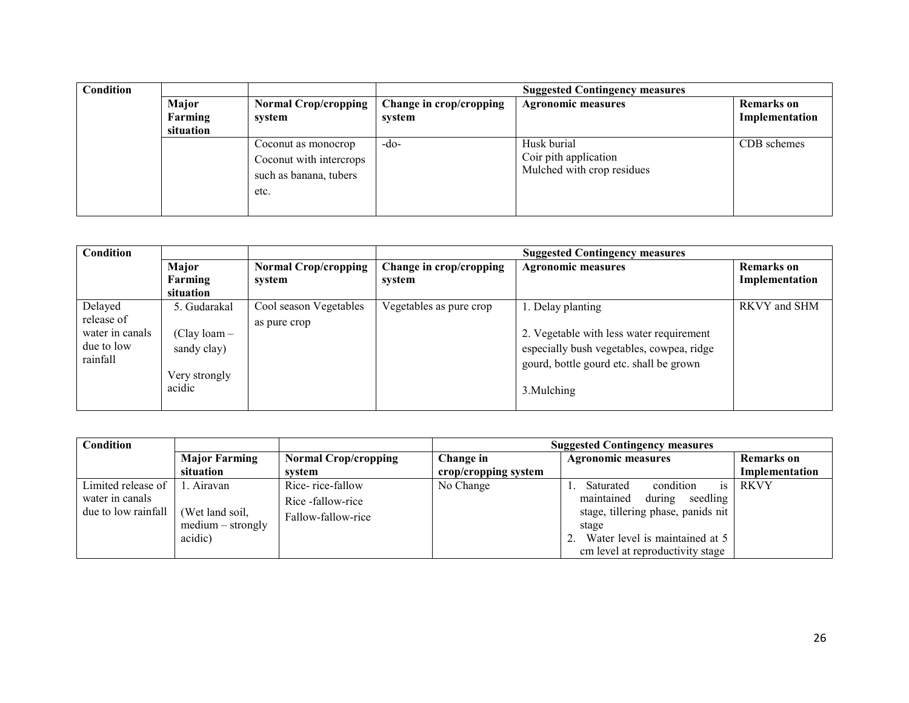| Condition |           |                             |                         | <b>Suggested Contingency measures</b> |                   |
|-----------|-----------|-----------------------------|-------------------------|---------------------------------------|-------------------|
|           | Major     | <b>Normal Crop/cropping</b> | Change in crop/cropping | <b>Agronomic measures</b>             | <b>Remarks</b> on |
|           | Farming   | system                      | system                  |                                       | Implementation    |
|           | situation |                             |                         |                                       |                   |
|           |           | Coconut as monocrop         | $-do-$                  | Husk burial                           | CDB schemes       |
|           |           | Coconut with intercrops     |                         | Coir pith application                 |                   |
|           |           | such as banana, tubers      |                         | Mulched with crop residues            |                   |
|           |           | etc.                        |                         |                                       |                   |
|           |           |                             |                         |                                       |                   |

| Condition                                                          |                                                                          |                                        | <b>Suggested Contingency measures</b> |                                                                                                                                                                      |                                     |  |
|--------------------------------------------------------------------|--------------------------------------------------------------------------|----------------------------------------|---------------------------------------|----------------------------------------------------------------------------------------------------------------------------------------------------------------------|-------------------------------------|--|
|                                                                    | Major<br>Farming<br>situation                                            | <b>Normal Crop/cropping</b><br>system  | Change in crop/cropping<br>system     | <b>Agronomic measures</b>                                                                                                                                            | <b>Remarks</b> on<br>Implementation |  |
| Delayed<br>release of<br>water in canals<br>due to low<br>rainfall | 5. Gudarakal<br>$(Clay loan -$<br>sandy clay)<br>Very strongly<br>acidic | Cool season Vegetables<br>as pure crop | Vegetables as pure crop               | 1. Delay planting<br>2. Vegetable with less water requirement<br>especially bush vegetables, cowpea, ridge<br>gourd, bottle gourd etc. shall be grown<br>3. Mulching | RKVY and SHM                        |  |

| Condition           |                      |                             |                      | <b>Suggested Contingency measures</b> |                   |
|---------------------|----------------------|-----------------------------|----------------------|---------------------------------------|-------------------|
|                     | <b>Major Farming</b> | <b>Normal Crop/cropping</b> | Change in            | <b>Agronomic measures</b>             | <b>Remarks</b> on |
|                     | situation            | system                      | crop/cropping system |                                       | Implementation    |
| Limited release of  | 1. Airavan           | Rice-rice-fallow            | No Change            | is<br>condition<br>Saturated          | RKVY              |
| water in canals     |                      | Rice-fallow-rice            |                      | maintained<br>during<br>seedling      |                   |
| due to low rainfall | (Wet land soil,      | Fallow-fallow-rice          |                      | stage, tillering phase, panids nit    |                   |
|                     | $medium - strongly$  |                             |                      | stage                                 |                   |
|                     | acidic)              |                             |                      | Water level is maintained at 5        |                   |
|                     |                      |                             |                      | em level at reproductivity stage      |                   |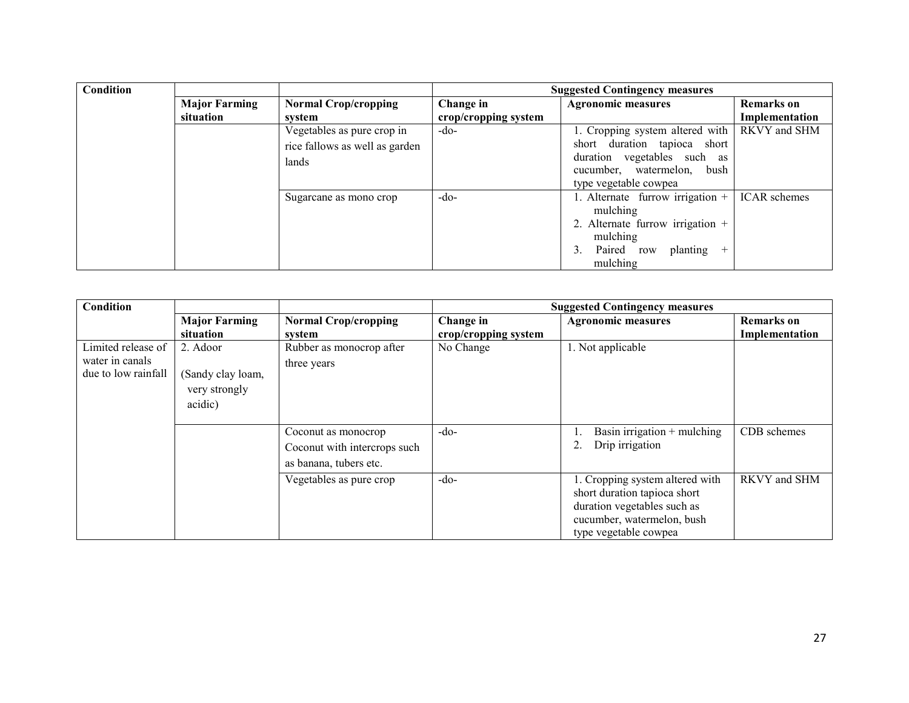| Condition |                      |                                |                      | <b>Suggested Contingency measures</b>         |                     |
|-----------|----------------------|--------------------------------|----------------------|-----------------------------------------------|---------------------|
|           | <b>Major Farming</b> | <b>Normal Crop/cropping</b>    | Change in            | <b>Agronomic measures</b>                     | <b>Remarks</b> on   |
|           | situation            | system                         | crop/cropping system |                                               | Implementation      |
|           |                      | Vegetables as pure crop in     | $-do-$               | 1. Cropping system altered with               | RKVY and SHM        |
|           |                      | rice fallows as well as garden |                      | short duration tapioca short                  |                     |
|           |                      | lands                          |                      | duration vegetables such as                   |                     |
|           |                      |                                |                      | cucumber, watermelon, bush                    |                     |
|           |                      |                                |                      | type vegetable cowpea                         |                     |
|           |                      | Sugarcane as mono crop         | $-do-$               | . Alternate furrow irrigation $+$<br>mulching | <b>ICAR</b> schemes |
|           |                      |                                |                      | 2. Alternate furrow irrigation +              |                     |
|           |                      |                                |                      | mulching                                      |                     |
|           |                      |                                |                      | Paired row<br>3.<br>planting<br>$^{+}$        |                     |
|           |                      |                                |                      | mulching                                      |                     |

| <b>Condition</b>                                             |                                                           |                                                                               |                                   | <b>Suggested Contingency measures</b>                                                                                                                 |                                     |
|--------------------------------------------------------------|-----------------------------------------------------------|-------------------------------------------------------------------------------|-----------------------------------|-------------------------------------------------------------------------------------------------------------------------------------------------------|-------------------------------------|
|                                                              | <b>Major Farming</b><br>situation                         | <b>Normal Crop/cropping</b><br>system                                         | Change in<br>crop/cropping system | <b>Agronomic measures</b>                                                                                                                             | <b>Remarks</b> on<br>Implementation |
| Limited release of<br>water in canals<br>due to low rainfall | 2. Adoor<br>(Sandy clay loam,<br>very strongly<br>acidic) | Rubber as monocrop after<br>three years                                       | No Change                         | 1. Not applicable                                                                                                                                     |                                     |
|                                                              |                                                           | Coconut as monocrop<br>Coconut with intercrops such<br>as banana, tubers etc. | $-do-$                            | Basin irrigation $+$ mulching<br>Drip irrigation                                                                                                      | CDB schemes                         |
|                                                              |                                                           | Vegetables as pure crop                                                       | $-do-$                            | 1. Cropping system altered with<br>short duration tapioca short<br>duration vegetables such as<br>cucumber, watermelon, bush<br>type vegetable cowpea | RKVY and SHM                        |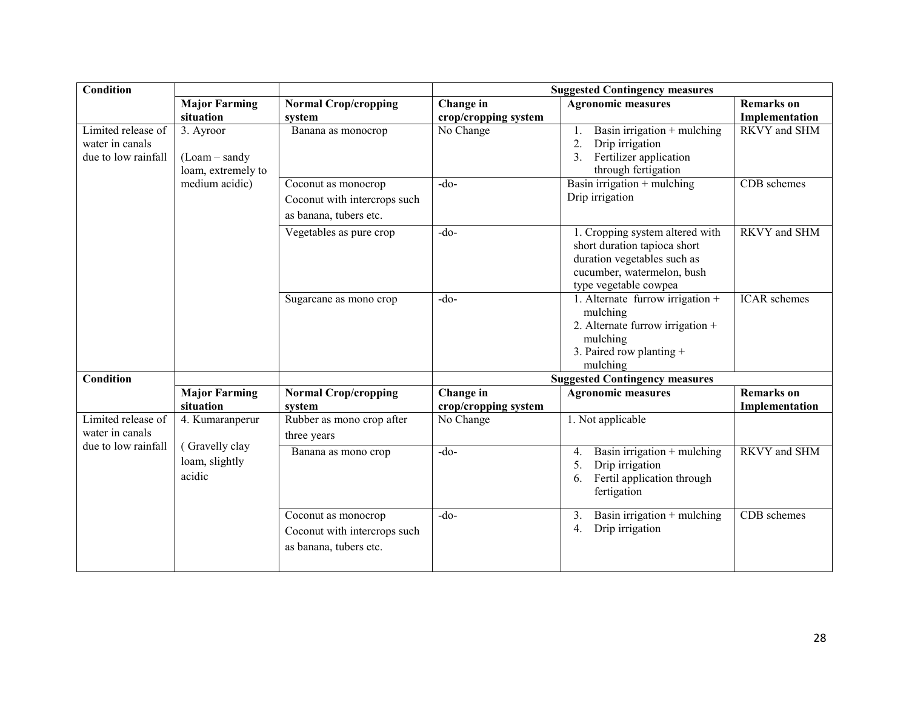| Condition                                                    | <b>Suggested Contingency measures</b>             |                                                                               |                                   |                                                                                                                                                       |                                     |
|--------------------------------------------------------------|---------------------------------------------------|-------------------------------------------------------------------------------|-----------------------------------|-------------------------------------------------------------------------------------------------------------------------------------------------------|-------------------------------------|
|                                                              | <b>Major Farming</b><br>situation                 | <b>Normal Crop/cropping</b><br>system                                         | Change in<br>crop/cropping system | <b>Agronomic measures</b>                                                                                                                             | <b>Remarks</b> on<br>Implementation |
| Limited release of<br>water in canals<br>due to low rainfall | 3. Ayroor<br>$(Loam-sandy)$<br>loam, extremely to | Banana as monocrop                                                            | No Change                         | Basin irrigation $+$ mulching<br>1.<br>$\overline{2}$<br>Drip irrigation<br>$\overline{3}$ .<br>Fertilizer application<br>through fertigation         | RKVY and SHM                        |
|                                                              | medium acidic)                                    | Coconut as monocrop<br>Coconut with intercrops such<br>as banana, tubers etc. | $-do$                             | Basin irrigation $+$ mulching<br>Drip irrigation                                                                                                      | CDB schemes                         |
|                                                              |                                                   | Vegetables as pure crop                                                       | $-do-$                            | 1. Cropping system altered with<br>short duration tapioca short<br>duration vegetables such as<br>cucumber, watermelon, bush<br>type vegetable cowpea | RKVY and SHM                        |
|                                                              |                                                   | Sugarcane as mono crop                                                        | $-do$ -                           | 1. Alternate furrow irrigation +<br>mulching<br>2. Alternate furrow irrigation +<br>mulching<br>3. Paired row planting $+$<br>mulching                | <b>ICAR</b> schemes                 |
| <b>Condition</b>                                             |                                                   |                                                                               |                                   | <b>Suggested Contingency measures</b>                                                                                                                 |                                     |
|                                                              | <b>Major Farming</b><br>situation                 | <b>Normal Crop/cropping</b><br>system                                         | Change in<br>crop/cropping system | <b>Agronomic measures</b>                                                                                                                             | <b>Remarks</b> on<br>Implementation |
| Limited release of<br>water in canals                        | 4. Kumaranperur<br>(Gravelly clay                 | Rubber as mono crop after<br>three years                                      | No Change                         | 1. Not applicable                                                                                                                                     |                                     |
| due to low rainfall                                          | loam, slightly<br>acidic                          | Banana as mono crop                                                           | $-do-$                            | Basin irrigation $+$ mulching<br>4.<br>Drip irrigation<br>5.<br>Fertil application through<br>6.<br>fertigation                                       | <b>RKVY</b> and SHM                 |
|                                                              |                                                   | Coconut as monocrop<br>Coconut with intercrops such<br>as banana, tubers etc. | $-do$                             | Basin irrigation $+$ mulching<br>3.<br>Drip irrigation<br>4.                                                                                          | CDB schemes                         |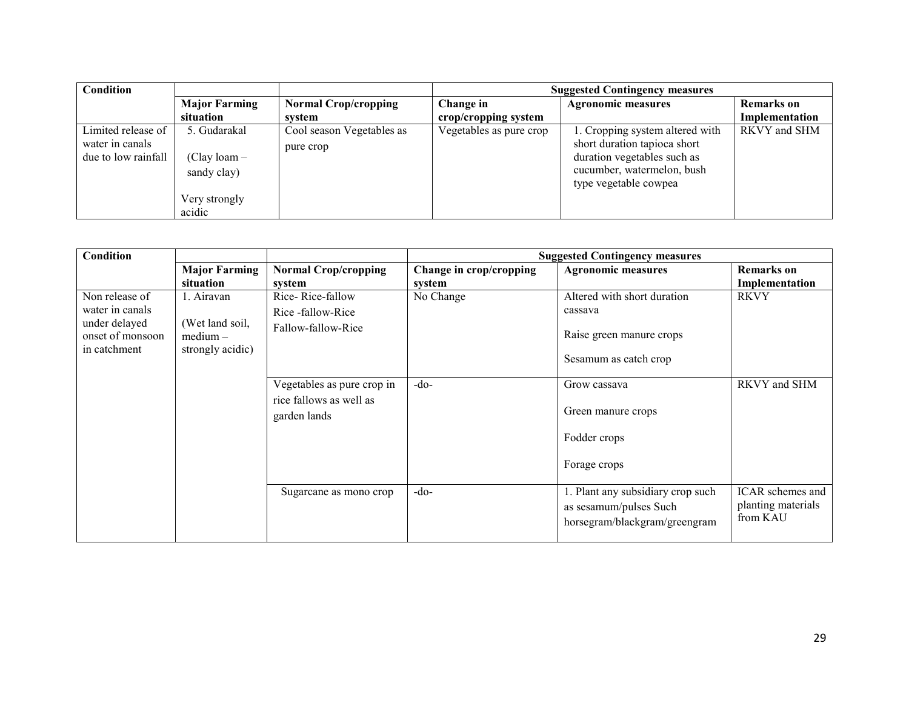| Condition                                                    |                                                                          |                                        |                         | <b>Suggested Contingency measures</b>                                                                                                                 |                   |  |  |
|--------------------------------------------------------------|--------------------------------------------------------------------------|----------------------------------------|-------------------------|-------------------------------------------------------------------------------------------------------------------------------------------------------|-------------------|--|--|
|                                                              | <b>Major Farming</b>                                                     | <b>Normal Crop/cropping</b>            | Change in               | <b>Agronomic measures</b>                                                                                                                             | <b>Remarks</b> on |  |  |
|                                                              | situation                                                                | system                                 | crop/cropping system    |                                                                                                                                                       | Implementation    |  |  |
| Limited release of<br>water in canals<br>due to low rainfall | 5. Gudarakal<br>$(Clay loan -$<br>sandy clay)<br>Very strongly<br>acidic | Cool season Vegetables as<br>pure crop | Vegetables as pure crop | 1. Cropping system altered with<br>short duration tapioca short<br>duration vegetables such as<br>cucumber, watermelon, bush<br>type vegetable cowpea | RKVY and SHM      |  |  |

| <b>Condition</b>                                                                       |                                                                 |                                                                       |                                   | <b>Suggested Contingency measures</b>                                                        |                                                           |
|----------------------------------------------------------------------------------------|-----------------------------------------------------------------|-----------------------------------------------------------------------|-----------------------------------|----------------------------------------------------------------------------------------------|-----------------------------------------------------------|
|                                                                                        | <b>Major Farming</b><br>situation                               | <b>Normal Crop/cropping</b><br>system                                 | Change in crop/cropping<br>system | <b>Agronomic measures</b>                                                                    | <b>Remarks</b> on<br>Implementation                       |
| Non release of<br>water in canals<br>under delayed<br>onset of monsoon<br>in catchment | 1. Airavan<br>(Wet land soil,<br>$median -$<br>strongly acidic) | Rice-Rice-fallow<br>Rice -fallow-Rice<br>Fallow-fallow-Rice           | No Change                         | Altered with short duration<br>cassava<br>Raise green manure crops<br>Sesamum as catch crop  | <b>RKVY</b>                                               |
|                                                                                        |                                                                 | Vegetables as pure crop in<br>rice fallows as well as<br>garden lands | $-do-$                            | Grow cassava<br>Green manure crops<br>Fodder crops<br>Forage crops                           | RKVY and SHM                                              |
|                                                                                        |                                                                 | Sugarcane as mono crop                                                | $-do-$                            | 1. Plant any subsidiary crop such<br>as sesamum/pulses Such<br>horsegram/blackgram/greengram | <b>ICAR</b> schemes and<br>planting materials<br>from KAU |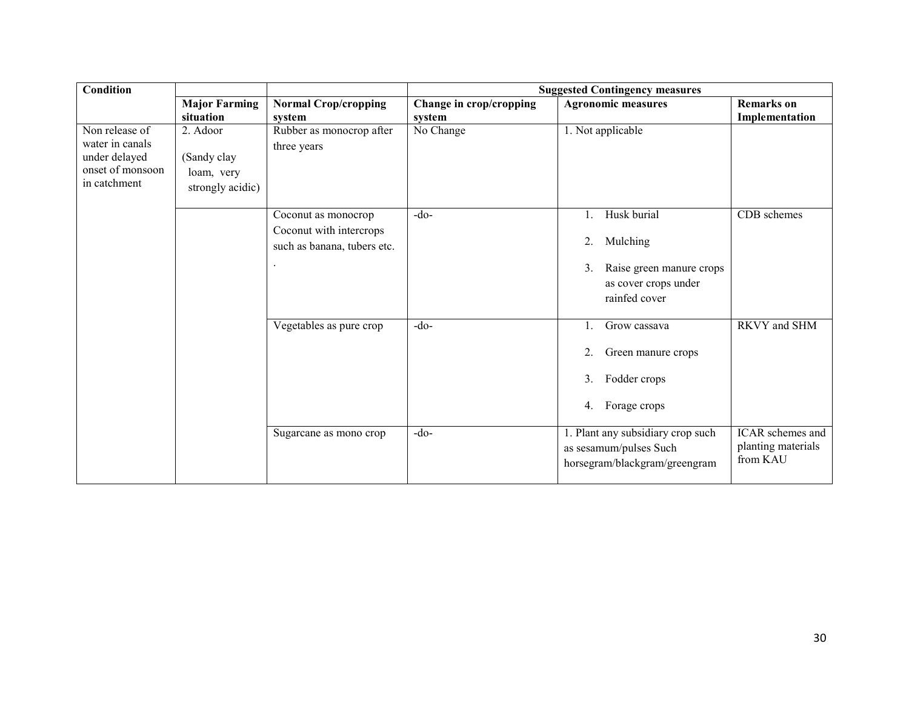| Condition                                                                              |                                                           |                                                                               |                         | <b>Suggested Contingency measures</b>                                                                    |                                                    |
|----------------------------------------------------------------------------------------|-----------------------------------------------------------|-------------------------------------------------------------------------------|-------------------------|----------------------------------------------------------------------------------------------------------|----------------------------------------------------|
|                                                                                        | <b>Major Farming</b>                                      | <b>Normal Crop/cropping</b>                                                   | Change in crop/cropping | <b>Agronomic measures</b>                                                                                | <b>Remarks</b> on                                  |
|                                                                                        | situation                                                 | system                                                                        | system                  |                                                                                                          | Implementation                                     |
| Non release of<br>water in canals<br>under delayed<br>onset of monsoon<br>in catchment | 2. Adoor<br>(Sandy clay<br>loam, very<br>strongly acidic) | Rubber as monocrop after<br>three years                                       | No Change               | 1. Not applicable                                                                                        |                                                    |
|                                                                                        |                                                           | Coconut as monocrop<br>Coconut with intercrops<br>such as banana, tubers etc. | $-do$                   | Husk burial<br>Mulching<br>2.<br>Raise green manure crops<br>3.<br>as cover crops under<br>rainfed cover | CDB schemes                                        |
|                                                                                        |                                                           | Vegetables as pure crop                                                       | $-do-$                  | Grow cassava<br>1.<br>Green manure crops<br>2.<br>Fodder crops<br>3.<br>Forage crops<br>4.               | RKVY and SHM                                       |
|                                                                                        |                                                           | Sugarcane as mono crop                                                        | $-do-$                  | 1. Plant any subsidiary crop such<br>as sesamum/pulses Such<br>horsegram/blackgram/greengram             | ICAR schemes and<br>planting materials<br>from KAU |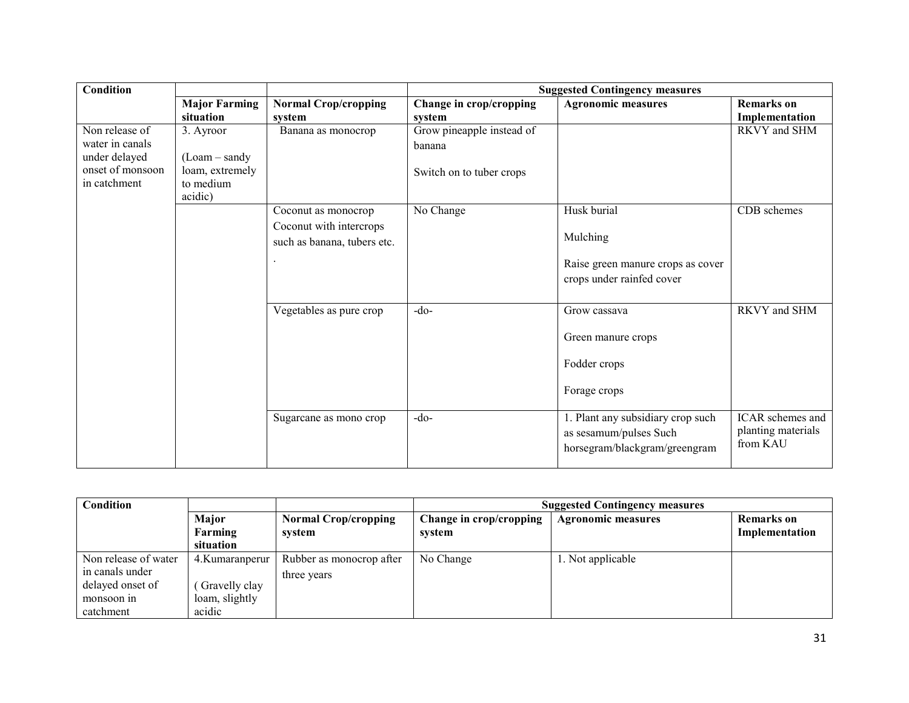| <b>Condition</b> |                      |                             |                           | <b>Suggested Contingency measures</b> |                    |
|------------------|----------------------|-----------------------------|---------------------------|---------------------------------------|--------------------|
|                  | <b>Major Farming</b> | <b>Normal Crop/cropping</b> | Change in crop/cropping   | <b>Agronomic measures</b>             | <b>Remarks</b> on  |
|                  | situation            | system                      | system                    |                                       | Implementation     |
| Non release of   | 3. Ayroor            | Banana as monocrop          | Grow pineapple instead of |                                       | RKVY and SHM       |
| water in canals  |                      |                             | banana                    |                                       |                    |
| under delayed    | $(Loam-sandy)$       |                             |                           |                                       |                    |
| onset of monsoon | loam, extremely      |                             | Switch on to tuber crops  |                                       |                    |
| in catchment     | to medium            |                             |                           |                                       |                    |
|                  | acidic)              |                             |                           |                                       |                    |
|                  |                      | Coconut as monocrop         | No Change                 | Husk burial                           | CDB schemes        |
|                  |                      | Coconut with intercrops     |                           |                                       |                    |
|                  |                      | such as banana, tubers etc. |                           | Mulching                              |                    |
|                  |                      |                             |                           | Raise green manure crops as cover     |                    |
|                  |                      |                             |                           |                                       |                    |
|                  |                      |                             |                           | crops under rainfed cover             |                    |
|                  |                      |                             |                           |                                       |                    |
|                  |                      | Vegetables as pure crop     | $-do-$                    | Grow cassava                          | RKVY and SHM       |
|                  |                      |                             |                           | Green manure crops                    |                    |
|                  |                      |                             |                           |                                       |                    |
|                  |                      |                             |                           | Fodder crops                          |                    |
|                  |                      |                             |                           | Forage crops                          |                    |
|                  |                      |                             |                           |                                       |                    |
|                  |                      | Sugarcane as mono crop      | $-do-$                    | 1. Plant any subsidiary crop such     | ICAR schemes and   |
|                  |                      |                             |                           | as sesamum/pulses Such                | planting materials |
|                  |                      |                             |                           | horsegram/blackgram/greengram         | from KAU           |
|                  |                      |                             |                           |                                       |                    |

| Condition            |                  |                             | <b>Suggested Contingency measures</b> |                           |                |  |
|----------------------|------------------|-----------------------------|---------------------------------------|---------------------------|----------------|--|
|                      | Major            | <b>Normal Crop/cropping</b> | Change in crop/cropping               | <b>Agronomic measures</b> | Remarks on     |  |
|                      | Farming          | system                      | system                                |                           | Implementation |  |
|                      | situation        |                             |                                       |                           |                |  |
| Non release of water | 4. Kumaran perur | Rubber as monocrop after    | No Change                             | 1. Not applicable         |                |  |
| in canals under      |                  | three years                 |                                       |                           |                |  |
| delayed onset of     | Gravelly clay    |                             |                                       |                           |                |  |
| monsoon in           | loam, slightly   |                             |                                       |                           |                |  |
| catchment            | acidic           |                             |                                       |                           |                |  |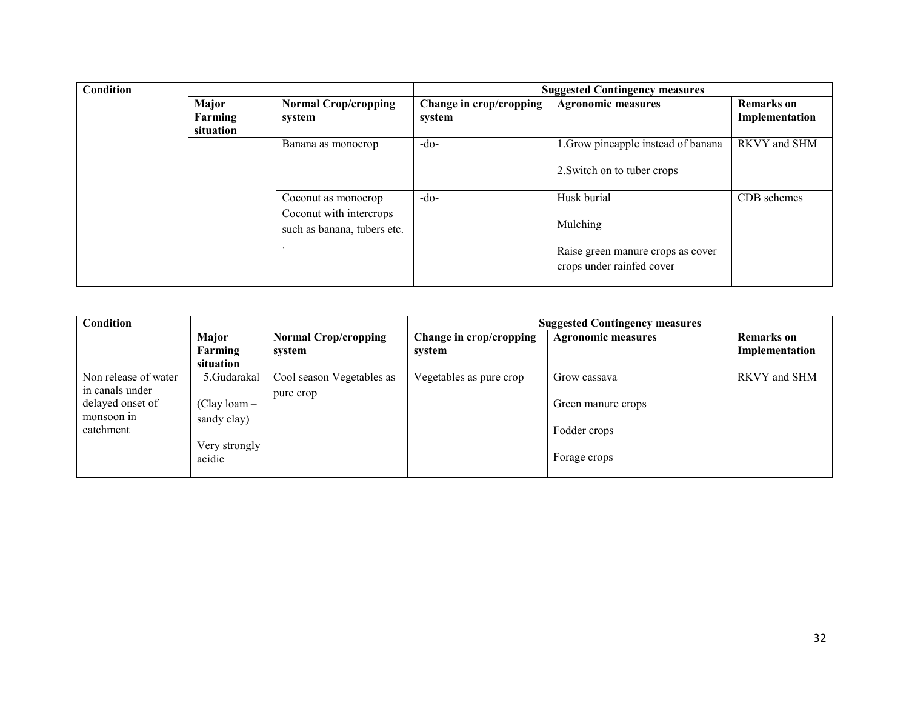| Condition |           |                                                        | <b>Suggested Contingency measures</b> |                                                                |                   |  |
|-----------|-----------|--------------------------------------------------------|---------------------------------------|----------------------------------------------------------------|-------------------|--|
|           | Major     | <b>Normal Crop/cropping</b>                            | Change in crop/cropping               | <b>Agronomic measures</b>                                      | <b>Remarks</b> on |  |
|           | Farming   | system                                                 | system                                |                                                                | Implementation    |  |
|           | situation |                                                        |                                       |                                                                |                   |  |
|           |           | Banana as monocrop                                     | $-do-$                                | 1. Grow pineapple instead of banana                            | RKVY and SHM      |  |
|           |           |                                                        |                                       | 2. Switch on to tuber crops                                    |                   |  |
|           |           | Coconut as monocrop                                    | $-do-$                                | Husk burial                                                    | CDB schemes       |  |
|           |           | Coconut with intercrops<br>such as banana, tubers etc. |                                       | Mulching                                                       |                   |  |
|           |           |                                                        |                                       | Raise green manure crops as cover<br>crops under rainfed cover |                   |  |

| Condition            |                |                             | <b>Suggested Contingency measures</b> |                           |                   |  |
|----------------------|----------------|-----------------------------|---------------------------------------|---------------------------|-------------------|--|
|                      | Major          | <b>Normal Crop/cropping</b> | Change in crop/cropping               | <b>Agronomic measures</b> | <b>Remarks</b> on |  |
|                      | Farming        | system                      | system                                |                           | Implementation    |  |
|                      | situation      |                             |                                       |                           |                   |  |
| Non release of water | 5.Gudarakal    | Cool season Vegetables as   | Vegetables as pure crop               | Grow cassava              | RKVY and SHM      |  |
| in canals under      |                | pure crop                   |                                       |                           |                   |  |
| delayed onset of     | $(Clay loan -$ |                             |                                       | Green manure crops        |                   |  |
| monsoon in           | sandy clay)    |                             |                                       |                           |                   |  |
| catchment            |                |                             |                                       | Fodder crops              |                   |  |
|                      | Very strongly  |                             |                                       |                           |                   |  |
|                      | acidic         |                             |                                       | Forage crops              |                   |  |
|                      |                |                             |                                       |                           |                   |  |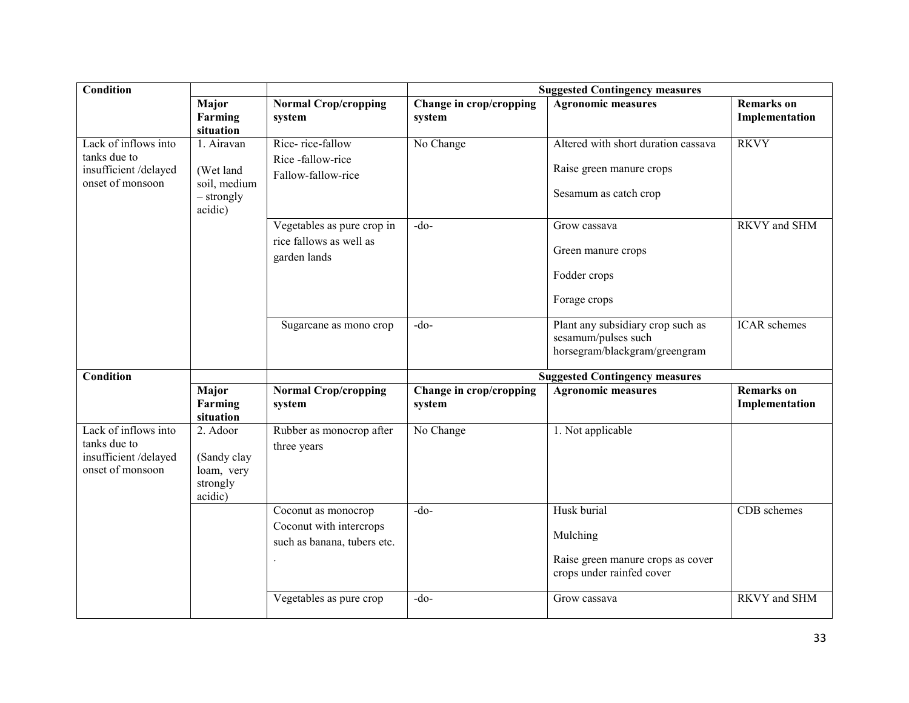| <b>Condition</b>                                                                 |                                                                    |                                                                               |                                   | <b>Suggested Contingency measures</b>                                                     |                                     |
|----------------------------------------------------------------------------------|--------------------------------------------------------------------|-------------------------------------------------------------------------------|-----------------------------------|-------------------------------------------------------------------------------------------|-------------------------------------|
|                                                                                  | Major<br>Farming<br>situation                                      | <b>Normal Crop/cropping</b><br>system                                         | Change in crop/cropping<br>system | Agronomic measures                                                                        | <b>Remarks</b> on<br>Implementation |
| Lack of inflows into<br>tanks due to<br>insufficient/delayed<br>onset of monsoon | 1. Airavan<br>(Wet land<br>soil, medium<br>$-$ strongly<br>acidic) | Rice-rice-fallow<br>Rice-fallow-rice<br>Fallow-fallow-rice                    | No Change                         | Altered with short duration cassava<br>Raise green manure crops<br>Sesamum as catch crop  | <b>RKVY</b>                         |
|                                                                                  |                                                                    | Vegetables as pure crop in<br>rice fallows as well as<br>garden lands         | $-do-$                            | Grow cassava<br>Green manure crops<br>Fodder crops<br>Forage crops                        | RKVY and SHM                        |
|                                                                                  |                                                                    | Sugarcane as mono crop                                                        | $-do-$                            | Plant any subsidiary crop such as<br>sesamum/pulses such<br>horsegram/blackgram/greengram | <b>ICAR</b> schemes                 |
| <b>Condition</b>                                                                 |                                                                    |                                                                               |                                   | <b>Suggested Contingency measures</b>                                                     |                                     |
|                                                                                  | Major<br>Farming<br>situation                                      | <b>Normal Crop/cropping</b><br>system                                         | Change in crop/cropping<br>system | <b>Agronomic measures</b>                                                                 | <b>Remarks</b> on<br>Implementation |
| Lack of inflows into<br>tanks due to<br>insufficient/delayed<br>onset of monsoon | 2. Adoor<br>(Sandy clay<br>loam, very<br>strongly<br>acidic)       | Rubber as monocrop after<br>three years                                       | No Change                         | 1. Not applicable                                                                         |                                     |
|                                                                                  |                                                                    | Coconut as monocrop<br>Coconut with intercrops<br>such as banana, tubers etc. | $-do-$                            | Husk burial<br>Mulching<br>Raise green manure crops as cover<br>crops under rainfed cover | CDB schemes                         |
|                                                                                  |                                                                    | Vegetables as pure crop                                                       | $-do-$                            | Grow cassava                                                                              | <b>RKVY</b> and SHM                 |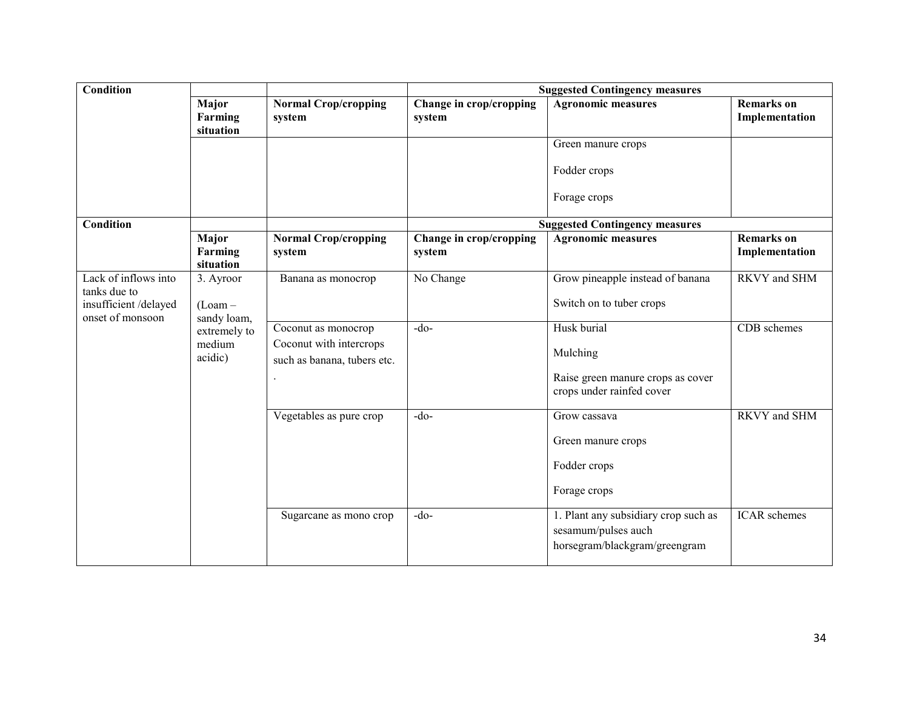| Condition                                                                        |                                       |                                                                               |                                   | <b>Suggested Contingency measures</b>                                                        |                                     |
|----------------------------------------------------------------------------------|---------------------------------------|-------------------------------------------------------------------------------|-----------------------------------|----------------------------------------------------------------------------------------------|-------------------------------------|
|                                                                                  | Major<br>Farming<br>situation         | <b>Normal Crop/cropping</b><br>system                                         | Change in crop/cropping<br>system | <b>Agronomic measures</b>                                                                    | <b>Remarks</b> on<br>Implementation |
|                                                                                  |                                       |                                                                               |                                   | Green manure crops<br>Fodder crops                                                           |                                     |
|                                                                                  |                                       |                                                                               |                                   | Forage crops                                                                                 |                                     |
| Condition                                                                        |                                       |                                                                               |                                   | <b>Suggested Contingency measures</b>                                                        |                                     |
|                                                                                  | Major<br>Farming<br>situation         | <b>Normal Crop/cropping</b><br>system                                         | Change in crop/cropping<br>system | <b>Agronomic measures</b>                                                                    | <b>Remarks</b> on<br>Implementation |
| Lack of inflows into<br>tanks due to<br>insufficient/delayed<br>onset of monsoon | 3. Ayroor<br>$(Loam -$<br>sandy loam, | Banana as monocrop                                                            | No Change                         | Grow pineapple instead of banana<br>Switch on to tuber crops                                 | <b>RKVY</b> and SHM                 |
|                                                                                  | extremely to<br>medium<br>acidic)     | Coconut as monocrop<br>Coconut with intercrops<br>such as banana, tubers etc. | $-do-$                            | Husk burial<br>Mulching<br>Raise green manure crops as cover<br>crops under rainfed cover    | CDB schemes                         |
|                                                                                  |                                       | Vegetables as pure crop                                                       | $-do$                             | Grow cassava<br>Green manure crops<br>Fodder crops<br>Forage crops                           | RKVY and SHM                        |
|                                                                                  |                                       | Sugarcane as mono crop                                                        | $-do$                             | 1. Plant any subsidiary crop such as<br>sesamum/pulses auch<br>horsegram/blackgram/greengram | <b>ICAR</b> schemes                 |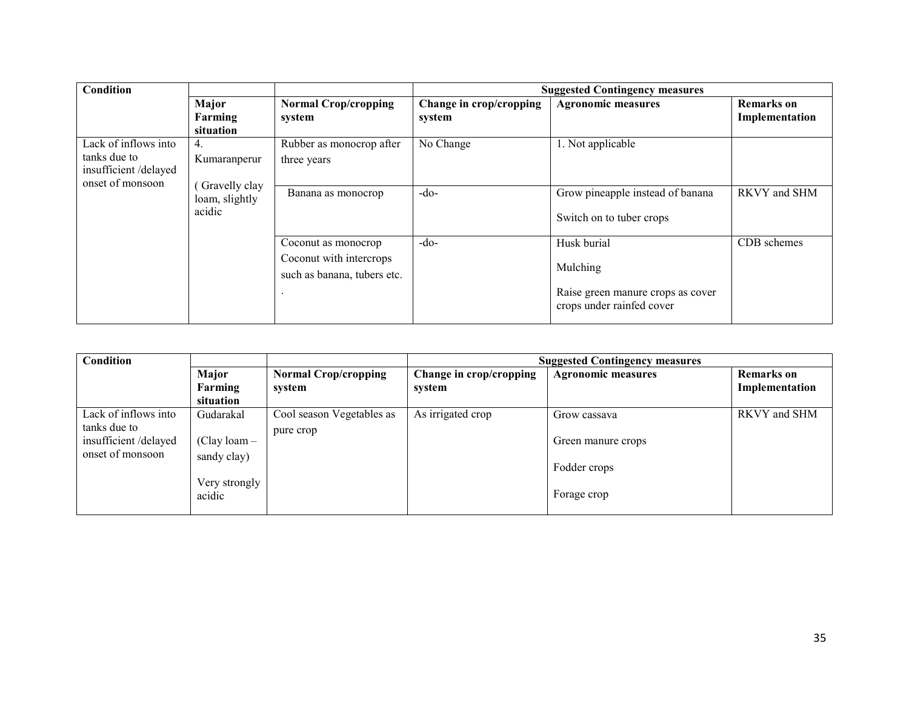| Condition                                                                        |                                           |                                                                               |                                   | <b>Suggested Contingency measures</b>                                                     |                                     |
|----------------------------------------------------------------------------------|-------------------------------------------|-------------------------------------------------------------------------------|-----------------------------------|-------------------------------------------------------------------------------------------|-------------------------------------|
|                                                                                  | Major<br>Farming<br>situation             | <b>Normal Crop/cropping</b><br>system                                         | Change in crop/cropping<br>system | <b>Agronomic measures</b>                                                                 | <b>Remarks</b> on<br>Implementation |
| Lack of inflows into<br>tanks due to<br>insufficient/delayed<br>onset of monsoon | 4.<br>Kumaranperur                        | Rubber as monocrop after<br>three years                                       | No Change                         | 1. Not applicable                                                                         |                                     |
|                                                                                  | Gravelly clay<br>loam, slightly<br>acidic | Banana as monocrop                                                            | $-do-$                            | Grow pineapple instead of banana<br>Switch on to tuber crops                              | RKVY and SHM                        |
|                                                                                  |                                           | Coconut as monocrop<br>Coconut with intercrops<br>such as banana, tubers etc. | $-do-$                            | Husk burial<br>Mulching<br>Raise green manure crops as cover<br>crops under rainfed cover | CDB schemes                         |

| Condition                                                                        |                                                                       |                                        | <b>Suggested Contingency measures</b> |                                                                   |                                     |  |
|----------------------------------------------------------------------------------|-----------------------------------------------------------------------|----------------------------------------|---------------------------------------|-------------------------------------------------------------------|-------------------------------------|--|
|                                                                                  | Major<br>Farming<br>situation                                         | <b>Normal Crop/cropping</b><br>system  | Change in crop/cropping<br>system     | <b>Agronomic measures</b>                                         | <b>Remarks</b> on<br>Implementation |  |
| Lack of inflows into<br>tanks due to<br>insufficient/delayed<br>onset of monsoon | Gudarakal<br>$(Clay loan -$<br>sandy clay)<br>Very strongly<br>acidic | Cool season Vegetables as<br>pure crop | $\overline{As}$ irrigated crop        | Grow cassava<br>Green manure crops<br>Fodder crops<br>Forage crop | RKVY and SHM                        |  |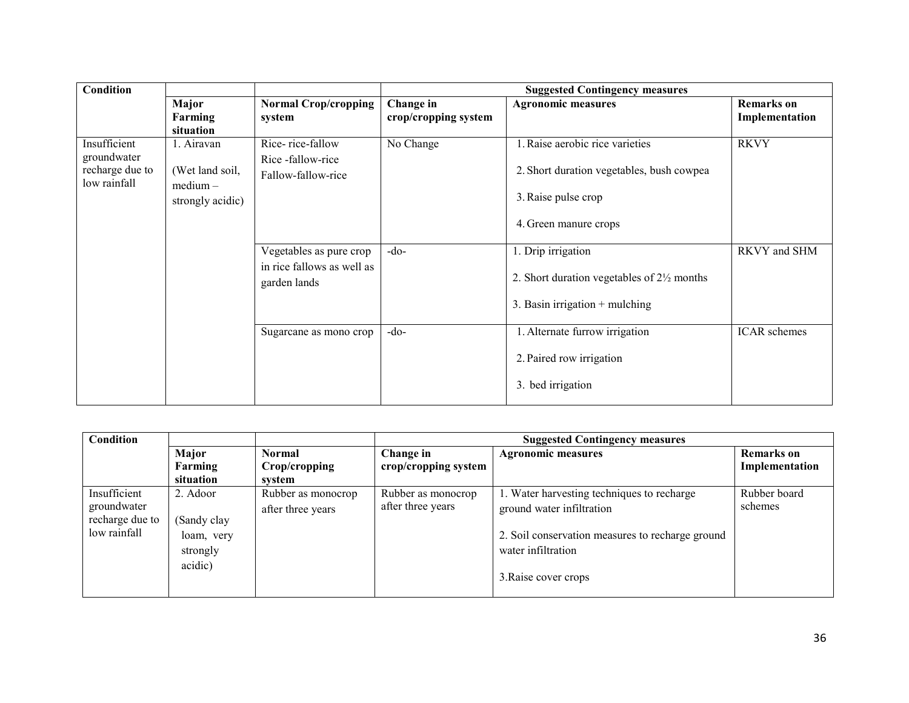| <b>Condition</b>                                               |                                                                 |                                                                       | <b>Suggested Contingency measures</b> |                                                                                                                              |                                     |
|----------------------------------------------------------------|-----------------------------------------------------------------|-----------------------------------------------------------------------|---------------------------------------|------------------------------------------------------------------------------------------------------------------------------|-------------------------------------|
|                                                                | Major<br>Farming<br>situation                                   | <b>Normal Crop/cropping</b><br>system                                 | Change in<br>crop/cropping system     | <b>Agronomic measures</b>                                                                                                    | <b>Remarks</b> on<br>Implementation |
| Insufficient<br>groundwater<br>recharge due to<br>low rainfall | 1. Airavan<br>(Wet land soil,<br>$medium -$<br>strongly acidic) | Rice-rice-fallow<br>Rice-fallow-rice<br>Fallow-fallow-rice            | No Change                             | 1. Raise aerobic rice varieties<br>2. Short duration vegetables, bush cowpea<br>3. Raise pulse crop<br>4. Green manure crops | <b>RKVY</b>                         |
|                                                                |                                                                 | Vegetables as pure crop<br>in rice fallows as well as<br>garden lands | $-do-$                                | 1. Drip irrigation<br>2. Short duration vegetables of $2\frac{1}{2}$ months<br>3. Basin irrigation $+$ mulching              | RKVY and SHM                        |
|                                                                |                                                                 | Sugarcane as mono crop                                                | $-do-$                                | 1. Alternate furrow irrigation<br>2. Paired row irrigation<br>3. bed irrigation                                              | ICAR schemes                        |

| Condition       |             |                    | <b>Suggested Contingency measures</b> |                                                  |                   |
|-----------------|-------------|--------------------|---------------------------------------|--------------------------------------------------|-------------------|
|                 | Major       | <b>Normal</b>      | Change in                             | <b>Agronomic measures</b>                        | <b>Remarks</b> on |
|                 | Farming     | Crop/cropping      | crop/cropping system                  |                                                  | Implementation    |
|                 | situation   | system             |                                       |                                                  |                   |
| Insufficient    | 2. Adoor    | Rubber as monocrop | Rubber as monocrop                    | 1. Water harvesting techniques to recharge       | Rubber board      |
| groundwater     |             | after three years  | after three years                     | ground water infiltration                        | schemes           |
| recharge due to | (Sandy clay |                    |                                       |                                                  |                   |
| low rainfall    | loam, very  |                    |                                       | 2. Soil conservation measures to recharge ground |                   |
|                 | strongly    |                    |                                       | water infiltration                               |                   |
|                 | acidic)     |                    |                                       |                                                  |                   |
|                 |             |                    |                                       | 3. Raise cover crops                             |                   |
|                 |             |                    |                                       |                                                  |                   |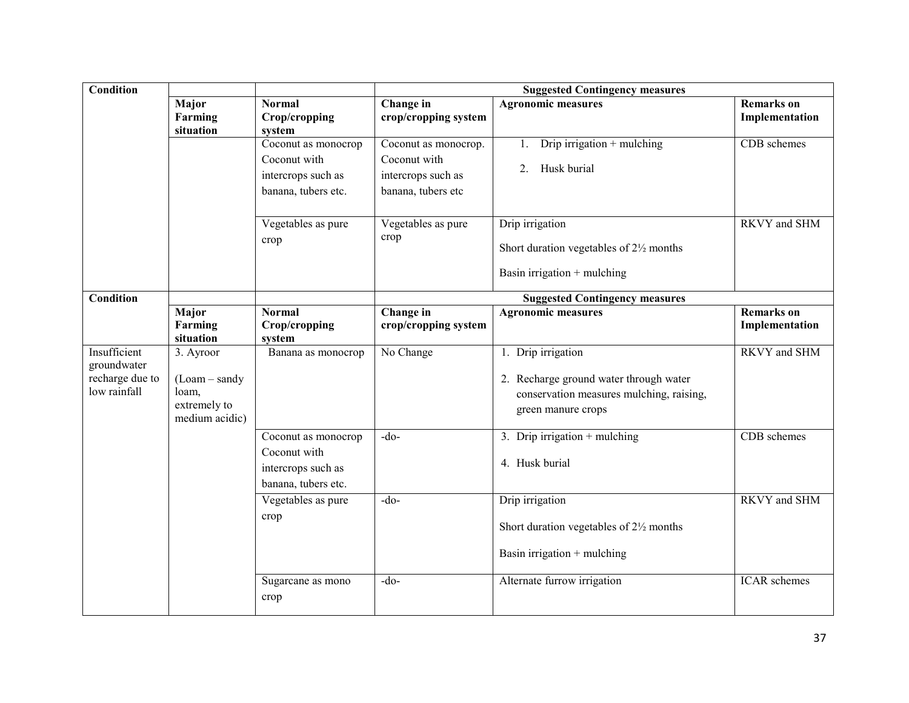| <b>Condition</b>                                               |                                                                        |                                                                                  | <b>Suggested Contingency measures</b>                                            |                                                                                                                                |                                     |  |
|----------------------------------------------------------------|------------------------------------------------------------------------|----------------------------------------------------------------------------------|----------------------------------------------------------------------------------|--------------------------------------------------------------------------------------------------------------------------------|-------------------------------------|--|
|                                                                | Major<br>Farming<br>situation                                          | <b>Normal</b><br>Crop/cropping<br>system                                         | Change in<br>crop/cropping system                                                | <b>Agronomic measures</b>                                                                                                      | <b>Remarks</b> on<br>Implementation |  |
|                                                                |                                                                        | Coconut as monocrop<br>Coconut with<br>intercrops such as<br>banana, tubers etc. | Coconut as monocrop.<br>Coconut with<br>intercrops such as<br>banana, tubers etc | Drip irrigation $+$ mulching<br>$1_{\cdot}$<br>Husk burial<br>2.                                                               | CDB schemes                         |  |
|                                                                |                                                                        | Vegetables as pure<br>crop                                                       | Vegetables as pure<br>crop                                                       | Drip irrigation<br>Short duration vegetables of $2\frac{1}{2}$ months<br>Basin irrigation $+$ mulching                         | <b>RKVY</b> and SHM                 |  |
| <b>Condition</b>                                               |                                                                        |                                                                                  |                                                                                  | <b>Suggested Contingency measures</b>                                                                                          |                                     |  |
|                                                                | Major<br>Farming<br>situation                                          | <b>Normal</b><br>Crop/cropping<br>system                                         | Change in<br>crop/cropping system                                                | <b>Agronomic measures</b>                                                                                                      | <b>Remarks</b> on<br>Implementation |  |
| Insufficient<br>groundwater<br>recharge due to<br>low rainfall | 3. Ayroor<br>$(Loam-sandy)$<br>loam,<br>extremely to<br>medium acidic) | Banana as monocrop                                                               | No Change                                                                        | 1. Drip irrigation<br>2. Recharge ground water through water<br>conservation measures mulching, raising,<br>green manure crops | <b>RKVY</b> and SHM                 |  |
|                                                                |                                                                        | Coconut as monocrop<br>Coconut with<br>intercrops such as<br>banana, tubers etc. | $-do-$                                                                           | 3. Drip irrigation $+$ mulching<br>4. Husk burial                                                                              | CDB schemes                         |  |
|                                                                |                                                                        | Vegetables as pure<br>crop                                                       | $-do$                                                                            | Drip irrigation<br>Short duration vegetables of $2\frac{1}{2}$ months<br>Basin irrigation $+$ mulching                         | <b>RKVY</b> and SHM                 |  |
|                                                                |                                                                        | Sugarcane as mono<br>crop                                                        | $-do-$                                                                           | Alternate furrow irrigation                                                                                                    | ICAR schemes                        |  |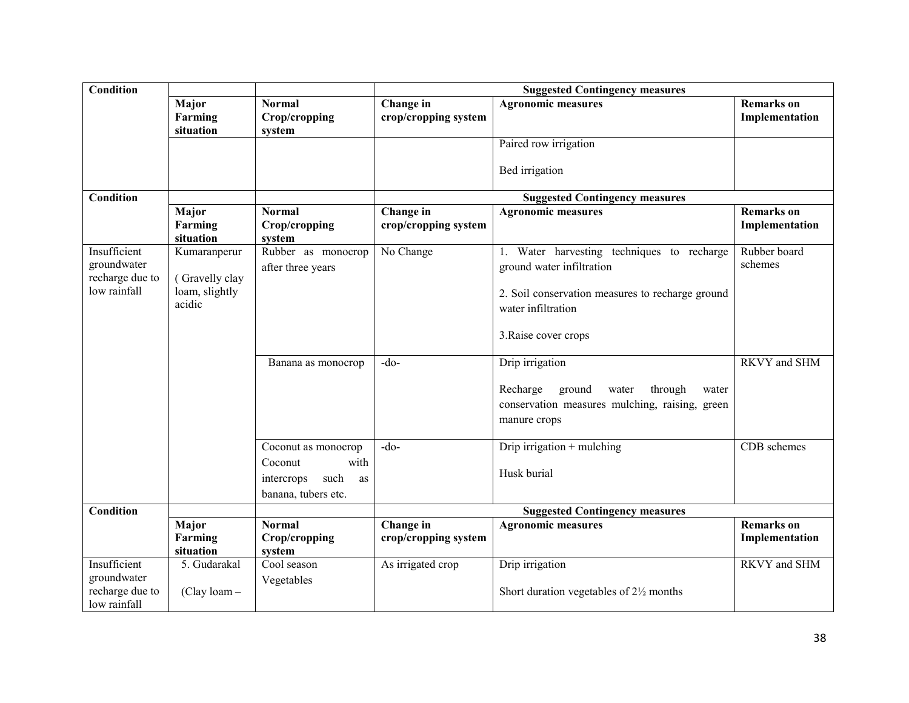| <b>Condition</b>                                               |                                                            |                                                                                           | <b>Suggested Contingency measures</b> |                                                                                                                                                                           |                                     |
|----------------------------------------------------------------|------------------------------------------------------------|-------------------------------------------------------------------------------------------|---------------------------------------|---------------------------------------------------------------------------------------------------------------------------------------------------------------------------|-------------------------------------|
|                                                                | Major<br>Farming<br>situation                              | <b>Normal</b><br>Crop/cropping<br>system                                                  | Change in<br>crop/cropping system     | <b>Agronomic measures</b>                                                                                                                                                 | <b>Remarks</b> on<br>Implementation |
|                                                                |                                                            |                                                                                           |                                       | Paired row irrigation                                                                                                                                                     |                                     |
|                                                                |                                                            |                                                                                           |                                       | Bed irrigation                                                                                                                                                            |                                     |
| Condition                                                      |                                                            |                                                                                           |                                       | <b>Suggested Contingency measures</b>                                                                                                                                     |                                     |
|                                                                | Major<br>Farming<br>situation                              | <b>Normal</b><br>Crop/cropping<br>system                                                  | Change in<br>crop/cropping system     | <b>Agronomic measures</b>                                                                                                                                                 | <b>Remarks</b> on<br>Implementation |
| Insufficient<br>groundwater<br>recharge due to<br>low rainfall | Kumaranperur<br>(Gravelly clay<br>loam, slightly<br>acidic | Rubber as monocrop<br>after three years                                                   | No Change                             | 1. Water harvesting techniques to recharge<br>ground water infiltration<br>2. Soil conservation measures to recharge ground<br>water infiltration<br>3. Raise cover crops | Rubber board<br>schemes             |
|                                                                |                                                            | Banana as monocrop                                                                        | $-do$                                 | Drip irrigation<br>Recharge<br>ground<br>through<br>water<br>water<br>conservation measures mulching, raising, green<br>manure crops                                      | RKVY and SHM                        |
|                                                                |                                                            | Coconut as monocrop<br>with<br>Coconut<br>such<br>intercrops<br>as<br>banana, tubers etc. | $-do$                                 | Drip irrigation $+$ mulching<br>Husk burial                                                                                                                               | CDB schemes                         |
| <b>Condition</b>                                               |                                                            |                                                                                           |                                       | <b>Suggested Contingency measures</b>                                                                                                                                     |                                     |
|                                                                | Major<br>Farming<br>situation                              | <b>Normal</b><br>Crop/cropping<br>system                                                  | Change in<br>crop/cropping system     | <b>Agronomic measures</b>                                                                                                                                                 | <b>Remarks</b> on<br>Implementation |
| Insufficient<br>groundwater<br>recharge due to<br>low rainfall | 5. Gudarakal<br>$(Clay loan -$                             | Cool season<br>Vegetables                                                                 | As irrigated crop                     | Drip irrigation<br>Short duration vegetables of $2\frac{1}{2}$ months                                                                                                     | <b>RKVY</b> and SHM                 |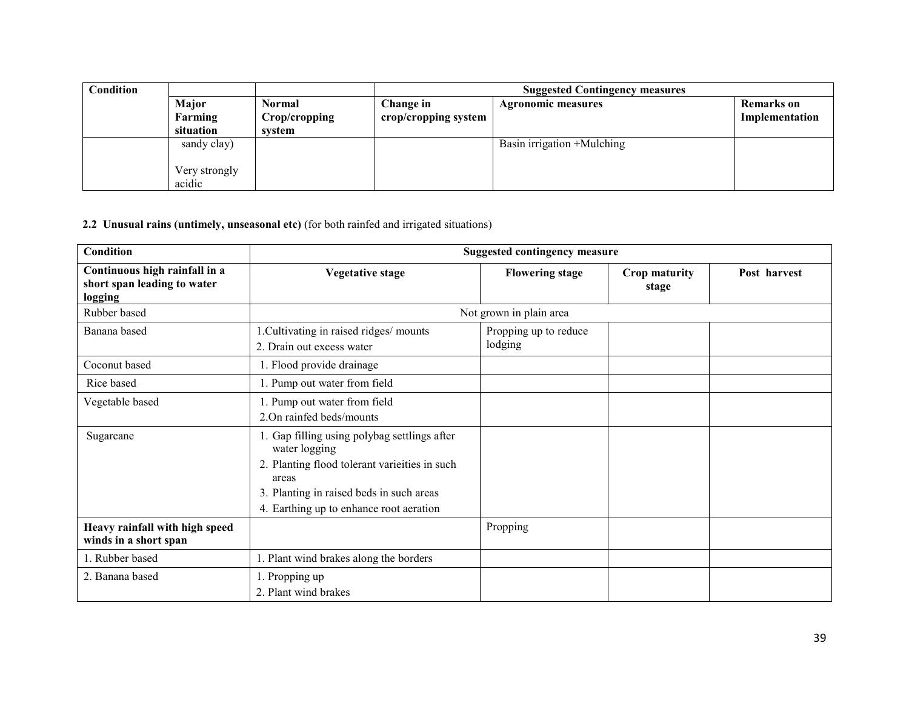| <b>Condition</b> |               |               | <b>Suggested Contingency measures</b> |                            |                   |
|------------------|---------------|---------------|---------------------------------------|----------------------------|-------------------|
|                  | Major         | Normal        | Change in                             | <b>Agronomic measures</b>  | <b>Remarks</b> on |
|                  | Farming       | Crop/cropping | crop/cropping system                  |                            | Implementation    |
|                  | situation     | system        |                                       |                            |                   |
|                  | sandy clay)   |               |                                       | Basin irrigation +Mulching |                   |
|                  |               |               |                                       |                            |                   |
|                  | Very strongly |               |                                       |                            |                   |
|                  | acidic        |               |                                       |                            |                   |

### 2.2 Unusual rains (untimely, unseasonal etc) (for both rainfed and irrigated situations)

| <b>Condition</b>                                                        | <b>Suggested contingency measure</b>                                                                                                                                                                          |                                  |                        |              |  |
|-------------------------------------------------------------------------|---------------------------------------------------------------------------------------------------------------------------------------------------------------------------------------------------------------|----------------------------------|------------------------|--------------|--|
| Continuous high rainfall in a<br>short span leading to water<br>logging | <b>Vegetative stage</b>                                                                                                                                                                                       | <b>Flowering stage</b>           | Crop maturity<br>stage | Post harvest |  |
| Rubber based                                                            |                                                                                                                                                                                                               | Not grown in plain area          |                        |              |  |
| Banana based                                                            | 1. Cultivating in raised ridges/ mounts<br>2. Drain out excess water                                                                                                                                          | Propping up to reduce<br>lodging |                        |              |  |
| Coconut based                                                           | 1. Flood provide drainage                                                                                                                                                                                     |                                  |                        |              |  |
| Rice based                                                              | 1. Pump out water from field                                                                                                                                                                                  |                                  |                        |              |  |
| Vegetable based                                                         | 1. Pump out water from field<br>2.On rainfed beds/mounts                                                                                                                                                      |                                  |                        |              |  |
| Sugarcane                                                               | 1. Gap filling using polybag settlings after<br>water logging<br>2. Planting flood tolerant varieties in such<br>areas<br>3. Planting in raised beds in such areas<br>4. Earthing up to enhance root aeration |                                  |                        |              |  |
| Heavy rainfall with high speed<br>winds in a short span                 |                                                                                                                                                                                                               | Propping                         |                        |              |  |
| 1. Rubber based                                                         | 1. Plant wind brakes along the borders                                                                                                                                                                        |                                  |                        |              |  |
| 2. Banana based                                                         | 1. Propping up<br>2. Plant wind brakes                                                                                                                                                                        |                                  |                        |              |  |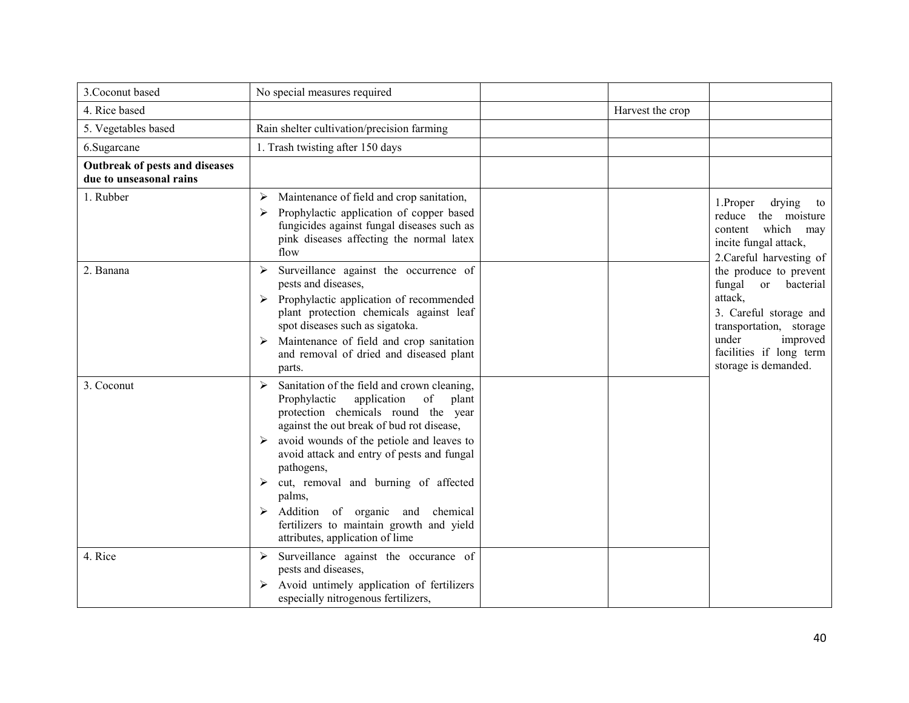| 3. Coconut based                                          | No special measures required                                                                                                                                                                                                                                                                                                                                                                                                                                               |                  |                                                                                                                                                                                       |
|-----------------------------------------------------------|----------------------------------------------------------------------------------------------------------------------------------------------------------------------------------------------------------------------------------------------------------------------------------------------------------------------------------------------------------------------------------------------------------------------------------------------------------------------------|------------------|---------------------------------------------------------------------------------------------------------------------------------------------------------------------------------------|
| 4. Rice based                                             |                                                                                                                                                                                                                                                                                                                                                                                                                                                                            | Harvest the crop |                                                                                                                                                                                       |
| 5. Vegetables based                                       | Rain shelter cultivation/precision farming                                                                                                                                                                                                                                                                                                                                                                                                                                 |                  |                                                                                                                                                                                       |
| 6.Sugarcane                                               | 1. Trash twisting after 150 days                                                                                                                                                                                                                                                                                                                                                                                                                                           |                  |                                                                                                                                                                                       |
| Outbreak of pests and diseases<br>due to unseasonal rains |                                                                                                                                                                                                                                                                                                                                                                                                                                                                            |                  |                                                                                                                                                                                       |
| 1. Rubber                                                 | Maintenance of field and crop sanitation,<br>➤<br>Prophylactic application of copper based<br>≻<br>fungicides against fungal diseases such as<br>pink diseases affecting the normal latex<br>flow                                                                                                                                                                                                                                                                          |                  | 1.Proper<br>drying<br>to<br>reduce the moisture<br>which<br>content<br>may<br>incite fungal attack,<br>2. Careful harvesting of                                                       |
| 2. Banana                                                 | Surveillance against the occurrence of<br>➤<br>pests and diseases,<br>$\triangleright$ Prophylactic application of recommended<br>plant protection chemicals against leaf<br>spot diseases such as sigatoka.<br>Maintenance of field and crop sanitation<br>and removal of dried and diseased plant<br>parts.                                                                                                                                                              |                  | the produce to prevent<br>fungal or bacterial<br>attack,<br>3. Careful storage and<br>transportation, storage<br>under<br>improved<br>facilities if long term<br>storage is demanded. |
| 3. Coconut                                                | Sanitation of the field and crown cleaning,<br>➤<br>Prophylactic<br>application<br>of<br>plant<br>protection chemicals round the year<br>against the out break of bud rot disease,<br>avoid wounds of the petiole and leaves to<br>➤<br>avoid attack and entry of pests and fungal<br>pathogens,<br>cut, removal and burning of affected<br>➤<br>palms,<br>Addition of organic and chemical<br>fertilizers to maintain growth and yield<br>attributes, application of lime |                  |                                                                                                                                                                                       |
| 4. Rice                                                   | Surveillance against the occurance of<br>➤<br>pests and diseases,<br>Avoid untimely application of fertilizers<br>➤<br>especially nitrogenous fertilizers,                                                                                                                                                                                                                                                                                                                 |                  |                                                                                                                                                                                       |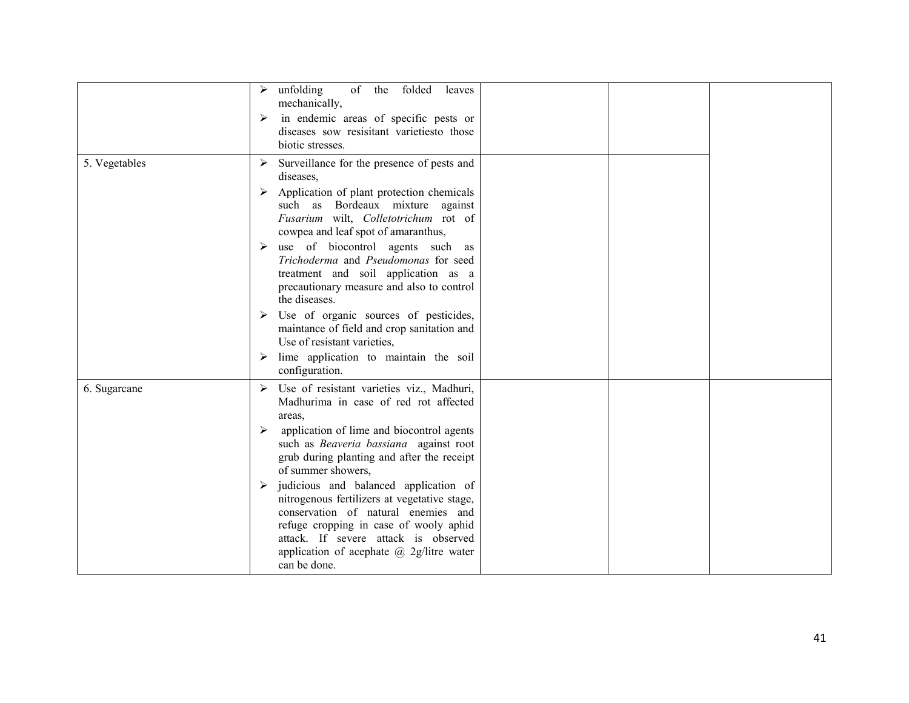|               | unfolding<br>of<br>the<br>folded<br>leaves<br>mechanically,<br>in endemic areas of specific pests or<br>➤<br>diseases sow resisitant varietiesto those<br>biotic stresses.                                                                                                                                                                                                                                                                                                                                                                                                                               |  |  |
|---------------|----------------------------------------------------------------------------------------------------------------------------------------------------------------------------------------------------------------------------------------------------------------------------------------------------------------------------------------------------------------------------------------------------------------------------------------------------------------------------------------------------------------------------------------------------------------------------------------------------------|--|--|
| 5. Vegetables | Surveillance for the presence of pests and<br>diseases,<br>Application of plant protection chemicals<br>≻<br>such as Bordeaux mixture against<br>Fusarium wilt, Colletotrichum rot of<br>cowpea and leaf spot of amaranthus,<br>use of biocontrol agents such as<br>➤<br>Trichoderma and Pseudomonas for seed<br>treatment and soil application as a<br>precautionary measure and also to control<br>the diseases.<br>Use of organic sources of pesticides,<br>➤<br>maintance of field and crop sanitation and<br>Use of resistant varieties,<br>lime application to maintain the soil<br>configuration. |  |  |
| 6. Sugarcane  | Use of resistant varieties viz., Madhuri,<br>Madhurima in case of red rot affected<br>areas,<br>application of lime and biocontrol agents<br>➤<br>such as Beaveria bassiana against root<br>grub during planting and after the receipt<br>of summer showers,<br>judicious and balanced application of<br>➤<br>nitrogenous fertilizers at vegetative stage,<br>conservation of natural enemies and<br>refuge cropping in case of wooly aphid<br>attack. If severe attack is observed<br>application of acephate $\omega$ 2g/litre water<br>can be done.                                                   |  |  |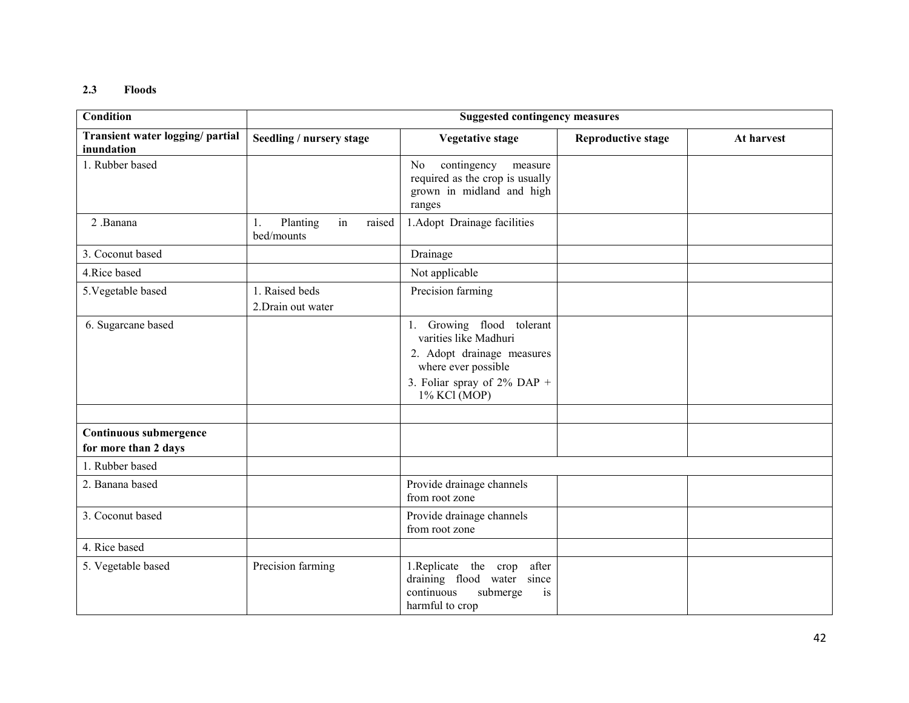#### 2.3 Floods

| <b>Condition</b>                               | <b>Suggested contingency measures</b>        |                                                                                                                                                           |                           |            |
|------------------------------------------------|----------------------------------------------|-----------------------------------------------------------------------------------------------------------------------------------------------------------|---------------------------|------------|
| Transient water logging/ partial<br>inundation | Seedling / nursery stage                     | <b>Vegetative stage</b>                                                                                                                                   | <b>Reproductive stage</b> | At harvest |
| 1. Rubber based                                |                                              | contingency<br>No<br>measure<br>required as the crop is usually<br>grown in midland and high<br>ranges                                                    |                           |            |
| 2 .Banana                                      | in<br>raised<br>1.<br>Planting<br>bed/mounts | 1. Adopt Drainage facilities                                                                                                                              |                           |            |
| 3. Coconut based                               |                                              | Drainage                                                                                                                                                  |                           |            |
| 4. Rice based                                  |                                              | Not applicable                                                                                                                                            |                           |            |
| 5. Vegetable based                             | 1. Raised beds<br>2. Drain out water         | Precision farming                                                                                                                                         |                           |            |
| 6. Sugarcane based                             |                                              | 1. Growing flood tolerant<br>varities like Madhuri<br>2. Adopt drainage measures<br>where ever possible<br>3. Foliar spray of $2\%$ DAP +<br>1% KCl (MOP) |                           |            |
| Continuous submergence<br>for more than 2 days |                                              |                                                                                                                                                           |                           |            |
| 1. Rubber based                                |                                              |                                                                                                                                                           |                           |            |
| 2. Banana based                                |                                              | Provide drainage channels<br>from root zone                                                                                                               |                           |            |
| 3. Coconut based                               |                                              | Provide drainage channels<br>from root zone                                                                                                               |                           |            |
| 4. Rice based                                  |                                              |                                                                                                                                                           |                           |            |
| 5. Vegetable based                             | Precision farming                            | 1. Replicate the crop<br>after<br>draining flood water since<br>continuous<br>submerge<br>is<br>harmful to crop                                           |                           |            |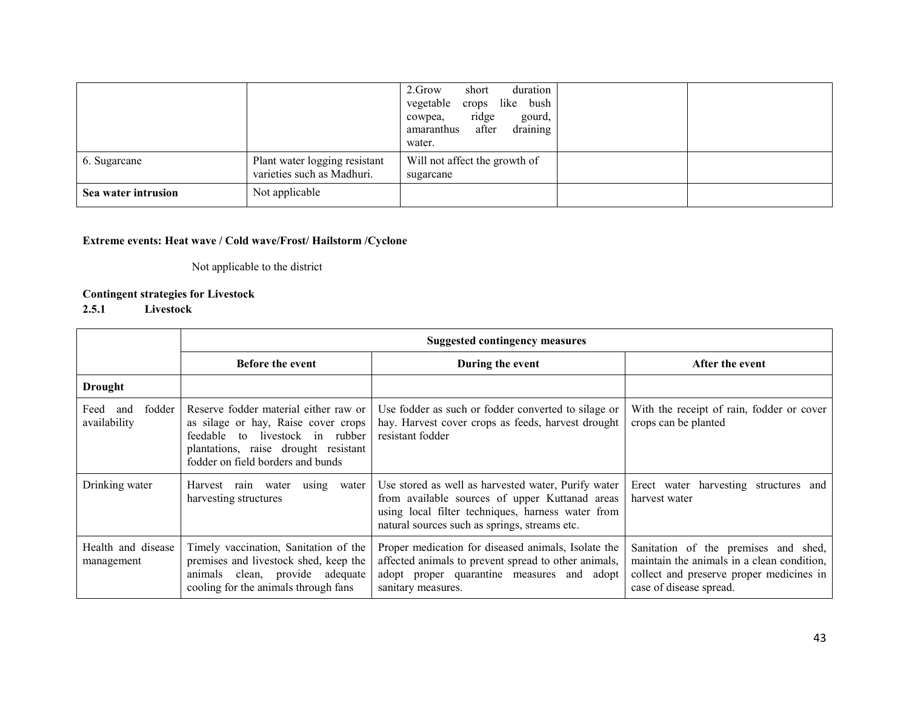|                     |                                                             | 2.Grow<br>duration<br>short<br>vegetable crops like<br>bush<br>ridge<br>gourd,<br>cowpea,<br>draining<br>after<br>amaranthus<br>water. |  |
|---------------------|-------------------------------------------------------------|----------------------------------------------------------------------------------------------------------------------------------------|--|
| 6. Sugarcane        | Plant water logging resistant<br>varieties such as Madhuri. | Will not affect the growth of<br>sugarcane                                                                                             |  |
| Sea water intrusion | Not applicable                                              |                                                                                                                                        |  |

# Extreme events: Heat wave / Cold wave/Frost/ Hailstorm /Cyclone

Not applicable to the district

# Contingent strategies for Livestock

# 2.5.1 Livestock

|                                       | <b>Suggested contingency measures</b>                                                                                                                                                           |                                                                                                                                                                                                             |                                                                                                                                                           |  |  |
|---------------------------------------|-------------------------------------------------------------------------------------------------------------------------------------------------------------------------------------------------|-------------------------------------------------------------------------------------------------------------------------------------------------------------------------------------------------------------|-----------------------------------------------------------------------------------------------------------------------------------------------------------|--|--|
|                                       | <b>Before the event</b>                                                                                                                                                                         | During the event                                                                                                                                                                                            | After the event                                                                                                                                           |  |  |
| <b>Drought</b>                        |                                                                                                                                                                                                 |                                                                                                                                                                                                             |                                                                                                                                                           |  |  |
| fodder<br>Feed<br>and<br>availability | Reserve fodder material either raw or<br>as silage or hay, Raise cover crops<br>to livestock in rubber<br>feedable<br>plantations, raise drought resistant<br>fodder on field borders and bunds | Use fodder as such or fodder converted to silage or<br>hay. Harvest cover crops as feeds, harvest drought<br>resistant fodder                                                                               | With the receipt of rain, fodder or cover<br>crops can be planted                                                                                         |  |  |
| Drinking water                        | Harvest rain water<br>using<br>water  <br>harvesting structures                                                                                                                                 | Use stored as well as harvested water, Purify water<br>from available sources of upper Kuttanad areas<br>using local filter techniques, harness water from<br>natural sources such as springs, streams etc. | Erect water harvesting structures and<br>harvest water                                                                                                    |  |  |
| Health and disease<br>management      | Timely vaccination, Sanitation of the<br>premises and livestock shed, keep the<br>animals clean, provide adequate<br>cooling for the animals through fans                                       | Proper medication for diseased animals, Isolate the<br>affected animals to prevent spread to other animals,<br>adopt proper quarantine measures and adopt<br>sanitary measures.                             | Sanitation of the premises and shed,<br>maintain the animals in a clean condition,<br>collect and preserve proper medicines in<br>case of disease spread. |  |  |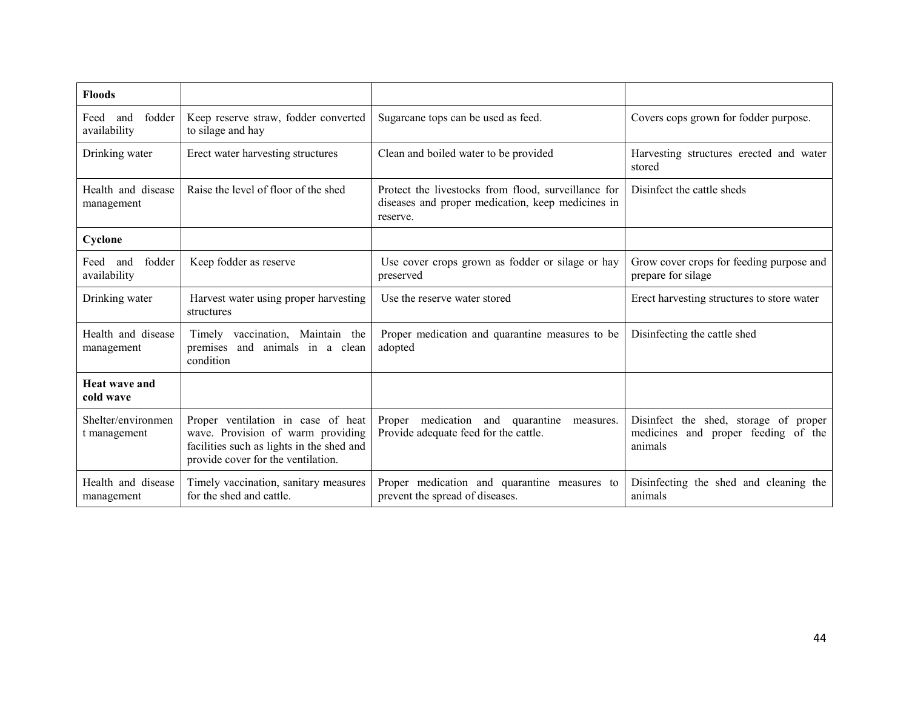| <b>Floods</b>                         |                                                                                                                                                            |                                                                                                                      |                                                                                                  |
|---------------------------------------|------------------------------------------------------------------------------------------------------------------------------------------------------------|----------------------------------------------------------------------------------------------------------------------|--------------------------------------------------------------------------------------------------|
| fodder<br>Feed<br>and<br>availability | Keep reserve straw, fodder converted<br>to silage and hay                                                                                                  | Sugarcane tops can be used as feed.                                                                                  | Covers cops grown for fodder purpose.                                                            |
| Drinking water                        | Erect water harvesting structures                                                                                                                          | Clean and boiled water to be provided                                                                                | Harvesting structures erected and water<br>stored                                                |
| Health and disease<br>management      | Raise the level of floor of the shed                                                                                                                       | Protect the livestocks from flood, surveillance for<br>diseases and proper medication, keep medicines in<br>reserve. | Disinfect the cattle sheds                                                                       |
| Cyclone                               |                                                                                                                                                            |                                                                                                                      |                                                                                                  |
| fodder<br>Feed and<br>availability    | Keep fodder as reserve                                                                                                                                     | Use cover crops grown as fodder or silage or hay<br>preserved                                                        | Grow cover crops for feeding purpose and<br>prepare for silage                                   |
| Drinking water                        | Harvest water using proper harvesting<br>structures                                                                                                        | Use the reserve water stored                                                                                         | Erect harvesting structures to store water                                                       |
| Health and disease<br>management      | Timely vaccination, Maintain the<br>premises and animals in a clean<br>condition                                                                           | Proper medication and quarantine measures to be<br>adopted                                                           | Disinfecting the cattle shed                                                                     |
| <b>Heat wave and</b><br>cold wave     |                                                                                                                                                            |                                                                                                                      |                                                                                                  |
| Shelter/environmen<br>t management    | Proper ventilation in case of heat<br>wave. Provision of warm providing<br>facilities such as lights in the shed and<br>provide cover for the ventilation. | Proper medication and quarantine<br>measures.<br>Provide adequate feed for the cattle.                               | Disinfect the shed, storage of<br>proper<br>proper feeding of the<br>medicines<br>and<br>animals |
| Health and disease<br>management      | Timely vaccination, sanitary measures<br>for the shed and cattle.                                                                                          | Proper medication and quarantine measures to<br>prevent the spread of diseases.                                      | Disinfecting the shed and cleaning the<br>animals                                                |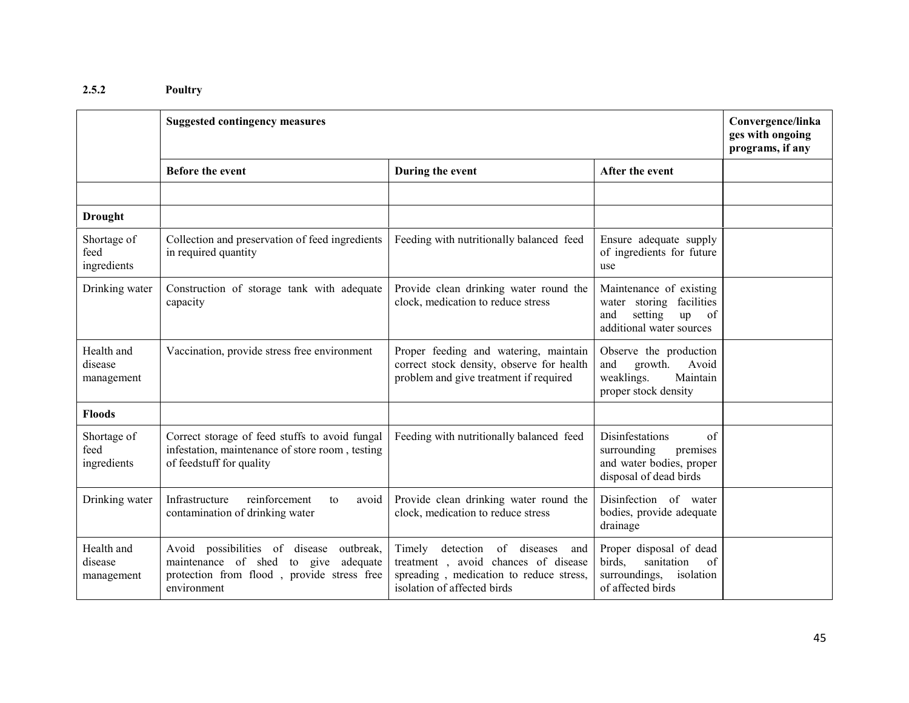#### 2.5.2Poultry

|                                     | <b>Suggested contingency measures</b>                                                                                                                  |                                                                                                                                                               |                                                                                                                  |  |
|-------------------------------------|--------------------------------------------------------------------------------------------------------------------------------------------------------|---------------------------------------------------------------------------------------------------------------------------------------------------------------|------------------------------------------------------------------------------------------------------------------|--|
|                                     | Before the event                                                                                                                                       | During the event                                                                                                                                              | After the event                                                                                                  |  |
|                                     |                                                                                                                                                        |                                                                                                                                                               |                                                                                                                  |  |
| <b>Drought</b>                      |                                                                                                                                                        |                                                                                                                                                               |                                                                                                                  |  |
| Shortage of<br>feed<br>ingredients  | Collection and preservation of feed ingredients<br>in required quantity                                                                                | Feeding with nutritionally balanced feed                                                                                                                      | Ensure adequate supply<br>of ingredients for future<br>use                                                       |  |
| Drinking water                      | Construction of storage tank with adequate<br>capacity                                                                                                 | Provide clean drinking water round the<br>clock, medication to reduce stress                                                                                  | Maintenance of existing<br>water storing<br>facilities<br>and<br>setting<br>up<br>of<br>additional water sources |  |
| Health and<br>disease<br>management | Vaccination, provide stress free environment                                                                                                           | Proper feeding and watering, maintain<br>correct stock density, observe for health<br>problem and give treatment if required                                  | Observe the production<br>Avoid<br>and<br>growth.<br>Maintain<br>weaklings.<br>proper stock density              |  |
| <b>Floods</b>                       |                                                                                                                                                        |                                                                                                                                                               |                                                                                                                  |  |
| Shortage of<br>feed<br>ingredients  | Correct storage of feed stuffs to avoid fungal<br>infestation, maintenance of store room, testing<br>of feedstuff for quality                          | Feeding with nutritionally balanced feed                                                                                                                      | Disinfestations<br>of<br>surrounding<br>premises<br>and water bodies, proper<br>disposal of dead birds           |  |
| Drinking water                      | reinforcement<br>Infrastructure<br>avoid<br>to<br>contamination of drinking water                                                                      | Provide clean drinking water round the<br>clock, medication to reduce stress                                                                                  | Disinfection of water<br>bodies, provide adequate<br>drainage                                                    |  |
| Health and<br>disease<br>management | Avoid possibilities of disease<br>outbreak,<br>maintenance of shed<br>adequate<br>to give<br>protection from flood, provide stress free<br>environment | Timely<br>of<br>diseases<br>detection<br>and<br>treatment, avoid chances of disease<br>spreading, medication to reduce stress,<br>isolation of affected birds | Proper disposal of dead<br>birds,<br>sanitation<br>of<br>surroundings,<br>isolation<br>of affected birds         |  |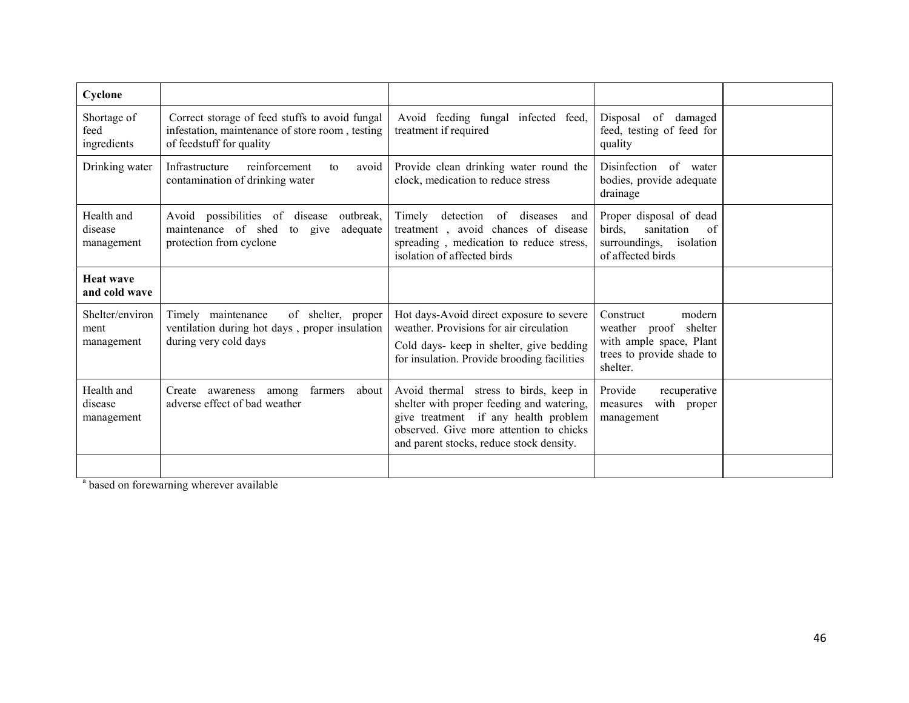| Cyclone                               |                                                                                                                               |                                                                                                                                                                                                                    |                                                                                                                  |  |
|---------------------------------------|-------------------------------------------------------------------------------------------------------------------------------|--------------------------------------------------------------------------------------------------------------------------------------------------------------------------------------------------------------------|------------------------------------------------------------------------------------------------------------------|--|
| Shortage of<br>feed<br>ingredients    | Correct storage of feed stuffs to avoid fungal<br>infestation, maintenance of store room, testing<br>of feedstuff for quality | Avoid feeding fungal infected feed,<br>treatment if required                                                                                                                                                       | Disposal of damaged<br>feed, testing of feed for<br>quality                                                      |  |
| Drinking water                        | reinforcement<br>Infrastructure<br>avoid<br>to<br>contamination of drinking water                                             | Provide clean drinking water round the<br>clock, medication to reduce stress                                                                                                                                       | Disinfection of water<br>bodies, provide adequate<br>drainage                                                    |  |
| Health and<br>disease<br>management   | Avoid possibilities of disease<br>outbreak,<br>maintenance of shed<br>adequate<br>to<br>give<br>protection from cyclone       | Timely<br>detection<br>diseases<br>of<br>and<br>treatment, avoid chances of disease<br>spreading, medication to reduce stress,<br>isolation of affected birds                                                      | Proper disposal of dead<br>birds.<br>sanitation<br>of<br>surroundings, isolation<br>of affected birds            |  |
| <b>Heat wave</b><br>and cold wave     |                                                                                                                               |                                                                                                                                                                                                                    |                                                                                                                  |  |
| Shelter/environ<br>ment<br>management | Timely maintenance<br>of shelter, proper<br>ventilation during hot days, proper insulation<br>during very cold days           | Hot days-Avoid direct exposure to severe<br>weather. Provisions for air circulation<br>Cold days- keep in shelter, give bedding<br>for insulation. Provide brooding facilities                                     | Construct<br>modern<br>weather proof shelter<br>with ample space, Plant<br>trees to provide shade to<br>shelter. |  |
| Health and<br>disease<br>management   | farmers<br>about<br>Create<br>among<br>awareness<br>adverse effect of bad weather                                             | Avoid thermal stress to birds, keep in<br>shelter with proper feeding and watering,<br>give treatment if any health problem<br>observed. Give more attention to chicks<br>and parent stocks, reduce stock density. | Provide<br>recuperative<br>with proper<br>measures<br>management                                                 |  |
|                                       |                                                                                                                               |                                                                                                                                                                                                                    |                                                                                                                  |  |

<sup>a</sup> based on forewarning wherever available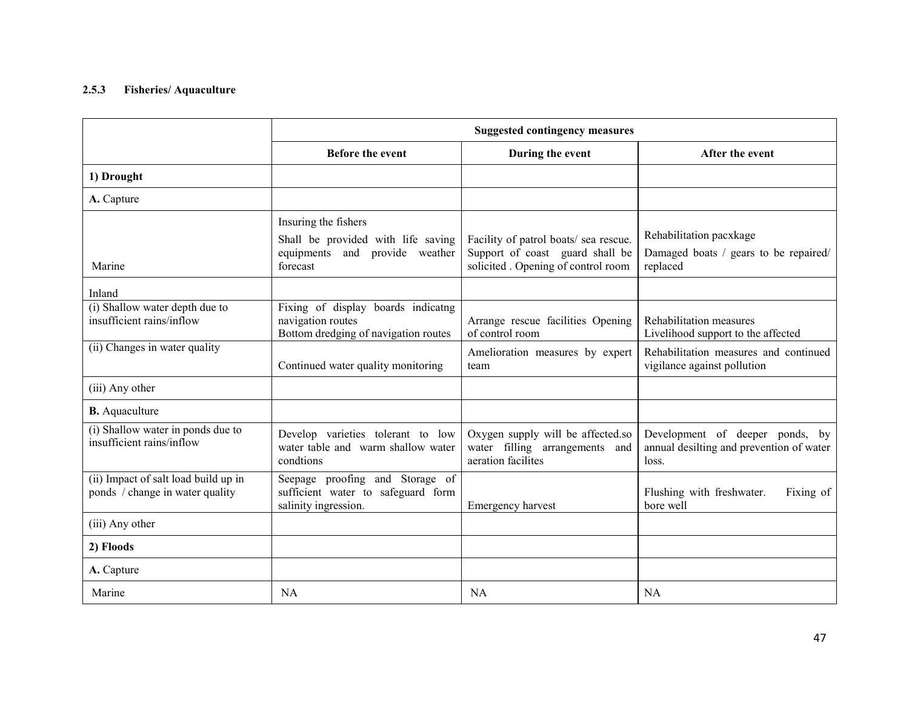#### 2.5.3 Fisheries/ Aquaculture

|                                                                         | <b>Suggested contingency measures</b>                                                           |                                                                                           |                                                                                      |
|-------------------------------------------------------------------------|-------------------------------------------------------------------------------------------------|-------------------------------------------------------------------------------------------|--------------------------------------------------------------------------------------|
|                                                                         | <b>Before the event</b>                                                                         | During the event                                                                          | After the event                                                                      |
| 1) Drought                                                              |                                                                                                 |                                                                                           |                                                                                      |
| A. Capture                                                              |                                                                                                 |                                                                                           |                                                                                      |
|                                                                         | Insuring the fishers                                                                            |                                                                                           |                                                                                      |
|                                                                         | Shall be provided with life saving                                                              | Facility of patrol boats/ sea rescue.                                                     | Rehabilitation pacxkage                                                              |
| Marine                                                                  | equipments and provide weather<br>forecast                                                      | Support of coast guard shall be<br>solicited. Opening of control room                     | Damaged boats / gears to be repaired/<br>replaced                                    |
| Inland                                                                  |                                                                                                 |                                                                                           |                                                                                      |
| (i) Shallow water depth due to<br>insufficient rains/inflow             | Fixing of display boards indicatng<br>navigation routes<br>Bottom dredging of navigation routes | Arrange rescue facilities Opening<br>of control room                                      | Rehabilitation measures<br>Livelihood support to the affected                        |
| (ii) Changes in water quality                                           | Continued water quality monitoring                                                              | Amelioration measures by expert<br>team                                                   | Rehabilitation measures and continued<br>vigilance against pollution                 |
| (iii) Any other                                                         |                                                                                                 |                                                                                           |                                                                                      |
| <b>B.</b> Aquaculture                                                   |                                                                                                 |                                                                                           |                                                                                      |
| (i) Shallow water in ponds due to<br>insufficient rains/inflow          | Develop varieties tolerant to low<br>water table and warm shallow water<br>condtions            | Oxygen supply will be affected.so<br>water filling arrangements and<br>aeration facilites | Development of deeper ponds, by<br>annual desilting and prevention of water<br>loss. |
| (ii) Impact of salt load build up in<br>ponds / change in water quality | Seepage proofing and Storage of<br>sufficient water to safeguard form<br>salinity ingression.   | Emergency harvest                                                                         | Flushing with freshwater.<br>Fixing of<br>bore well                                  |
| (iii) Any other                                                         |                                                                                                 |                                                                                           |                                                                                      |
| 2) Floods                                                               |                                                                                                 |                                                                                           |                                                                                      |
| A. Capture                                                              |                                                                                                 |                                                                                           |                                                                                      |
| Marine                                                                  | <b>NA</b>                                                                                       | <b>NA</b>                                                                                 | <b>NA</b>                                                                            |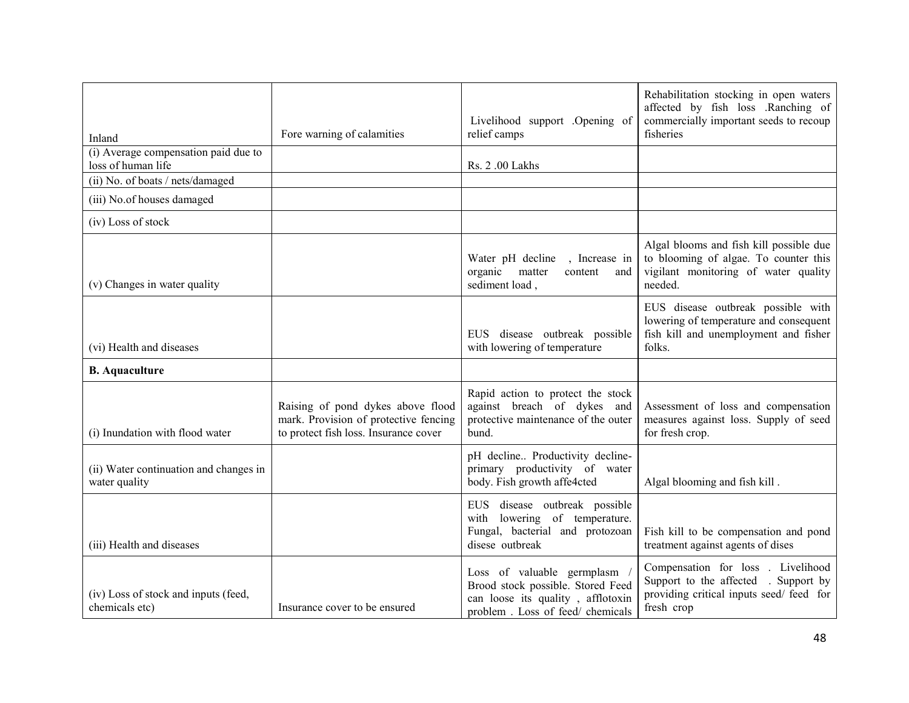| Inland                                                     | Fore warning of calamities                                                                                          | Livelihood support .Opening of<br>relief camps                                                                                           | Rehabilitation stocking in open waters<br>affected by fish loss .Ranching of<br>commercially important seeds to recoup<br>fisheries |
|------------------------------------------------------------|---------------------------------------------------------------------------------------------------------------------|------------------------------------------------------------------------------------------------------------------------------------------|-------------------------------------------------------------------------------------------------------------------------------------|
| (i) Average compensation paid due to<br>loss of human life |                                                                                                                     | Rs. 2.00 Lakhs                                                                                                                           |                                                                                                                                     |
| (ii) No. of boats / nets/damaged                           |                                                                                                                     |                                                                                                                                          |                                                                                                                                     |
| (iii) No.of houses damaged                                 |                                                                                                                     |                                                                                                                                          |                                                                                                                                     |
| (iv) Loss of stock                                         |                                                                                                                     |                                                                                                                                          |                                                                                                                                     |
| (v) Changes in water quality                               |                                                                                                                     | Water pH decline<br>, Increase in<br>organic matter<br>content<br>and<br>sediment load,                                                  | Algal blooms and fish kill possible due<br>to blooming of algae. To counter this<br>vigilant monitoring of water quality<br>needed. |
| (vi) Health and diseases                                   |                                                                                                                     | EUS disease outbreak possible<br>with lowering of temperature                                                                            | EUS disease outbreak possible with<br>lowering of temperature and consequent<br>fish kill and unemployment and fisher<br>folks.     |
| <b>B.</b> Aquaculture                                      |                                                                                                                     |                                                                                                                                          |                                                                                                                                     |
| (i) Inundation with flood water                            | Raising of pond dykes above flood<br>mark. Provision of protective fencing<br>to protect fish loss. Insurance cover | Rapid action to protect the stock<br>against breach of dykes and<br>protective maintenance of the outer<br>bund.                         | Assessment of loss and compensation<br>measures against loss. Supply of seed<br>for fresh crop.                                     |
| (ii) Water continuation and changes in<br>water quality    |                                                                                                                     | pH decline Productivity decline-<br>primary productivity of water<br>body. Fish growth affe4cted                                         | Algal blooming and fish kill.                                                                                                       |
| (iii) Health and diseases                                  |                                                                                                                     | EUS disease outbreak possible<br>with lowering of temperature.<br>Fungal, bacterial and protozoan<br>disese outbreak                     | Fish kill to be compensation and pond<br>treatment against agents of dises                                                          |
| (iv) Loss of stock and inputs (feed,<br>chemicals etc)     | Insurance cover to be ensured                                                                                       | Loss of valuable germplasm<br>Brood stock possible. Stored Feed<br>can loose its quality, afflotoxin<br>problem. Loss of feed/ chemicals | Compensation for loss . Livelihood<br>Support to the affected . Support by<br>providing critical inputs seed/feed for<br>fresh crop |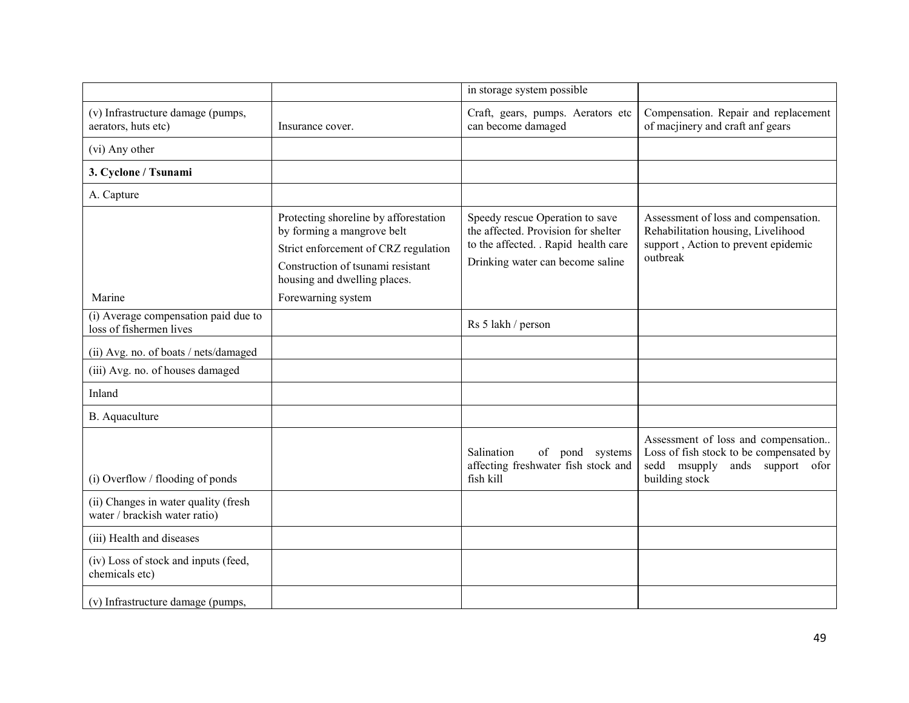|                                                                       |                                                                                                                                                                                  | in storage system possible                                                                                                                         |                                                                                                                                       |
|-----------------------------------------------------------------------|----------------------------------------------------------------------------------------------------------------------------------------------------------------------------------|----------------------------------------------------------------------------------------------------------------------------------------------------|---------------------------------------------------------------------------------------------------------------------------------------|
| (v) Infrastructure damage (pumps,<br>aerators, huts etc)              | Insurance cover.                                                                                                                                                                 | Craft, gears, pumps. Aerators etc<br>can become damaged                                                                                            | Compensation. Repair and replacement<br>of macjinery and craft anf gears                                                              |
| (vi) Any other                                                        |                                                                                                                                                                                  |                                                                                                                                                    |                                                                                                                                       |
| 3. Cyclone / Tsunami                                                  |                                                                                                                                                                                  |                                                                                                                                                    |                                                                                                                                       |
| A. Capture                                                            |                                                                                                                                                                                  |                                                                                                                                                    |                                                                                                                                       |
|                                                                       | Protecting shoreline by afforestation<br>by forming a mangrove belt<br>Strict enforcement of CRZ regulation<br>Construction of tsunami resistant<br>housing and dwelling places. | Speedy rescue Operation to save<br>the affected. Provision for shelter<br>to the affected. . Rapid health care<br>Drinking water can become saline | Assessment of loss and compensation.<br>Rehabilitation housing, Livelihood<br>support, Action to prevent epidemic<br>outbreak         |
| Marine                                                                | Forewarning system                                                                                                                                                               |                                                                                                                                                    |                                                                                                                                       |
| (i) Average compensation paid due to<br>loss of fishermen lives       |                                                                                                                                                                                  | Rs 5 lakh / person                                                                                                                                 |                                                                                                                                       |
| (ii) Avg. no. of boats / nets/damaged                                 |                                                                                                                                                                                  |                                                                                                                                                    |                                                                                                                                       |
| (iii) Avg. no. of houses damaged                                      |                                                                                                                                                                                  |                                                                                                                                                    |                                                                                                                                       |
| Inland                                                                |                                                                                                                                                                                  |                                                                                                                                                    |                                                                                                                                       |
| B. Aquaculture                                                        |                                                                                                                                                                                  |                                                                                                                                                    |                                                                                                                                       |
| (i) Overflow / flooding of ponds                                      |                                                                                                                                                                                  | Salination<br>of pond systems<br>affecting freshwater fish stock and<br>fish kill                                                                  | Assessment of loss and compensation<br>Loss of fish stock to be compensated by<br>sedd msupply<br>ands support ofor<br>building stock |
| (ii) Changes in water quality (fresh<br>water / brackish water ratio) |                                                                                                                                                                                  |                                                                                                                                                    |                                                                                                                                       |
| (iii) Health and diseases                                             |                                                                                                                                                                                  |                                                                                                                                                    |                                                                                                                                       |
| (iv) Loss of stock and inputs (feed,<br>chemicals etc)                |                                                                                                                                                                                  |                                                                                                                                                    |                                                                                                                                       |
| (v) Infrastructure damage (pumps,                                     |                                                                                                                                                                                  |                                                                                                                                                    |                                                                                                                                       |